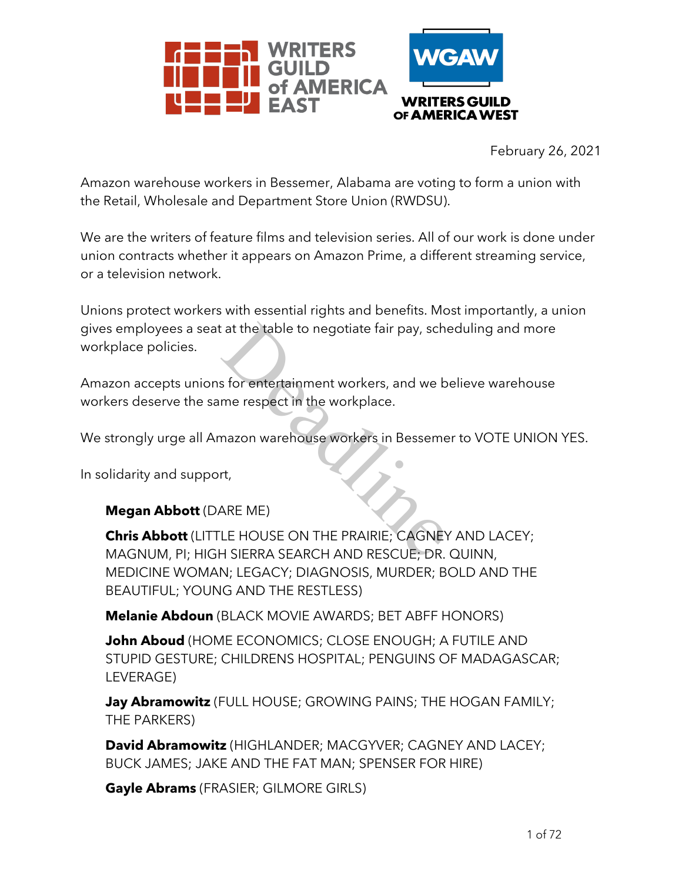

February 26, 2021

Amazon warehouse workers in Bessemer, Alabama are voting to form a union with the Retail, Wholesale and Department Store Union (RWDSU).

We are the writers of feature films and television series. All of our work is done under union contracts whether it appears on Amazon Prime, a different streaming service, or a television network.

Unions protect workers with essential rights and benefits. Most importantly, a union gives employees a seat at the table to negotiate fair pay, scheduling and more workplace policies.

Amazon accepts unions for entertainment workers, and we believe warehouse workers deserve the same respect in the workplace. Example to negotiate fair pay, school<br>of the table to negotiate fair pay, school<br>of the workplace.<br>The mazon warehouse workers in Besseme<br>of the ME<br>NARE ME<br>LE HOUSE ON THE PRAIRIE; CAGNEY<br>HISIERRA SEARCH AND RESCUE; DR.

We strongly urge all Amazon warehouse workers in Bessemer to VOTE UNION YES.

In solidarity and support,

### **Megan Abbott** (DARE ME)

**Chris Abbott** (LITTLE HOUSE ON THE PRAIRIE; CAGNEY AND LACEY; MAGNUM, PI; HIGH SIERRA SEARCH AND RESCUE; DR. QUINN, MEDICINE WOMAN; LEGACY; DIAGNOSIS, MURDER; BOLD AND THE BEAUTIFUL; YOUNG AND THE RESTLESS)

**Melanie Abdoun** (BLACK MOVIE AWARDS; BET ABFF HONORS)

**John Aboud** (HOME ECONOMICS; CLOSE ENOUGH; A FUTILE AND STUPID GESTURE; CHILDRENS HOSPITAL; PENGUINS OF MADAGASCAR; LEVERAGE)

**Jay Abramowitz** (FULL HOUSE; GROWING PAINS; THE HOGAN FAMILY; THE PARKERS)

**David Abramowitz** (HIGHLANDER; MACGYVER; CAGNEY AND LACEY; BUCK JAMES; JAKE AND THE FAT MAN; SPENSER FOR HIRE)

**Gayle Abrams** (FRASIER; GILMORE GIRLS)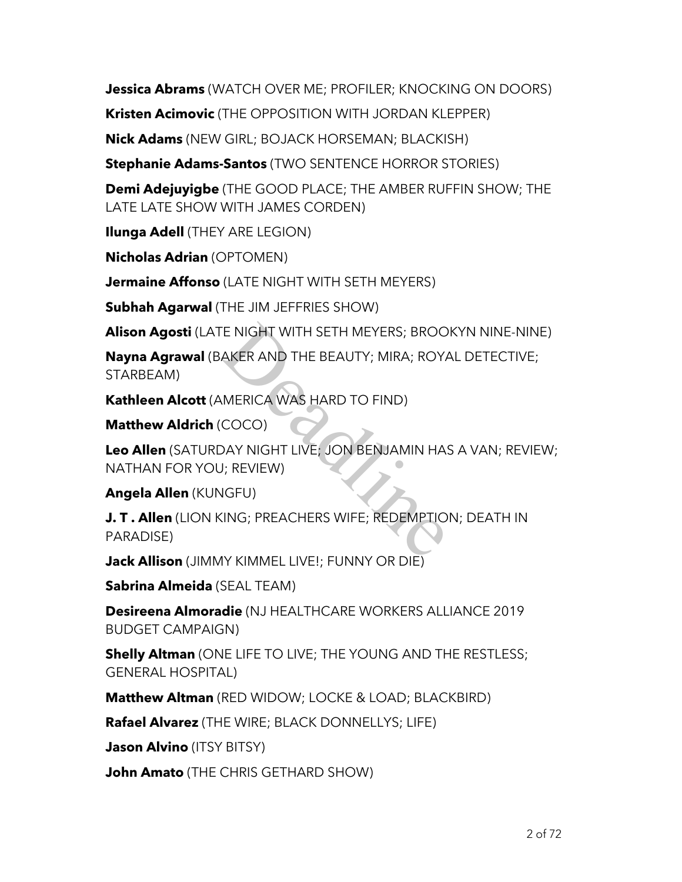**Jessica Abrams** (WATCH OVER ME; PROFILER; KNOCKING ON DOORS)

**Kristen Acimovic** (THE OPPOSITION WITH JORDAN KLEPPER)

**Nick Adams** (NEW GIRL; BOJACK HORSEMAN; BLACKISH)

**Stephanie Adams-Santos** (TWO SENTENCE HORROR STORIES)

**Demi Adejuyigbe** (THE GOOD PLACE; THE AMBER RUFFIN SHOW; THE LATE LATE SHOW WITH JAMES CORDEN)

**Ilunga Adell** (THEY ARE LEGION)

**Nicholas Adrian** (OPTOMEN)

**Jermaine Affonso** (LATE NIGHT WITH SETH MEYERS)

**Subhah Agarwal** (THE JIM JEFFRIES SHOW)

**Alison Agosti** (LATE NIGHT WITH SETH MEYERS; BROOKYN NINE-NINE)

**Nayna Agrawal** (BAKER AND THE BEAUTY; MIRA; ROYAL DETECTIVE; STARBEAM) E NIGHT WITH SETH MEYERS; BROO<br>AKER AND THE BEAUTY; MIRA; ROY,<br>MERICA WAS HARD TO FIND)<br>COCO)<br>DAY NIGHT LIVE; JON BENJAMIN HA!<br>J; REVIEW)<br>IGFU)<br>KING; PREACHERS WIFE; REDEMPTIO

**Kathleen Alcott** (AMERICA WAS HARD TO FIND)

**Matthew Aldrich** (COCO)

**Leo Allen** (SATURDAY NIGHT LIVE; JON BENJAMIN HAS A VAN; REVIEW; NATHAN FOR YOU; REVIEW)

**Angela Allen** (KUNGFU)

**J. T . Allen** (LION KING; PREACHERS WIFE; REDEMPTION; DEATH IN PARADISE)

**Jack Allison** (JIMMY KIMMEL LIVE!; FUNNY OR DIE)

**Sabrina Almeida** (SEAL TEAM)

**Desireena Almoradie** (NJ HEALTHCARE WORKERS ALLIANCE 2019 BUDGET CAMPAIGN)

**Shelly Altman** (ONE LIFE TO LIVE; THE YOUNG AND THE RESTLESS; GENERAL HOSPITAL)

**Matthew Altman** (RED WIDOW; LOCKE & LOAD; BLACKBIRD)

**Rafael Alvarez** (THE WIRE; BLACK DONNELLYS; LIFE)

**Jason Alvino** (ITSY BITSY)

**John Amato** (THE CHRIS GETHARD SHOW)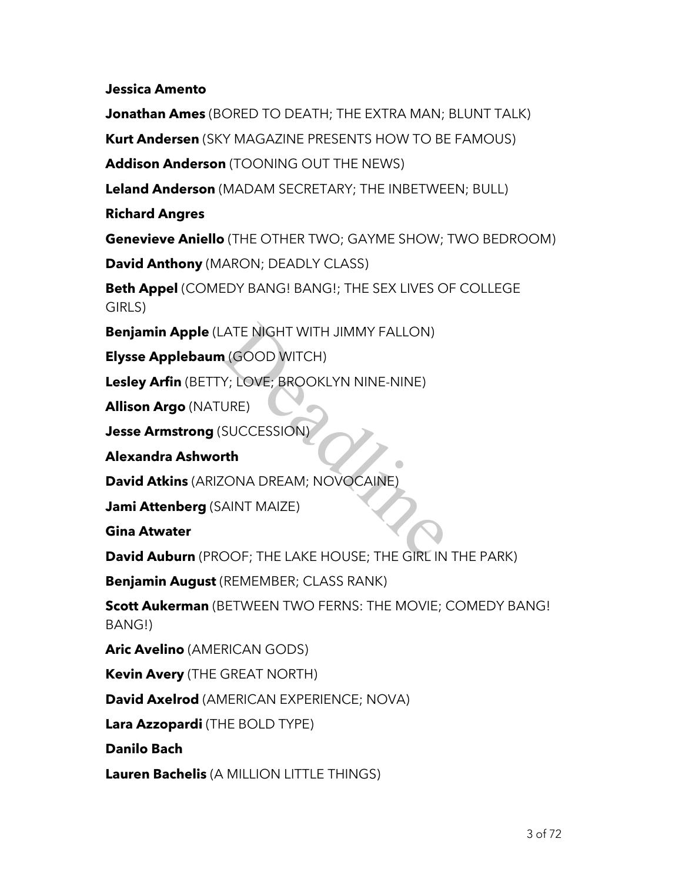**Jessica Amento**

**Jonathan Ames** (BORED TO DEATH; THE EXTRA MAN; BLUNT TALK) **Kurt Andersen** (SKY MAGAZINE PRESENTS HOW TO BE FAMOUS) **Addison Anderson** (TOONING OUT THE NEWS) **Leland Anderson** (MADAM SECRETARY; THE INBETWEEN; BULL) **Richard Angres Genevieve Aniello** (THE OTHER TWO; GAYME SHOW; TWO BEDROOM) **David Anthony** (MARON; DEADLY CLASS) **Beth Appel** (COMEDY BANG! BANG!; THE SEX LIVES OF COLLEGE GIRLS) **Benjamin Apple** (LATE NIGHT WITH JIMMY FALLON) **Elysse Applebaum** (GOOD WITCH) **Lesley Arfin** (BETTY; LOVE; BROOKLYN NINE-NINE) **Allison Argo** (NATURE) **Jesse Armstrong** (SUCCESSION) **Alexandra Ashworth David Atkins** (ARIZONA DREAM; NOVOCAINE) **Jami Attenberg** (SAINT MAIZE) **Gina Atwater David Auburn** (PROOF; THE LAKE HOUSE; THE GIRL IN THE PARK) **Benjamin August** (REMEMBER; CLASS RANK) ATE NIGHT WITH JIMMY FALLON)<br>
1 (GOOD WITCH)<br>
Y; LOVE; BROOKLYN NINE-NINE)<br>
URE)<br>
SUCCESSION)<br>
The MANT MAIZE)<br>
AINT MAIZE)<br>
OOF: THE LAKE HOUSE; THE GIRL IN

**Scott Aukerman** (BETWEEN TWO FERNS: THE MOVIE; COMEDY BANG! BANG!)

**Aric Avelino** (AMERICAN GODS)

**Kevin Avery** (THE GREAT NORTH)

**David Axelrod** (AMERICAN EXPERIENCE; NOVA)

**Lara Azzopardi** (THE BOLD TYPE)

**Danilo Bach**

**Lauren Bachelis** (A MILLION LITTLE THINGS)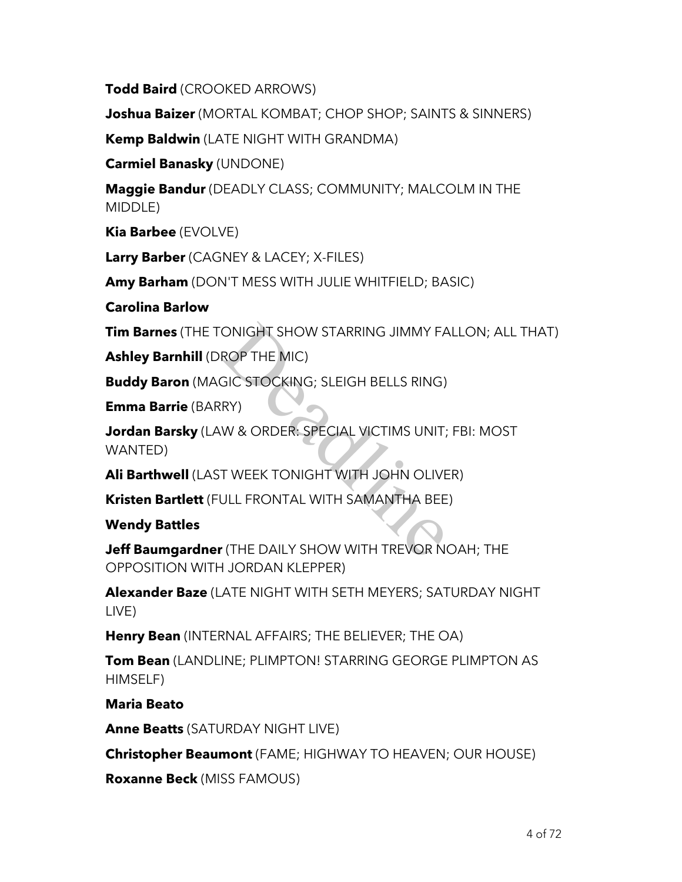**Todd Baird** (CROOKED ARROWS)

**Joshua Baizer** (MORTAL KOMBAT; CHOP SHOP; SAINTS & SINNERS)

**Kemp Baldwin** (LATE NIGHT WITH GRANDMA)

**Carmiel Banasky** (UNDONE)

**Maggie Bandur** (DEADLY CLASS; COMMUNITY; MALCOLM IN THE MIDDLE)

**Kia Barbee** (EVOLVE)

**Larry Barber** (CAGNEY & LACEY; X-FILES)

**Amy Barham** (DON'T MESS WITH JULIE WHITFIELD; BASIC)

### **Carolina Barlow**

**Tim Barnes** (THE TONIGHT SHOW STARRING JIMMY FALLON; ALL THAT)

**Ashley Barnhill** (DROP THE MIC)

**Buddy Baron** (MAGIC STOCKING; SLEIGH BELLS RING)

**Emma Barrie** (BARRY)

**Jordan Barsky** (LAW & ORDER: SPECIAL VICTIMS UNIT; FBI: MOST WANTED) ONIGHT SHOW STARRING JIMMY FA<br>ROP THE MIC)<br>GIC STOCKING; SLEIGH BELLS RING)<br>RY)<br>W & ORDER: SPECIAL VICTIMS UNIT;<br>T WEEK TONIGHT WITH JOHN OLIVE<br>ULL FRONTAL WITH SAMANTHA BEE<br>CLE FRONTAL WITH SAMANTHA BEE

**Ali Barthwell** (LAST WEEK TONIGHT WITH JOHN OLIVER)

**Kristen Bartlett** (FULL FRONTAL WITH SAMANTHA BEE)

### **Wendy Battles**

**Jeff Baumgardner** (THE DAILY SHOW WITH TREVOR NOAH; THE OPPOSITION WITH JORDAN KLEPPER)

**Alexander Baze** (LATE NIGHT WITH SETH MEYERS; SATURDAY NIGHT LIVE)

**Henry Bean** (INTERNAL AFFAIRS; THE BELIEVER; THE OA)

**Tom Bean** (LANDLINE; PLIMPTON! STARRING GEORGE PLIMPTON AS HIMSELF)

## **Maria Beato**

**Anne Beatts** (SATURDAY NIGHT LIVE)

**Christopher Beaumont** (FAME; HIGHWAY TO HEAVEN; OUR HOUSE)

**Roxanne Beck** (MISS FAMOUS)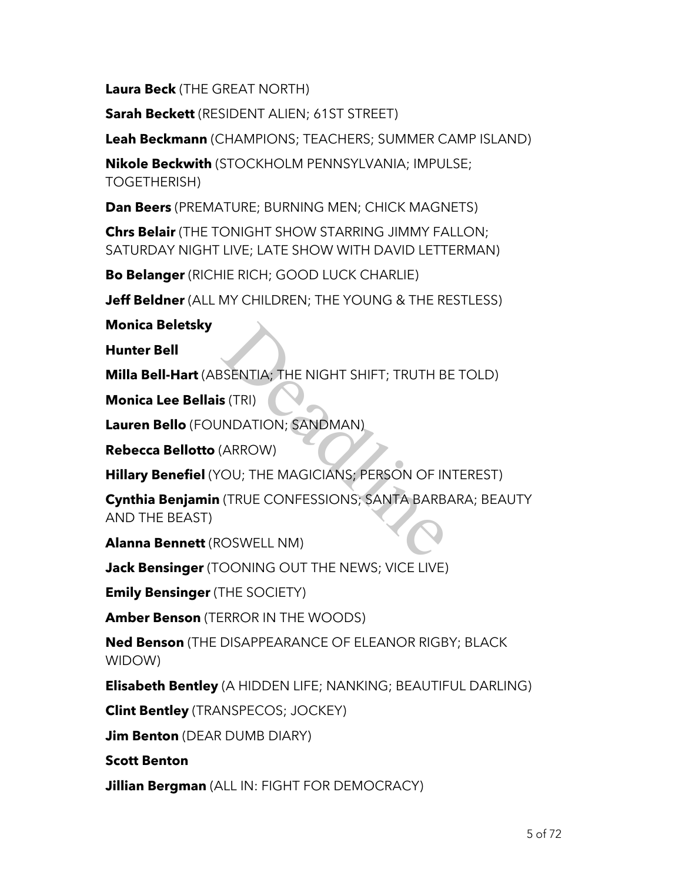**Laura Beck** (THE GREAT NORTH)

**Sarah Beckett** (RESIDENT ALIEN; 61ST STREET)

**Leah Beckmann** (CHAMPIONS; TEACHERS; SUMMER CAMP ISLAND)

**Nikole Beckwith** (STOCKHOLM PENNSYLVANIA; IMPULSE; TOGETHERISH)

**Dan Beers** (PREMATURE; BURNING MEN; CHICK MAGNETS)

**Chrs Belair** (THE TONIGHT SHOW STARRING JIMMY FALLON; SATURDAY NIGHT LIVE; LATE SHOW WITH DAVID LETTERMAN)

**Bo Belanger** (RICHIE RICH; GOOD LUCK CHARLIE)

**Jeff Beldner** (ALL MY CHILDREN; THE YOUNG & THE RESTLESS)

**Monica Beletsky**

**Hunter Bell**

**Milla Bell-Hart** (ABSENTIA; THE NIGHT SHIFT; TRUTH BE TOLD)

**Monica Lee Bellais** (TRI)

**Lauren Bello** (FOUNDATION; SANDMAN)

**Rebecca Bellotto** (ARROW)

**Hillary Benefiel** (YOU; THE MAGICIANS; PERSON OF INTEREST)

**Cynthia Benjamin** (TRUE CONFESSIONS; SANTA BARBARA; BEAUTY AND THE BEAST) SSENTIA; THE NIGHT SHIFT; TRUTH B<br>
S (TRI)<br>
INDATION; SANDMAN)<br>
(ARROW)<br>
OU; THE MAGICIANS; PERSON OF IN<br>
(TRUE CONFESSIONS; SANTA BARB,<br>
OSWELL NM)

**Alanna Bennett** (ROSWELL NM)

**Jack Bensinger** (TOONING OUT THE NEWS; VICE LIVE)

**Emily Bensinger** (THE SOCIETY)

**Amber Benson** (TERROR IN THE WOODS)

**Ned Benson** (THE DISAPPEARANCE OF ELEANOR RIGBY; BLACK WIDOW)

**Elisabeth Bentley** (A HIDDEN LIFE; NANKING; BEAUTIFUL DARLING)

**Clint Bentley** (TRANSPECOS; JOCKEY)

**Jim Benton** (DEAR DUMB DIARY)

**Scott Benton**

**Jillian Bergman** (ALL IN: FIGHT FOR DEMOCRACY)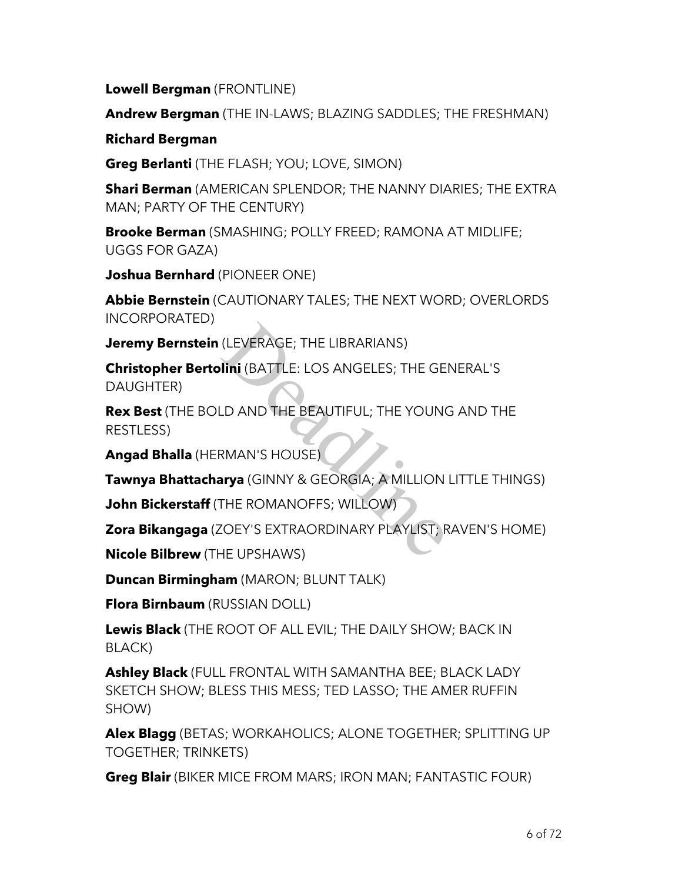**Lowell Bergman** (FRONTLINE)

**Andrew Bergman** (THE IN-LAWS; BLAZING SADDLES; THE FRESHMAN)

**Richard Bergman**

**Greg Berlanti** (THE FLASH; YOU; LOVE, SIMON)

**Shari Berman** (AMERICAN SPLENDOR; THE NANNY DIARIES; THE EXTRA MAN; PARTY OF THE CENTURY)

**Brooke Berman** (SMASHING; POLLY FREED; RAMONA AT MIDLIFE; UGGS FOR GAZA)

**Joshua Bernhard** (PIONEER ONE)

**Abbie Bernstein** (CAUTIONARY TALES; THE NEXT WORD; OVERLORDS INCORPORATED)

**Jeremy Bernstein** (LEVERAGE; THE LIBRARIANS)

**Christopher Bertolini** (BATTLE: LOS ANGELES; THE GENERAL'S DAUGHTER) (LEVERAGE; THE LIBRARIANS)<br>**Iini** (BATTLE: LOS ANGELES; THE GE<br>LD AND THE BEAUTIFUL; THE YOUNG<br>RMAN'S HOUSE)<br>**IIYA** (GINNY & GEORGIA; A MILLION<br>THE ROMANOFFS; WILLOW)<br>COEY'S EXTRAORDINARY PLAYLIST; R<br>HE UPSHAWS)

**Rex Best** (THE BOLD AND THE BEAUTIFUL; THE YOUNG AND THE RESTLESS)

**Angad Bhalla** (HERMAN'S HOUSE)

**Tawnya Bhattacharya** (GINNY & GEORGIA; A MILLION LITTLE THINGS)

**John Bickerstaff** (THE ROMANOFFS; WILLOW)

**Zora Bikangaga** (ZOEY'S EXTRAORDINARY PLAYLIST; RAVEN'S HOME)

**Nicole Bilbrew** (THE UPSHAWS)

**Duncan Birmingham** (MARON; BLUNT TALK)

**Flora Birnbaum** (RUSSIAN DOLL)

**Lewis Black** (THE ROOT OF ALL EVIL; THE DAILY SHOW; BACK IN BLACK)

**Ashley Black** (FULL FRONTAL WITH SAMANTHA BEE; BLACK LADY SKETCH SHOW; BLESS THIS MESS; TED LASSO; THE AMER RUFFIN SHOW)

**Alex Blagg** (BETAS; WORKAHOLICS; ALONE TOGETHER; SPLITTING UP TOGETHER; TRINKETS)

**Greg Blair** (BIKER MICE FROM MARS; IRON MAN; FANTASTIC FOUR)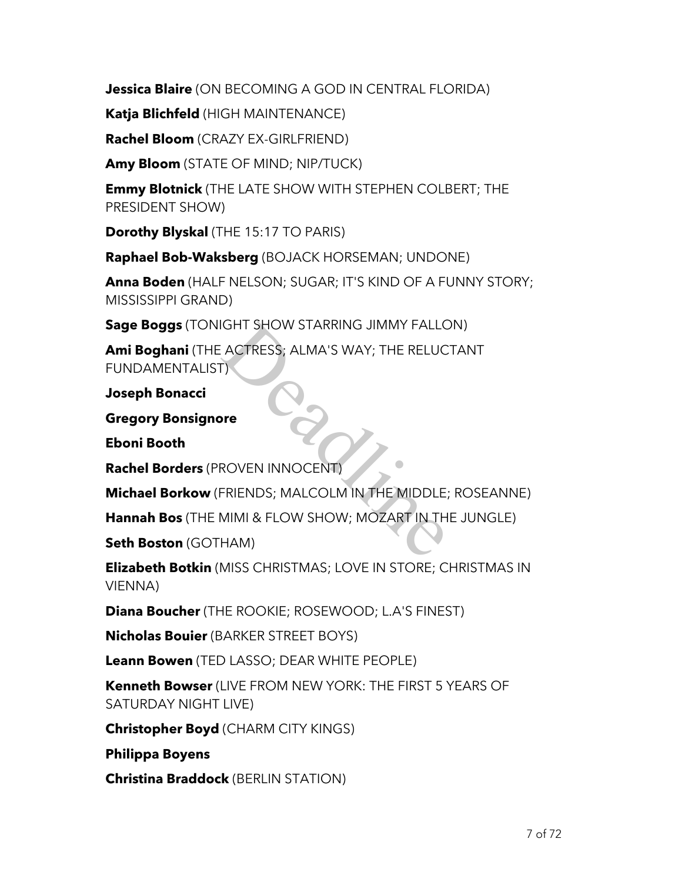**Jessica Blaire** (ON BECOMING A GOD IN CENTRAL FLORIDA)

**Katja Blichfeld** (HIGH MAINTENANCE)

**Rachel Bloom** (CRAZY EX-GIRLFRIEND)

**Amy Bloom** (STATE OF MIND; NIP/TUCK)

**Emmy Blotnick** (THE LATE SHOW WITH STEPHEN COLBERT; THE PRESIDENT SHOW)

**Dorothy Blyskal** (THE 15:17 TO PARIS)

**Raphael Bob-Waksberg** (BOJACK HORSEMAN; UNDONE)

**Anna Boden** (HALF NELSON; SUGAR; IT'S KIND OF A FUNNY STORY; MISSISSIPPI GRAND)

**Sage Boggs** (TONIGHT SHOW STARRING JIMMY FALLON)

**Ami Boghani** (THE ACTRESS; ALMA'S WAY; THE RELUCTANT FUNDAMENTALIST) IGHT SHOW STARRING JIMMY FALLO<br>
EACTRESS; ALMA'S WAY; THE RELUC<br>
D<br>
PERENDS; MALCOLM IN THE MIDDLE;<br>
MIMI & FLOW SHOW; MOZART IN TH<br>
HAM)

**Joseph Bonacci**

**Gregory Bonsignore**

**Eboni Booth**

**Rachel Borders** (PROVEN INNOCENT)

**Michael Borkow** (FRIENDS; MALCOLM IN THE MIDDLE; ROSEANNE)

**Hannah Bos** (THE MIMI & FLOW SHOW; MOZART IN THE JUNGLE)

**Seth Boston** (GOTHAM)

**Elizabeth Botkin** (MISS CHRISTMAS; LOVE IN STORE; CHRISTMAS IN VIENNA)

**Diana Boucher** (THE ROOKIE; ROSEWOOD; L.A'S FINEST)

**Nicholas Bouier** (BARKER STREET BOYS)

**Leann Bowen** (TED LASSO; DEAR WHITE PEOPLE)

**Kenneth Bowser** (LIVE FROM NEW YORK: THE FIRST 5 YEARS OF SATURDAY NIGHT LIVE)

**Christopher Boyd** (CHARM CITY KINGS)

**Philippa Boyens**

**Christina Braddock** (BERLIN STATION)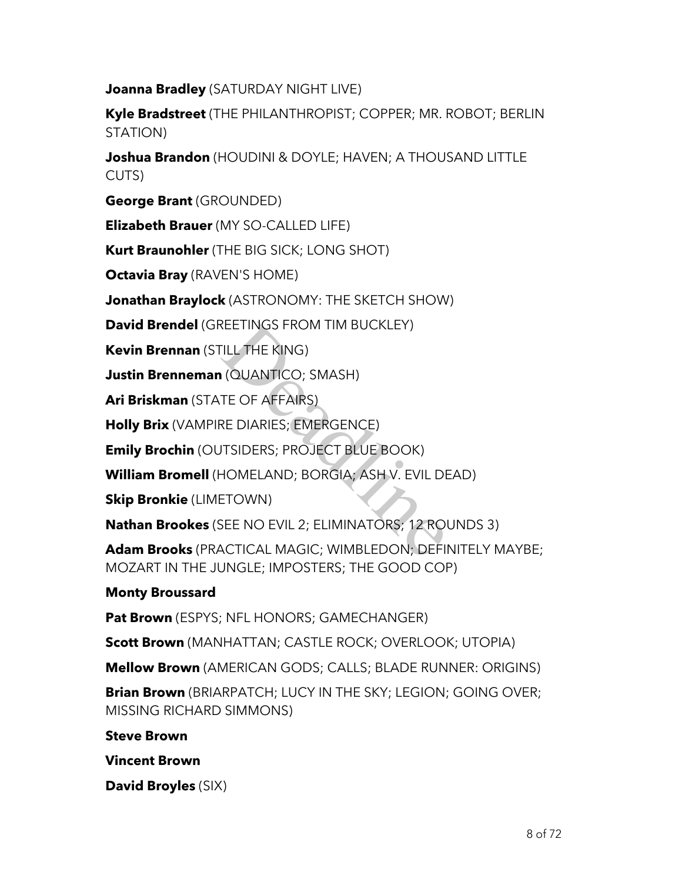**Joanna Bradley** (SATURDAY NIGHT LIVE)

**Kyle Bradstreet** (THE PHILANTHROPIST; COPPER; MR. ROBOT; BERLIN STATION)

**Joshua Brandon** (HOUDINI & DOYLE; HAVEN; A THOUSAND LITTLE CUTS)

**George Brant** (GROUNDED)

**Elizabeth Brauer** (MY SO-CALLED LIFE)

**Kurt Braunohler** (THE BIG SICK; LONG SHOT)

**Octavia Bray** (RAVEN'S HOME)

**Jonathan Braylock** (ASTRONOMY: THE SKETCH SHOW)

**David Brendel** (GREETINGS FROM TIM BUCKLEY)

**Kevin Brennan** (STILL THE KING)

**Justin Brenneman** (QUANTICO; SMASH)

**Ari Briskman** (STATE OF AFFAIRS)

**Holly Brix** (VAMPIRE DIARIES; EMERGENCE)

**Emily Brochin** (OUTSIDERS; PROJECT BLUE BOOK)

**William Bromell** (HOMELAND; BORGIA; ASH V. EVIL DEAD)

**Skip Bronkie** (LIMETOWN)

**Nathan Brookes** (SEE NO EVIL 2; ELIMINATORS; 12 ROUNDS 3)

**Adam Brooks** (PRACTICAL MAGIC; WIMBLEDON; DEFINITELY MAYBE; MOZART IN THE JUNGLE; IMPOSTERS; THE GOOD COP) REETINGS FROM TIM BUCKLEY)<br>TILL THE KING)<br>I (QUANTICO; SMASH)<br>TE OF AFFAIRS)<br>RE DIARIES; EMERGENCE)<br>ITSIDERS; PROJECT BLUE BOOK)<br>HOMELAND; BORGIA; ASH V. EVIL DE<br>ETOWN)<br>SEE NO EVIL 2; ELIMINATORS; 12 ROI<br>ACTICAL MAGIC; WIM

### **Monty Broussard**

**Pat Brown** (ESPYS; NFL HONORS; GAMECHANGER)

**Scott Brown** (MANHATTAN; CASTLE ROCK; OVERLOOK; UTOPIA)

**Mellow Brown** (AMERICAN GODS; CALLS; BLADE RUNNER: ORIGINS)

**Brian Brown** (BRIARPATCH; LUCY IN THE SKY; LEGION; GOING OVER; MISSING RICHARD SIMMONS)

**Steve Brown**

**Vincent Brown**

**David Broyles** (SIX)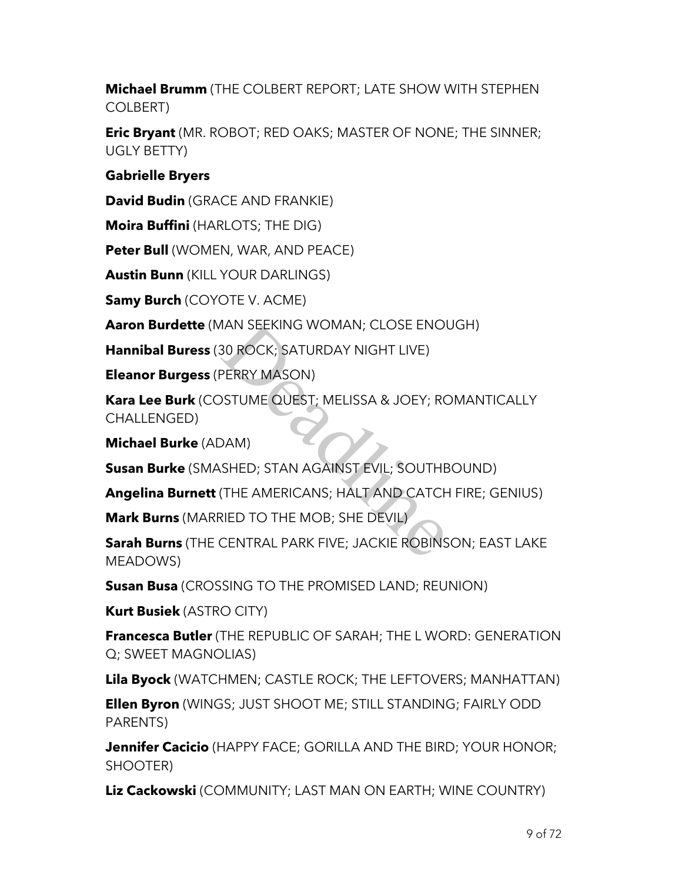**Michael Brumm** (THE COLBERT REPORT; LATE SHOW WITH STEPHEN COLBERT)

**Eric Bryant** (MR. ROBOT; RED OAKS; MASTER OF NONE; THE SINNER; UGLY BETTY)

### **Gabrielle Bryers**

**David Budin** (GRACE AND FRANKIE)

**Moira Buffini** (HARLOTS; THE DIG)

**Peter Bull** (WOMEN, WAR, AND PEACE)

**Austin Bunn** (KILL YOUR DARLINGS)

**Samy Burch** (COYOTE V. ACME)

**Aaron Burdette** (MAN SEEKING WOMAN; CLOSE ENOUGH)

**Hannibal Buress** (30 ROCK; SATURDAY NIGHT LIVE)

**Eleanor Burgess** (PERRY MASON)

**Kara Lee Burk** (COSTUME QUEST; MELISSA & JOEY; ROMANTICALLY CHALLENGED) MAN SEEKING WOMAN; CLOSE ENOU<br>30 ROCK; SATURDAY NIGHT LIVE)<br>PERRY MASON)<br>DSTUME QUEST; MELISSA & JOEY; RO<br>DAM)<br>SHED; STAN AGAINST EVIL; SOUTHE<br>(THE AMERICANS; HALT AND CATCH<br>RIED TO THE MOB; SHE DEVIL)<br>CENTRAL PARK FIVE; J

**Michael Burke** (ADAM)

**Susan Burke** (SMASHED; STAN AGAINST EVIL; SOUTHBOUND)

**Angelina Burnett** (THE AMERICANS; HALT AND CATCH FIRE; GENIUS)

**Mark Burns** (MARRIED TO THE MOB; SHE DEVIL)

**Sarah Burns** (THE CENTRAL PARK FIVE; JACKIE ROBINSON; EAST LAKE MEADOWS)

**Susan Busa** (CROSSING TO THE PROMISED LAND; REUNION)

**Kurt Busiek** (ASTRO CITY)

**Francesca Butler** (THE REPUBLIC OF SARAH; THE L WORD: GENERATION Q; SWEET MAGNOLIAS)

**Lila Byock** (WATCHMEN; CASTLE ROCK; THE LEFTOVERS; MANHATTAN)

**Ellen Byron** (WINGS; JUST SHOOT ME; STILL STANDING; FAIRLY ODD PARENTS)

**Jennifer Cacicio** (HAPPY FACE; GORILLA AND THE BIRD; YOUR HONOR; SHOOTER)

**Liz Cackowski** (COMMUNITY; LAST MAN ON EARTH; WINE COUNTRY)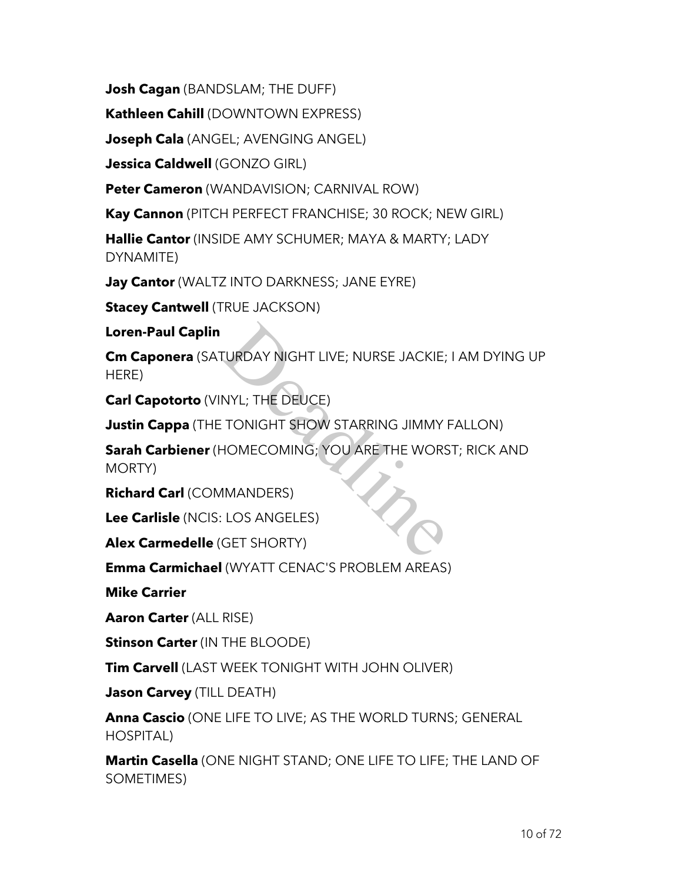**Josh Cagan** (BANDSLAM; THE DUFF)

**Kathleen Cahill** (DOWNTOWN EXPRESS)

**Joseph Cala** (ANGEL; AVENGING ANGEL)

**Jessica Caldwell** (GONZO GIRL)

**Peter Cameron** (WANDAVISION; CARNIVAL ROW)

**Kay Cannon** (PITCH PERFECT FRANCHISE; 30 ROCK; NEW GIRL)

**Hallie Cantor** (INSIDE AMY SCHUMER; MAYA & MARTY; LADY DYNAMITE)

**Jay Cantor** (WALTZ INTO DARKNESS; JANE EYRE)

**Stacey Cantwell (TRUE JACKSON)** 

**Loren-Paul Caplin**

**Cm Caponera** (SATURDAY NIGHT LIVE; NURSE JACKIE; I AM DYING UP HERE)

**Carl Capotorto** (VINYL; THE DEUCE)

**Justin Cappa** (THE TONIGHT SHOW STARRING JIMMY FALLON)

**Sarah Carbiener** (HOMECOMING; YOU ARE THE WORST; RICK AND MORTY) TURDAY NIGHT LIVE; NURSE JACKIE;<br>NYL; THE DEUCE)<br>: TONIGHT SHOW STARRING JIMMY<br>HOMECOMING; YOU ARE THE WORS<br>1MANDERS)<br>: LOS ANGELES)<br>GET SHORTY)

**Richard Carl** (COMMANDERS)

**Lee Carlisle** (NCIS: LOS ANGELES)

**Alex Carmedelle** (GET SHORTY)

**Emma Carmichael** (WYATT CENAC'S PROBLEM AREAS)

**Mike Carrier**

**Aaron Carter** (ALL RISE)

**Stinson Carter** (IN THE BLOODE)

**Tim Carvell** (LAST WEEK TONIGHT WITH JOHN OLIVER)

**Jason Carvey** (TILL DEATH)

**Anna Cascio** (ONE LIFE TO LIVE; AS THE WORLD TURNS; GENERAL HOSPITAL)

**Martin Casella** (ONE NIGHT STAND; ONE LIFE TO LIFE; THE LAND OF SOMETIMES)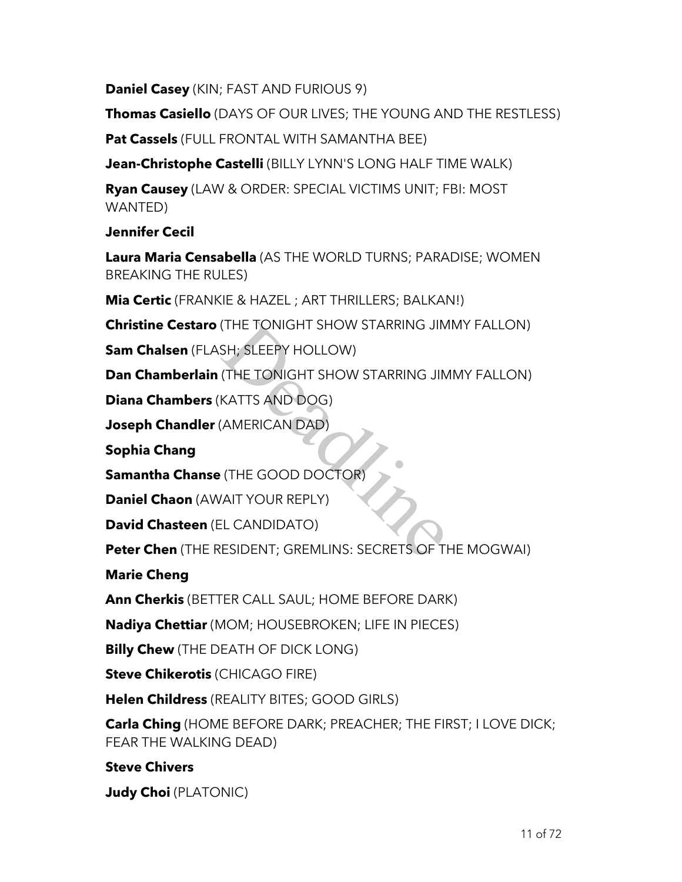**Daniel Casey** (KIN; FAST AND FURIOUS 9)

**Thomas Casiello** (DAYS OF OUR LIVES; THE YOUNG AND THE RESTLESS)

**Pat Cassels** (FULL FRONTAL WITH SAMANTHA BEE)

**Jean-Christophe Castelli** (BILLY LYNN'S LONG HALF TIME WALK)

**Ryan Causey** (LAW & ORDER: SPECIAL VICTIMS UNIT; FBI: MOST WANTED)

**Jennifer Cecil**

**Laura Maria Censabella** (AS THE WORLD TURNS; PARADISE; WOMEN BREAKING THE RULES)

**Mia Certic** (FRANKIE & HAZEL ; ART THRILLERS; BALKAN!)

**Christine Cestaro** (THE TONIGHT SHOW STARRING JIMMY FALLON)

**Sam Chalsen** (FLASH; SLEEPY HOLLOW)

**Dan Chamberlain** (THE TONIGHT SHOW STARRING JIMMY FALLON)

**Diana Chambers** (KATTS AND DOG)

**Joseph Chandler** (AMERICAN DAD)

**Sophia Chang**

**Samantha Chanse** (THE GOOD DOCTOR)

**Daniel Chaon** (AWAIT YOUR REPLY)

**David Chasteen** (EL CANDIDATO)

**Peter Chen** (THE RESIDENT; GREMLINS: SECRETS OF THE MOGWAI) (THE TONIGHT SHOW STARRING JIM<br>SH; SLEEPY HOLLOW)<br>(THE TONIGHT SHOW STARRING JIM<br>KATTS AND DOG)<br>(AMERICAN DAD)<br>(THE GOOD DOCTOR)<br>VAIT YOUR REPLY)<br>EL CANDIDATO)<br>ESIDENT; GREMLINS: SECRETS OF TI

**Marie Cheng**

**Ann Cherkis** (BETTER CALL SAUL; HOME BEFORE DARK)

**Nadiya Chettiar** (MOM; HOUSEBROKEN; LIFE IN PIECES)

**Billy Chew** (THE DEATH OF DICK LONG)

**Steve Chikerotis** (CHICAGO FIRE)

**Helen Childress** (REALITY BITES; GOOD GIRLS)

**Carla Ching** (HOME BEFORE DARK; PREACHER; THE FIRST; I LOVE DICK; FEAR THE WALKING DEAD)

**Steve Chivers**

**Judy Choi** (PLATONIC)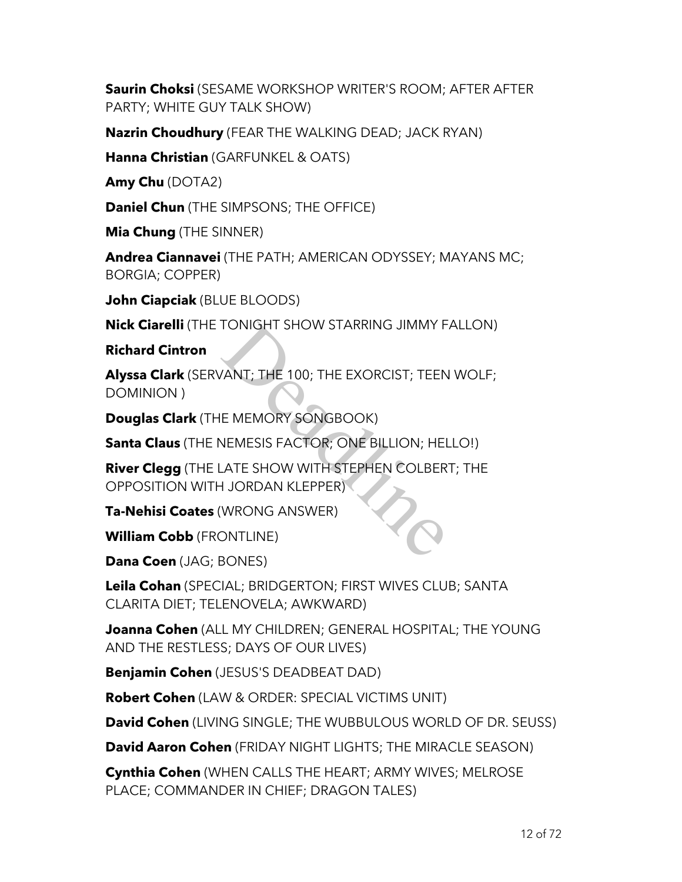**Saurin Choksi** (SESAME WORKSHOP WRITER'S ROOM; AFTER AFTER PARTY; WHITE GUY TALK SHOW)

**Nazrin Choudhury** (FEAR THE WALKING DEAD; JACK RYAN)

**Hanna Christian** (GARFUNKEL & OATS)

**Amy Chu** (DOTA2)

**Daniel Chun** (THE SIMPSONS; THE OFFICE)

**Mia Chung** (THE SINNER)

**Andrea Ciannavei** (THE PATH; AMERICAN ODYSSEY; MAYANS MC; BORGIA; COPPER)

**John Ciapciak** (BLUE BLOODS)

**Nick Ciarelli** (THE TONIGHT SHOW STARRING JIMMY FALLON)

**Richard Cintron**

**Alyssa Clark** (SERVANT; THE 100; THE EXORCIST; TEEN WOLF; DOMINION ) TONIGHT SHOW STARRING JIMMY F<br>
VANT; THE 100; THE EXORCIST; TEEN<br>
E MEMORY SONGBOOK)<br>
NEMESIS FACTOR; ONE BILLION; HEL<br>
ATE SHOW WITH STEPHEN COLBER<br>
H JORDAN KLEPPER)<br>
WRONG ANSWER)<br>
DNTLINE)

**Douglas Clark** (THE MEMORY SONGBOOK)

**Santa Claus** (THE NEMESIS FACTOR; ONE BILLION; HELLO!)

**River Clegg** (THE LATE SHOW WITH STEPHEN COLBERT; THE OPPOSITION WITH JORDAN KLEPPER)

**Ta-Nehisi Coates** (WRONG ANSWER)

**William Cobb** (FRONTLINE)

**Dana Coen** (JAG; BONES)

**Leila Cohan** (SPECIAL; BRIDGERTON; FIRST WIVES CLUB; SANTA CLARITA DIET; TELENOVELA; AWKWARD)

**Joanna Cohen** (ALL MY CHILDREN; GENERAL HOSPITAL; THE YOUNG AND THE RESTLESS; DAYS OF OUR LIVES)

**Benjamin Cohen** (JESUS'S DEADBEAT DAD)

**Robert Cohen** (LAW & ORDER: SPECIAL VICTIMS UNIT)

**David Cohen** (LIVING SINGLE; THE WUBBULOUS WORLD OF DR. SEUSS)

**David Aaron Cohen** (FRIDAY NIGHT LIGHTS; THE MIRACLE SEASON)

**Cynthia Cohen** (WHEN CALLS THE HEART; ARMY WIVES; MELROSE PLACE; COMMANDER IN CHIEF; DRAGON TALES)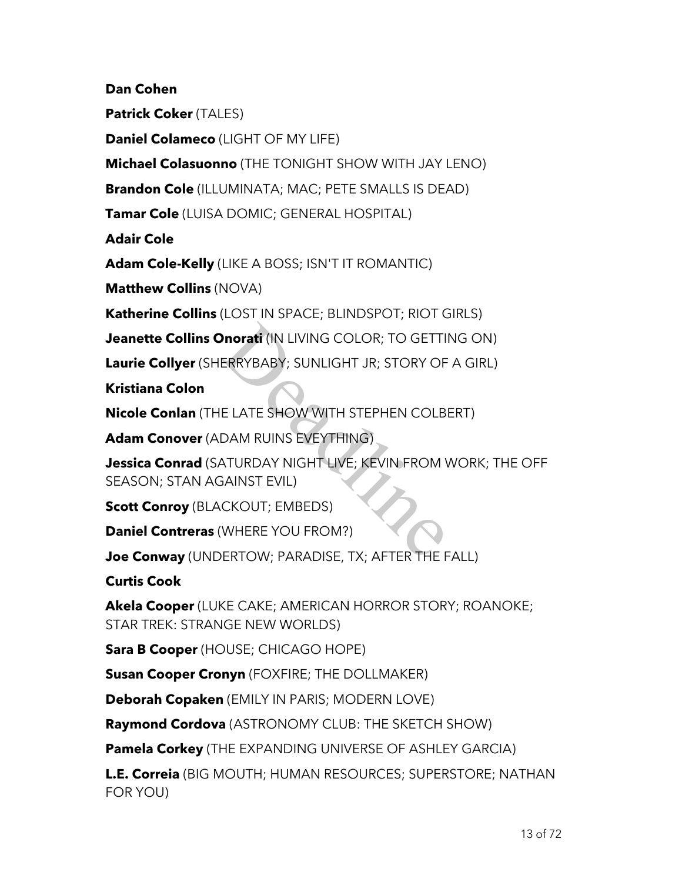**Dan Cohen**

**Patrick Coker** (TALES)

**Daniel Colameco** (LIGHT OF MY LIFE)

**Michael Colasuonno** (THE TONIGHT SHOW WITH JAY LENO)

**Brandon Cole** (ILLUMINATA; MAC; PETE SMALLS IS DEAD)

**Tamar Cole** (LUISA DOMIC; GENERAL HOSPITAL)

**Adair Cole**

**Adam Cole-Kelly** (LIKE A BOSS; ISN'T IT ROMANTIC)

**Matthew Collins** (NOVA)

**Katherine Collins** (LOST IN SPACE; BLINDSPOT; RIOT GIRLS)

**Jeanette Collins Onorati** (IN LIVING COLOR; TO GETTING ON)

**Laurie Collyer** (SHERRYBABY; SUNLIGHT JR; STORY OF A GIRL)

**Kristiana Colon**

**Nicole Conlan** (THE LATE SHOW WITH STEPHEN COLBERT)

**Adam Conover** (ADAM RUINS EVEYTHING)

**Jessica Conrad** (SATURDAY NIGHT LIVE; KEVIN FROM WORK; THE OFF SEASON; STAN AGAINST EVIL) **Properti** (IN LIVING COLOR; TO GETTI<br>ERRYBABY; SUNLIGHT JR; STORY OF<br>E LATE SHOW WITH STEPHEN COLB<br>DAM RUINS EVEYTHING)<br>ATURDAY NIGHT LIVE; KEVIN FROM N<br>GAINST EVIL)<br>CKOUT; EMBEDS)<br>WHERE YOU FROM?)

**Scott Conroy** (BLACKOUT; EMBEDS)

**Daniel Contreras** (WHERE YOU FROM?)

**Joe Conway** (UNDERTOW; PARADISE, TX; AFTER THE FALL)

**Curtis Cook**

**Akela Cooper** (LUKE CAKE; AMERICAN HORROR STORY; ROANOKE; STAR TREK: STRANGE NEW WORLDS)

**Sara B Cooper** (HOUSE; CHICAGO HOPE)

**Susan Cooper Cronyn** (FOXFIRE; THE DOLLMAKER)

**Deborah Copaken** (EMILY IN PARIS; MODERN LOVE)

**Raymond Cordova** (ASTRONOMY CLUB: THE SKETCH SHOW)

**Pamela Corkey** (THE EXPANDING UNIVERSE OF ASHLEY GARCIA)

**L.E. Correia** (BIG MOUTH; HUMAN RESOURCES; SUPERSTORE; NATHAN FOR YOU)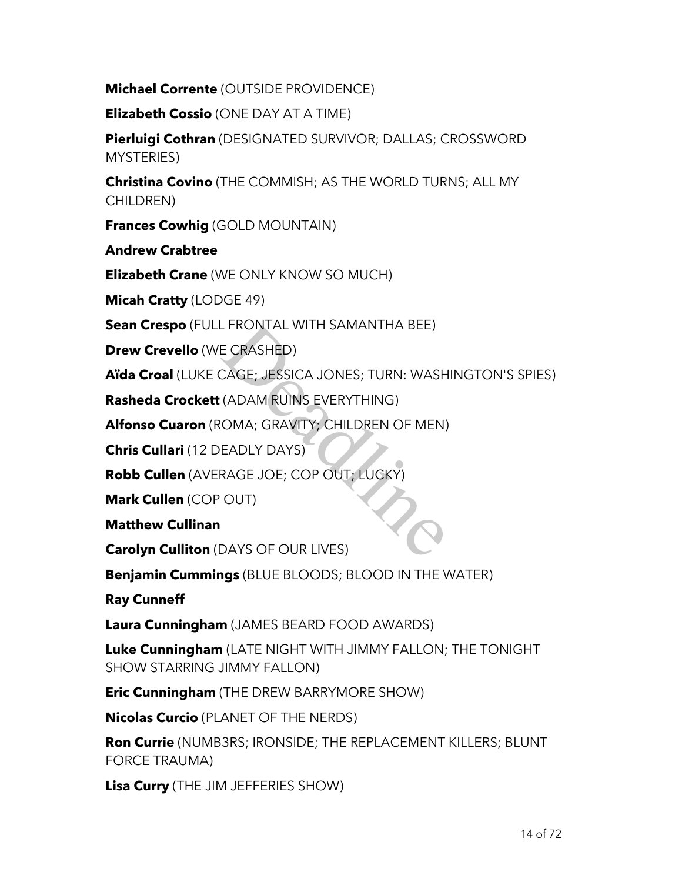**Michael Corrente** (OUTSIDE PROVIDENCE)

**Elizabeth Cossio** (ONE DAY AT A TIME)

**Pierluigi Cothran** (DESIGNATED SURVIVOR; DALLAS; CROSSWORD MYSTERIES)

**Christina Covino** (THE COMMISH; AS THE WORLD TURNS; ALL MY CHILDREN)

**Frances Cowhig** (GOLD MOUNTAIN)

**Andrew Crabtree**

**Elizabeth Crane** (WE ONLY KNOW SO MUCH)

**Micah Cratty** (LODGE 49)

**Sean Crespo** (FULL FRONTAL WITH SAMANTHA BEE)

**Drew Crevello** (WE CRASHED)

**Aïda Croal** (LUKE CAGE; JESSICA JONES; TURN: WASHINGTON'S SPIES) - FRONTAL WITH SAMANTHA BEE)<br>E CRASHED)<br>CAGE; JESSICA JONES; TURN: WASH<br>(ADAM RUINS EVERYTHING)<br>OMA; GRAVITY; CHILDREN OF MEN)<br>EADLY DAYS)<br>RAGE JOE; COP OUT; LUCKY)<br>OUT)<br>DAYS OF OUR LIVES)

**Rasheda Crockett** (ADAM RUINS EVERYTHING)

**Alfonso Cuaron** (ROMA; GRAVITY; CHILDREN OF MEN)

**Chris Cullari** (12 DEADLY DAYS)

**Robb Cullen** (AVERAGE JOE; COP OUT; LUCKY)

**Mark Cullen** (COP OUT)

**Matthew Cullinan**

**Carolyn Culliton** (DAYS OF OUR LIVES)

**Benjamin Cummings** (BLUE BLOODS; BLOOD IN THE WATER)

**Ray Cunneff**

**Laura Cunningham** (JAMES BEARD FOOD AWARDS)

**Luke Cunningham** (LATE NIGHT WITH JIMMY FALLON; THE TONIGHT SHOW STARRING JIMMY FALLON)

**Eric Cunningham** (THE DREW BARRYMORE SHOW)

**Nicolas Curcio** (PLANET OF THE NERDS)

**Ron Currie** (NUMB3RS; IRONSIDE; THE REPLACEMENT KILLERS; BLUNT FORCE TRAUMA)

**Lisa Curry** (THE JIM JEFFERIES SHOW)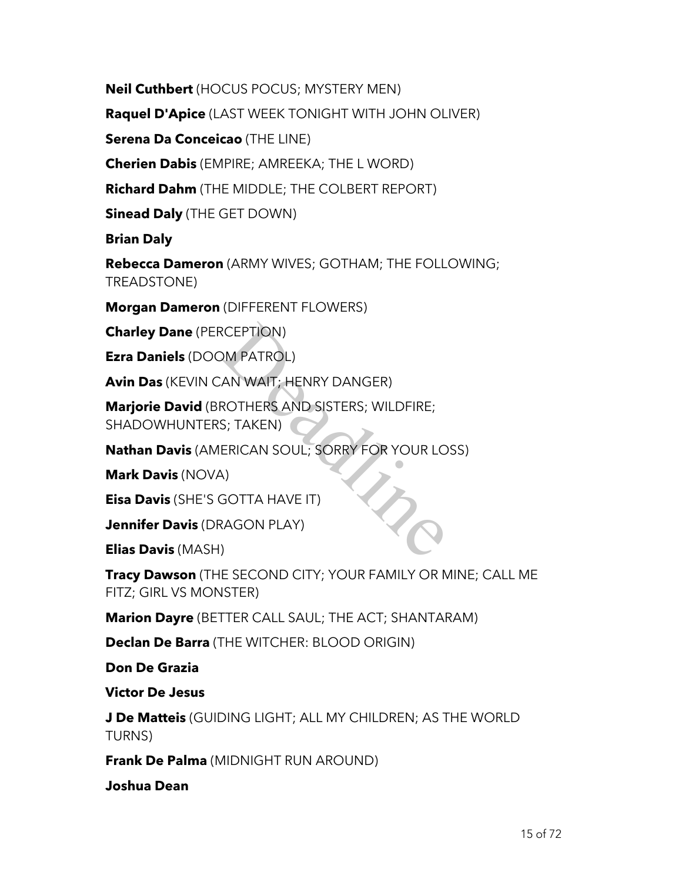**Neil Cuthbert** (HOCUS POCUS; MYSTERY MEN)

**Raquel D'Apice** (LAST WEEK TONIGHT WITH JOHN OLIVER)

**Serena Da Conceicao** (THE LINE)

**Cherien Dabis** (EMPIRE; AMREEKA; THE L WORD)

**Richard Dahm** (THE MIDDLE; THE COLBERT REPORT)

**Sinead Daly** (THE GET DOWN)

**Brian Daly**

**Rebecca Dameron** (ARMY WIVES; GOTHAM; THE FOLLOWING; TREADSTONE)

**Morgan Dameron** (DIFFERENT FLOWERS)

**Charley Dane** (PERCEPTION)

**Ezra Daniels** (DOOM PATROL)

**Avin Das** (KEVIN CAN WAIT; HENRY DANGER)

**Marjorie David** (BROTHERS AND SISTERS; WILDFIRE; SHADOWHUNTERS; TAKEN) RCEPTION)<br>DM PATROL)<br>AN WAIT; HENRY DANGER)<br>ROTHERS AND SISTERS; WILDFIRE;<br>S; TAKEN)<br>ERICAN SOUL; SORRY FOR YOUR LO<br>4)<br>GOTTA HAVE IT)<br>RAGON PLAY)

**Nathan Davis** (AMERICAN SOUL; SORRY FOR YOUR LOSS)

**Mark Davis** (NOVA)

**Eisa Davis** (SHE'S GOTTA HAVE IT)

**Jennifer Davis** (DRAGON PLAY)

**Elias Davis** (MASH)

**Tracy Dawson** (THE SECOND CITY; YOUR FAMILY OR MINE; CALL ME FITZ; GIRL VS MONSTER)

**Marion Dayre** (BETTER CALL SAUL; THE ACT; SHANTARAM)

**Declan De Barra** (THE WITCHER: BLOOD ORIGIN)

**Don De Grazia**

**Victor De Jesus**

**J De Matteis** (GUIDING LIGHT; ALL MY CHILDREN; AS THE WORLD TURNS)

**Frank De Palma** (MIDNIGHT RUN AROUND)

**Joshua Dean**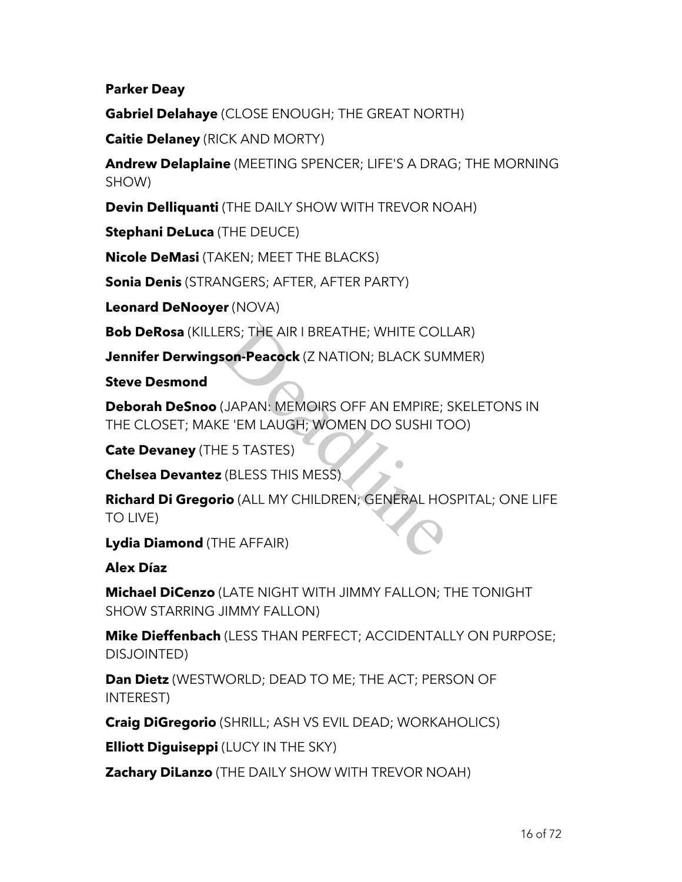#### **Parker Deay**

**Gabriel Delahaye** (CLOSE ENOUGH; THE GREAT NORTH)

**Caitie Delaney** (RICK AND MORTY)

**Andrew Delaplaine** (MEETING SPENCER; LIFE'S A DRAG; THE MORNING SHOW)

**Devin Delliquanti** (THE DAILY SHOW WITH TREVOR NOAH)

**Stephani DeLuca** (THE DEUCE)

**Nicole DeMasi** (TAKEN; MEET THE BLACKS)

**Sonia Denis** (STRANGERS; AFTER, AFTER PARTY)

**Leonard DeNooyer** (NOVA)

**Bob DeRosa** (KILLERS; THE AIR I BREATHE; WHITE COLLAR)

**Jennifer Derwingson-Peacock** (Z NATION; BLACK SUMMER)

**Steve Desmond**

**Deborah DeSnoo** (JAPAN: MEMOIRS OFF AN EMPIRE; SKELETONS IN THE CLOSET; MAKE 'EM LAUGH; WOMEN DO SUSHI TOO) ERS; THE AIR I BREATHE; WHITE COLI<br> **son-Peacock** (Z NATION; BLACK SUN<br>
(JAPAN: MEMOIRS OFF AN EMPIRE; :<br>
E 'EM LAUGH; WOMEN DO SUSHI TO<br>
E 5 TASTES)<br>
: (BLESS THIS MESS)<br> **io** (ALL MY CHILDREN; GENERAL HO<br>
HE AFFAIR)

**Cate Devaney** (THE 5 TASTES)

**Chelsea Devantez** (BLESS THIS MESS)

**Richard Di Gregorio** (ALL MY CHILDREN; GENERAL HOSPITAL; ONE LIFE TO LIVE)

**Lydia Diamond** (THE AFFAIR)

**Alex Díaz**

**Michael DiCenzo** (LATE NIGHT WITH JIMMY FALLON; THE TONIGHT SHOW STARRING JIMMY FALLON)

**Mike Dieffenbach** (LESS THAN PERFECT; ACCIDENTALLY ON PURPOSE; DISJOINTED)

**Dan Dietz** (WESTWORLD; DEAD TO ME; THE ACT; PERSON OF INTEREST)

**Craig DiGregorio** (SHRILL; ASH VS EVIL DEAD; WORKAHOLICS)

**Elliott Diguiseppi** (LUCY IN THE SKY)

**Zachary DiLanzo** (THE DAILY SHOW WITH TREVOR NOAH)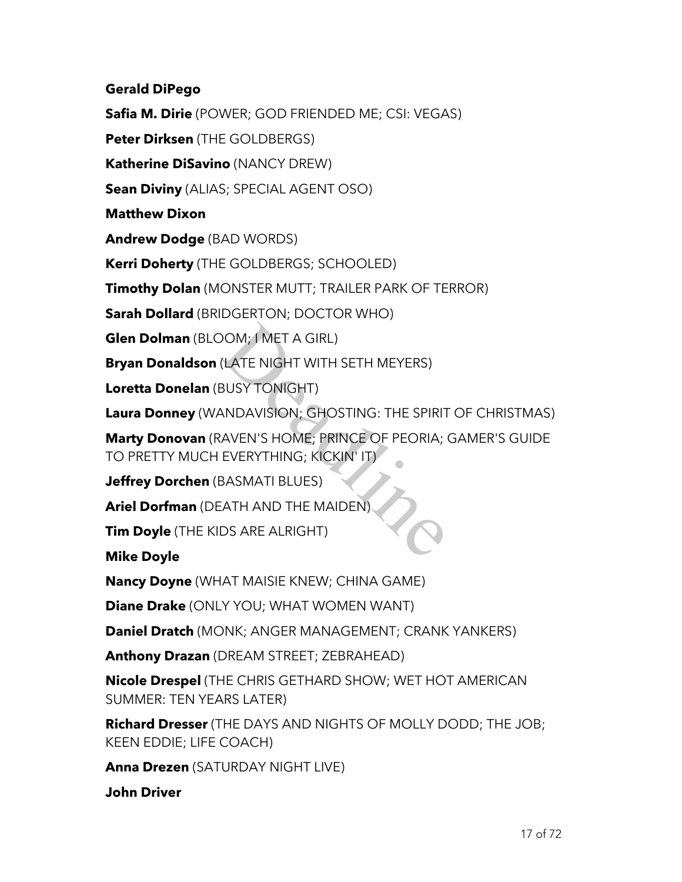#### **Gerald DiPego**

**Safia M. Dirie** (POWER; GOD FRIENDED ME; CSI: VEGAS)

**Peter Dirksen** (THE GOLDBERGS)

**Katherine DiSavino** (NANCY DREW)

**Sean Diviny** (ALIAS; SPECIAL AGENT OSO)

**Matthew Dixon**

**Andrew Dodge** (BAD WORDS)

**Kerri Doherty** (THE GOLDBERGS; SCHOOLED)

**Timothy Dolan** (MONSTER MUTT; TRAILER PARK OF TERROR)

**Sarah Dollard** (BRIDGERTON; DOCTOR WHO)

**Glen Dolman** (BLOOM; I MET A GIRL)

**Bryan Donaldson** (LATE NIGHT WITH SETH MEYERS)

**Loretta Donelan** (BUSY TONIGHT)

**Laura Donney** (WANDAVISION; GHOSTING: THE SPIRIT OF CHRISTMAS)

**Marty Donovan** (RAVEN'S HOME; PRINCE OF PEORIA; GAMER'S GUIDE TO PRETTY MUCH EVERYTHING; KICKIN' IT) NOM; 1 MET A GIRL)<br>(LATE NIGHT WITH SETH MEYERS)<br>BUSY TONIGHT)<br>ANDAVISION; GHOSTING: THE SPIRIT<br>AVEN'S HOME; PRINCE OF PEORIA;<br>EVERYTHING; KICKIN' IT)<br>BASMATI BLUES)<br>DS ARE ALRIGHT)

**Jeffrey Dorchen** (BASMATI BLUES)

**Ariel Dorfman** (DEATH AND THE MAIDEN)

**Tim Doyle** (THE KIDS ARE ALRIGHT)

**Mike Doyle**

**Nancy Doyne** (WHAT MAISIE KNEW; CHINA GAME)

**Diane Drake** (ONLY YOU; WHAT WOMEN WANT)

**Daniel Dratch** (MONK; ANGER MANAGEMENT; CRANK YANKERS)

**Anthony Drazan** (DREAM STREET; ZEBRAHEAD)

**Nicole Drespel** (THE CHRIS GETHARD SHOW; WET HOT AMERICAN SUMMER: TEN YEARS LATER)

**Richard Dresser** (THE DAYS AND NIGHTS OF MOLLY DODD; THE JOB; KEEN EDDIE; LIFE COACH)

**Anna Drezen** (SATURDAY NIGHT LIVE)

**John Driver**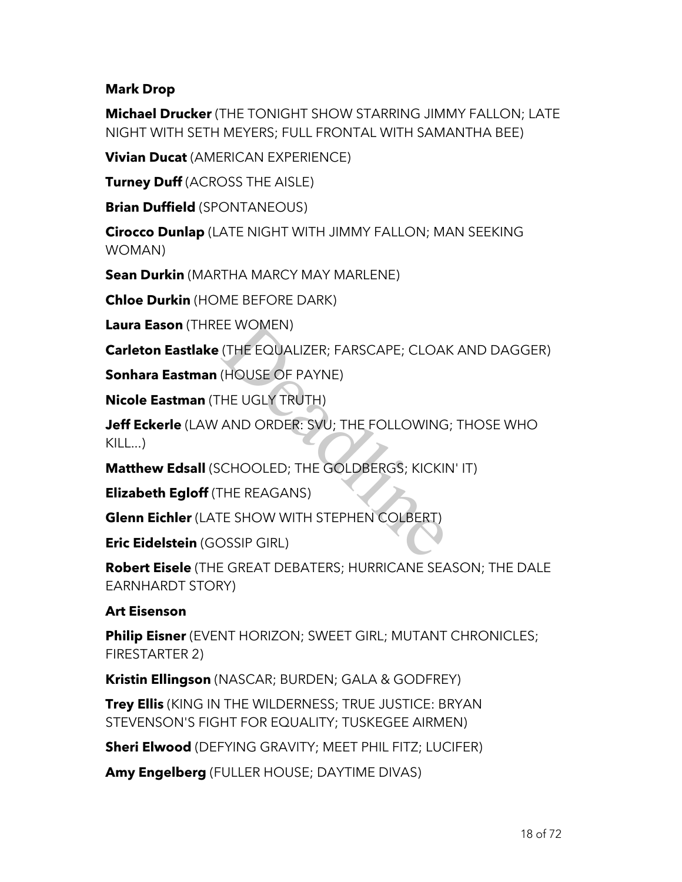### **Mark Drop**

**Michael Drucker** (THE TONIGHT SHOW STARRING JIMMY FALLON; LATE NIGHT WITH SETH MEYERS; FULL FRONTAL WITH SAMANTHA BEE)

**Vivian Ducat** (AMERICAN EXPERIENCE)

**Turney Duff** (ACROSS THE AISLE)

**Brian Duffield** (SPONTANEOUS)

**Cirocco Dunlap** (LATE NIGHT WITH JIMMY FALLON; MAN SEEKING WOMAN)

**Sean Durkin** (MARTHA MARCY MAY MARLENE)

**Chloe Durkin** (HOME BEFORE DARK)

**Laura Eason** (THREE WOMEN)

**Carleton Eastlake** (THE EQUALIZER; FARSCAPE; CLOAK AND DAGGER)

**Sonhara Eastman** (HOUSE OF PAYNE)

**Nicole Eastman** (THE UGLY TRUTH)

**Jeff Eckerle** (LAW AND ORDER: SVU; THE FOLLOWING; THOSE WHO  $KII$   $\Box$ ) EE WOMEN)<br>(THE EQUALIZER; FARSCAPE; CLOAP<br>(HOUSE OF PAYNE)<br>HE UGLY TRUTH)<br>AND ORDER: SVU; THE FOLLOWING<br>CHOOLED; THE GOLDBERGS; KICKIP<br>THE REAGANS)<br>E SHOW WITH STEPHEN COLBERT)<br>DSSIP GIRL)

**Matthew Edsall** (SCHOOLED; THE GOLDBERGS; KICKIN' IT)

**Elizabeth Egloff** (THE REAGANS)

**Glenn Eichler** (LATE SHOW WITH STEPHEN COLBERT)

**Eric Eidelstein** (GOSSIP GIRL)

**Robert Eisele** (THE GREAT DEBATERS; HURRICANE SEASON; THE DALE EARNHARDT STORY)

## **Art Eisenson**

**Philip Eisner** (EVENT HORIZON; SWEET GIRL; MUTANT CHRONICLES; FIRESTARTER 2)

**Kristin Ellingson** (NASCAR; BURDEN; GALA & GODFREY)

**Trey Ellis** (KING IN THE WILDERNESS; TRUE JUSTICE: BRYAN STEVENSON'S FIGHT FOR EQUALITY; TUSKEGEE AIRMEN)

**Sheri Elwood** (DEFYING GRAVITY; MEET PHIL FITZ; LUCIFER)

**Amy Engelberg** (FULLER HOUSE; DAYTIME DIVAS)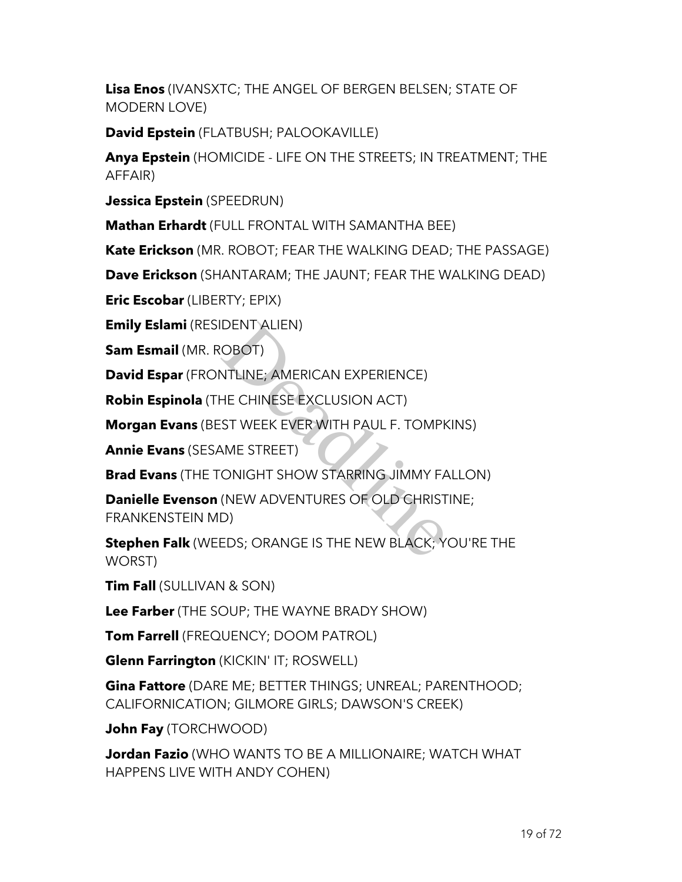**Lisa Enos** (IVANSXTC; THE ANGEL OF BERGEN BELSEN; STATE OF MODERN LOVE)

**David Epstein** (FLATBUSH; PALOOKAVILLE)

**Anya Epstein** (HOMICIDE - LIFE ON THE STREETS; IN TREATMENT; THE AFFAIR)

**Jessica Epstein** (SPEEDRUN)

**Mathan Erhardt** (FULL FRONTAL WITH SAMANTHA BEE)

**Kate Erickson** (MR. ROBOT; FEAR THE WALKING DEAD; THE PASSAGE)

**Dave Erickson** (SHANTARAM; THE JAUNT; FEAR THE WALKING DEAD)

**Eric Escobar** (LIBERTY; EPIX)

**Emily Eslami** (RESIDENT ALIEN)

**Sam Esmail** (MR. ROBOT)

**David Espar** (FRONTLINE; AMERICAN EXPERIENCE)

**Robin Espinola** (THE CHINESE EXCLUSION ACT)

**Morgan Evans** (BEST WEEK EVER WITH PAUL F. TOMPKINS)

**Annie Evans** (SESAME STREET)

**Brad Evans** (THE TONIGHT SHOW STARRING JIMMY FALLON)

**Danielle Evenson** (NEW ADVENTURES OF OLD CHRISTINE; FRANKENSTEIN MD) DENT ALIEN)<br>
OBOT)<br>
NTLINE; AMERICAN EXPERIENCE)<br>
HE CHINESE EXCLUSION ACT)<br>
ST WEEK EVER WITH PAUL F. TOMPK<br>
AME STREET)<br>
ONIGHT SHOW STARRING JIMMY FA<br>
(NEW ADVENTURES OF OLD CHRIST<br>
D)<br>
EDS; ORANGE IS THE NEW BLACK; Y

**Stephen Falk** (WEEDS; ORANGE IS THE NEW BLACK; YOU'RE THE WORST)

**Tim Fall** (SULLIVAN & SON)

**Lee Farber** (THE SOUP; THE WAYNE BRADY SHOW)

**Tom Farrell** (FREQUENCY; DOOM PATROL)

**Glenn Farrington** (KICKIN' IT; ROSWELL)

**Gina Fattore** (DARE ME; BETTER THINGS; UNREAL; PARENTHOOD; CALIFORNICATION; GILMORE GIRLS; DAWSON'S CREEK)

**John Fay** (TORCHWOOD)

**Jordan Fazio** (WHO WANTS TO BE A MILLIONAIRE; WATCH WHAT HAPPENS LIVE WITH ANDY COHEN)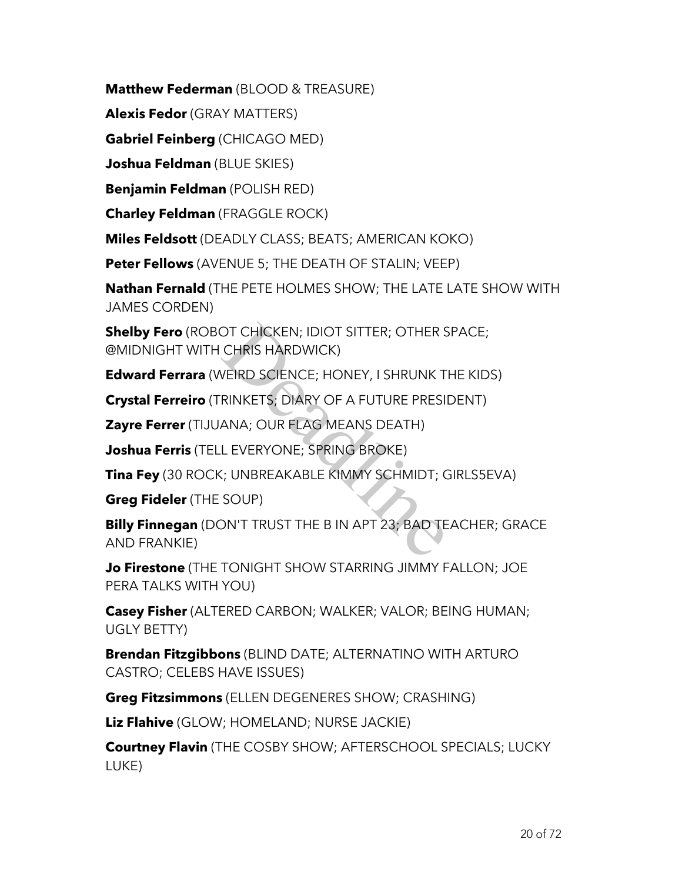**Matthew Federman** (BLOOD & TREASURE)

**Alexis Fedor** (GRAY MATTERS)

**Gabriel Feinberg** (CHICAGO MED)

**Joshua Feldman** (BLUE SKIES)

**Benjamin Feldman** (POLISH RED)

**Charley Feldman** (FRAGGLE ROCK)

**Miles Feldsott** (DEADLY CLASS; BEATS; AMERICAN KOKO)

**Peter Fellows** (AVENUE 5; THE DEATH OF STALIN; VEEP)

**Nathan Fernald** (THE PETE HOLMES SHOW; THE LATE LATE SHOW WITH JAMES CORDEN)

**Shelby Fero** (ROBOT CHICKEN; IDIOT SITTER; OTHER SPACE; @MIDNIGHT WITH CHRIS HARDWICK) OT CHICKEN; IDIOT SITTER; OTHER S<br>CHRIS HARDWICK)<br>VEIRD SCIENCE; HONEY, I SHRUNK T<br>RINKETS; DIARY OF A FUTURE PRESII<br>ANA; OUR FLAG MEANS DEATH)<br>L EVERYONE; SPRING BROKE)<br>C; UNBREAKABLE KIMMY SCHMIDT; C<br>SOUP)<br>DN'T TRUST THE

**Edward Ferrara** (WEIRD SCIENCE; HONEY, I SHRUNK THE KIDS)

**Crystal Ferreiro** (TRINKETS; DIARY OF A FUTURE PRESIDENT)

**Zayre Ferrer** (TIJUANA; OUR FLAG MEANS DEATH)

**Joshua Ferris** (TELL EVERYONE; SPRING BROKE)

**Tina Fey** (30 ROCK; UNBREAKABLE KIMMY SCHMIDT; GIRLS5EVA)

**Greg Fideler** (THE SOUP)

**Billy Finnegan** (DON'T TRUST THE B IN APT 23; BAD TEACHER; GRACE AND FRANKIE)

**Jo Firestone** (THE TONIGHT SHOW STARRING JIMMY FALLON; JOE PERA TALKS WITH YOU)

**Casey Fisher** (ALTERED CARBON; WALKER; VALOR; BEING HUMAN; UGLY BETTY)

**Brendan Fitzgibbons** (BLIND DATE; ALTERNATINO WITH ARTURO CASTRO; CELEBS HAVE ISSUES)

**Greg Fitzsimmons** (ELLEN DEGENERES SHOW; CRASHING)

**Liz Flahive** (GLOW; HOMELAND; NURSE JACKIE)

**Courtney Flavin** (THE COSBY SHOW; AFTERSCHOOL SPECIALS; LUCKY LUKE)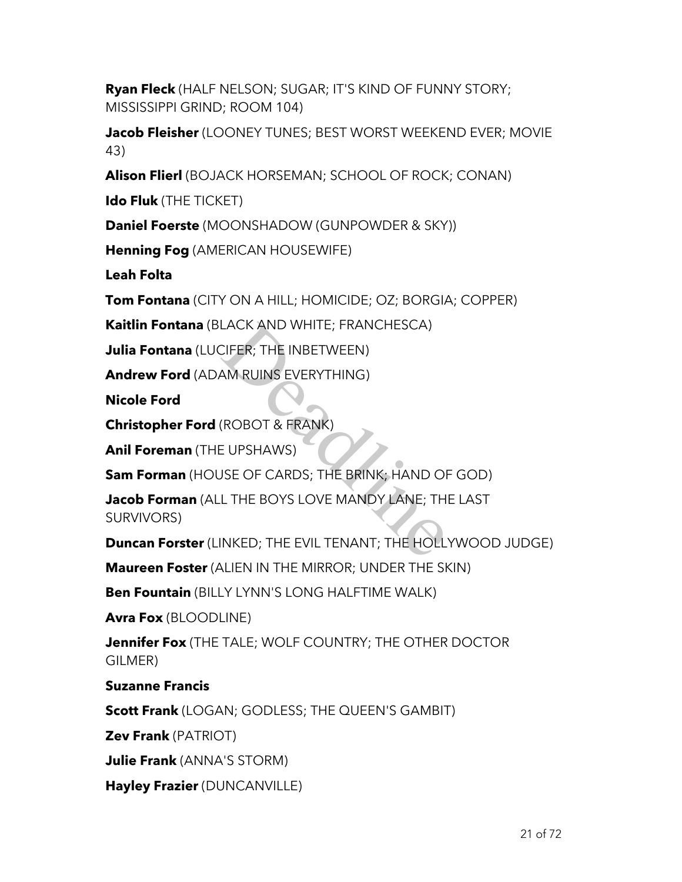**Ryan Fleck** (HALF NELSON; SUGAR; IT'S KIND OF FUNNY STORY; MISSISSIPPI GRIND; ROOM 104)

**Jacob Fleisher** (LOONEY TUNES; BEST WORST WEEKEND EVER; MOVIE 43)

**Alison Flierl** (BOJACK HORSEMAN; SCHOOL OF ROCK; CONAN)

**Ido Fluk** (THE TICKET)

**Daniel Foerste** (MOONSHADOW (GUNPOWDER & SKY))

**Henning Fog** (AMERICAN HOUSEWIFE)

**Leah Folta**

**Tom Fontana** (CITY ON A HILL; HOMICIDE; OZ; BORGIA; COPPER)

**Kaitlin Fontana** (BLACK AND WHITE; FRANCHESCA)

**Julia Fontana** (LUCIFER; THE INBETWEEN)

**Andrew Ford** (ADAM RUINS EVERYTHING)

**Nicole Ford**

**Christopher Ford** (ROBOT & FRANK)

**Anil Foreman** (THE UPSHAWS)

**Sam Forman** (HOUSE OF CARDS; THE BRINK; HAND OF GOD)

**Jacob Forman** (ALL THE BOYS LOVE MANDY LANE; THE LAST SURVIVORS) LACK AND WHITE; FRANCHESCA)<br>CIFER; THE INBETWEEN)<br>AM RUINS EVERYTHING)<br>(ROBOT & FRANK)<br>JSE OF CARDS; THE BRINK; HAND OF<br>L THE BOYS LOVE MANDY LANE; TH<br>INKED; THE EVIL TENANT; THE HOLL

**Duncan Forster** (LINKED; THE EVIL TENANT; THE HOLLYWOOD JUDGE)

**Maureen Foster** (ALIEN IN THE MIRROR; UNDER THE SKIN)

**Ben Fountain** (BILLY LYNN'S LONG HALFTIME WALK)

**Avra Fox** (BLOODLINE)

**Jennifer Fox** (THE TALE; WOLF COUNTRY; THE OTHER DOCTOR GILMER)

### **Suzanne Francis**

**Scott Frank** (LOGAN; GODLESS; THE QUEEN'S GAMBIT)

**Zev Frank** (PATRIOT)

**Julie Frank** (ANNA'S STORM)

**Hayley Frazier** (DUNCANVILLE)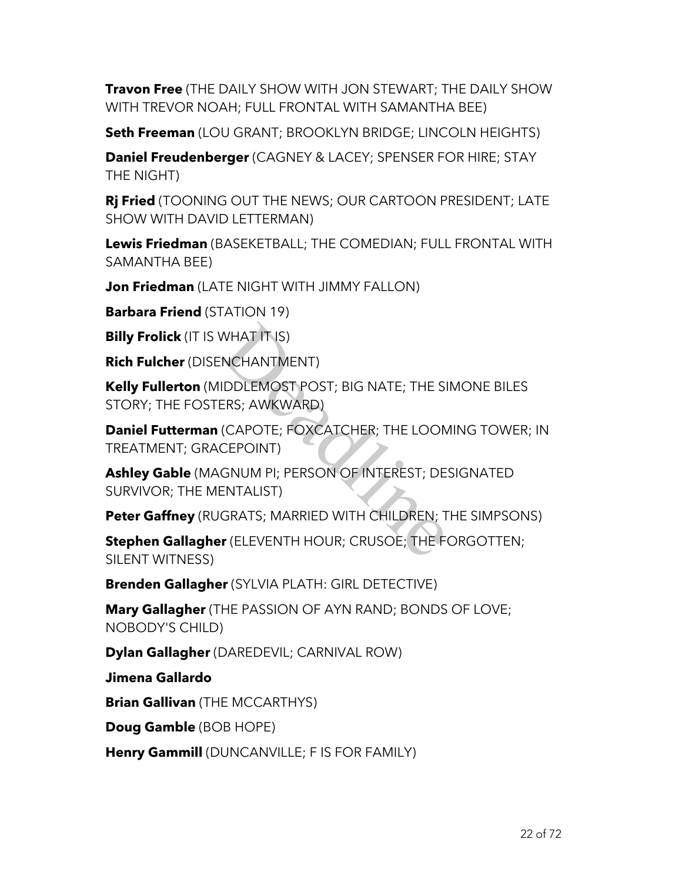**Travon Free** (THE DAILY SHOW WITH JON STEWART; THE DAILY SHOW WITH TREVOR NOAH; FULL FRONTAL WITH SAMANTHA BEE)

**Seth Freeman** (LOU GRANT; BROOKLYN BRIDGE; LINCOLN HEIGHTS)

**Daniel Freudenberger** (CAGNEY & LACEY; SPENSER FOR HIRE; STAY THE NIGHT)

**Rj Fried** (TOONING OUT THE NEWS; OUR CARTOON PRESIDENT; LATE SHOW WITH DAVID LETTERMAN)

**Lewis Friedman** (BASEKETBALL; THE COMEDIAN; FULL FRONTAL WITH SAMANTHA BEE)

**Jon Friedman** (LATE NIGHT WITH JIMMY FALLON)

**Barbara Friend** (STATION 19)

**Billy Frolick** (IT IS WHAT IT IS)

**Rich Fulcher** (DISENCHANTMENT)

**Kelly Fullerton** (MIDDLEMOST POST; BIG NATE; THE SIMONE BILES STORY; THE FOSTERS; AWKWARD)

**Daniel Futterman** (CAPOTE; FOXCATCHER; THE LOOMING TOWER; IN TREATMENT; GRACEPOINT)

**Ashley Gable** (MAGNUM PI; PERSON OF INTEREST; DESIGNATED SURVIVOR; THE MENTALIST) WHAT IT IS)<br>
NCHANTMENT)<br>
IDDLEMOST POST; BIG NATE; THE SI<br>
ERS; AWKWARD)<br>
(CAPOTE; FOXCATCHER; THE LOON<br>
CEPOINT)<br>
GNUM PI; PERSON OF INTEREST; DE<br>ENTALIST)<br>
GRATS; MARRIED WITH CHILDREN; T<br>
r (ELEVENTH HOUR; CRUSOE; THE

**Peter Gaffney** (RUGRATS; MARRIED WITH CHILDREN; THE SIMPSONS)

**Stephen Gallagher** (ELEVENTH HOUR; CRUSOE; THE FORGOTTEN; SILENT WITNESS)

**Brenden Gallagher** (SYLVIA PLATH: GIRL DETECTIVE)

**Mary Gallagher** (THE PASSION OF AYN RAND; BONDS OF LOVE; NOBODY'S CHILD)

**Dylan Gallagher** (DAREDEVIL; CARNIVAL ROW)

**Jimena Gallardo**

**Brian Gallivan** (THE MCCARTHYS)

**Doug Gamble** (BOB HOPE)

**Henry Gammill** (DUNCANVILLE; F IS FOR FAMILY)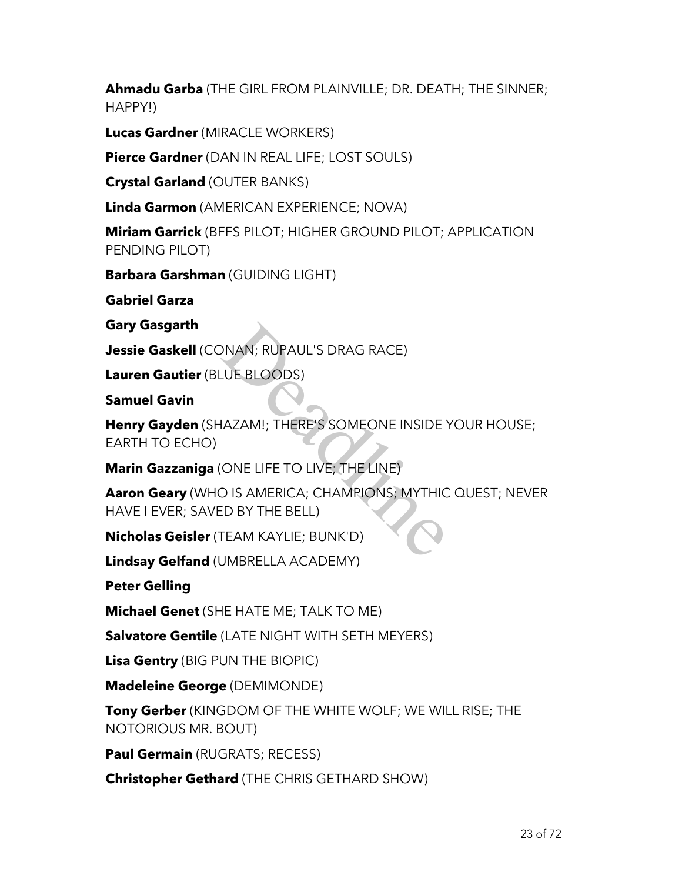**Ahmadu Garba** (THE GIRL FROM PLAINVILLE; DR. DEATH; THE SINNER; HAPPY!)

**Lucas Gardner** (MIRACLE WORKERS)

**Pierce Gardner** (DAN IN REAL LIFE; LOST SOULS)

**Crystal Garland** (OUTER BANKS)

**Linda Garmon** (AMERICAN EXPERIENCE; NOVA)

**Miriam Garrick** (BFFS PILOT; HIGHER GROUND PILOT; APPLICATION PENDING PILOT)

**Barbara Garshman** (GUIDING LIGHT)

**Gabriel Garza**

**Gary Gasgarth**

**Jessie Gaskell** (CONAN; RUPAUL'S DRAG RACE)

**Lauren Gautier** (BLUE BLOODS)

**Samuel Gavin**

**Henry Gayden** (SHAZAM!; THERE'S SOMEONE INSIDE YOUR HOUSE; EARTH TO ECHO) MAN; RUPAUL'S DRAG RACE)<br>
UE BLOODS)<br>
IAZAM!; THERE'S SOMEONE INSIDE<br>
ONE LIFE TO LIVE; THE LINE)<br>
D IS AMERICA; CHAMPIONS; MYTHIC<br>
ED BY THE BELL)<br>
TEAM KAYLIE; BUNK'D)

**Marin Gazzaniga** (ONE LIFE TO LIVE; THE LINE)

**Aaron Geary** (WHO IS AMERICA; CHAMPIONS; MYTHIC QUEST; NEVER HAVE I EVER; SAVED BY THE BELL)

**Nicholas Geisler** (TEAM KAYLIE; BUNK'D)

**Lindsay Gelfand** (UMBRELLA ACADEMY)

**Peter Gelling**

**Michael Genet** (SHE HATE ME; TALK TO ME)

**Salvatore Gentile** (LATE NIGHT WITH SETH MEYERS)

**Lisa Gentry** (BIG PUN THE BIOPIC)

**Madeleine George** (DEMIMONDE)

**Tony Gerber** (KINGDOM OF THE WHITE WOLF; WE WILL RISE; THE NOTORIOUS MR. BOUT)

**Paul Germain** (RUGRATS; RECESS)

**Christopher Gethard** (THE CHRIS GETHARD SHOW)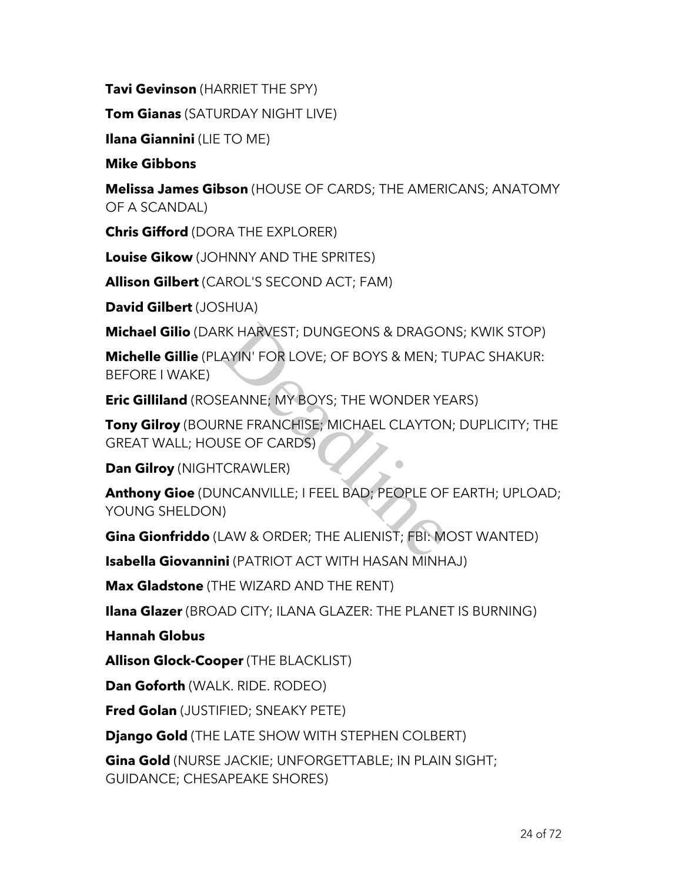**Tavi Gevinson** (HARRIET THE SPY)

**Tom Gianas** (SATURDAY NIGHT LIVE)

**Ilana Giannini** (LIE TO ME)

**Mike Gibbons**

**Melissa James Gibson** (HOUSE OF CARDS; THE AMERICANS; ANATOMY OF A SCANDAL)

**Chris Gifford** (DORA THE EXPLORER)

**Louise Gikow** (JOHNNY AND THE SPRITES)

**Allison Gilbert** (CAROL'S SECOND ACT; FAM)

**David Gilbert** (JOSHUA)

**Michael Gilio** (DARK HARVEST; DUNGEONS & DRAGONS; KWIK STOP)

**Michelle Gillie** (PLAYIN' FOR LOVE; OF BOYS & MEN; TUPAC SHAKUR: BEFORE I WAKE)

**Eric Gilliland** (ROSEANNE; MY BOYS; THE WONDER YEARS)

**Tony Gilroy** (BOURNE FRANCHISE; MICHAEL CLAYTON; DUPLICITY; THE GREAT WALL; HOUSE OF CARDS)

**Dan Gilroy** (NIGHTCRAWLER)

**Anthony Gioe** (DUNCANVILLE; I FEEL BAD; PEOPLE OF EARTH; UPLOAD; YOUNG SHELDON) RK HARVEST; DUNGEONS & DRAGOI<br>AYIN' FOR LOVE; OF BOYS & MEN; T<br>JEANNE; MY BOYS; THE WONDER YE<br>RNE FRANCHISE; MICHAEL CLAYTON<br>JSE OF CARDS)<br>CRAWLER)<br>INCANVILLE; I FEEL BAD; PEOPLE OF<br>I)<br>LAW & ORDER; THE ALIENIST; FBI: MO

**Gina Gionfriddo** (LAW & ORDER; THE ALIENIST; FBI: MOST WANTED)

**Isabella Giovannini** (PATRIOT ACT WITH HASAN MINHAJ)

**Max Gladstone** (THE WIZARD AND THE RENT)

**Ilana Glazer** (BROAD CITY; ILANA GLAZER: THE PLANET IS BURNING)

**Hannah Globus**

**Allison Glock-Cooper** (THE BLACKLIST)

**Dan Goforth** (WALK. RIDE. RODEO)

**Fred Golan** (JUSTIFIED; SNEAKY PETE)

**Django Gold** (THE LATE SHOW WITH STEPHEN COLBERT)

**Gina Gold** (NURSE JACKIE; UNFORGETTABLE; IN PLAIN SIGHT; GUIDANCE; CHESAPEAKE SHORES)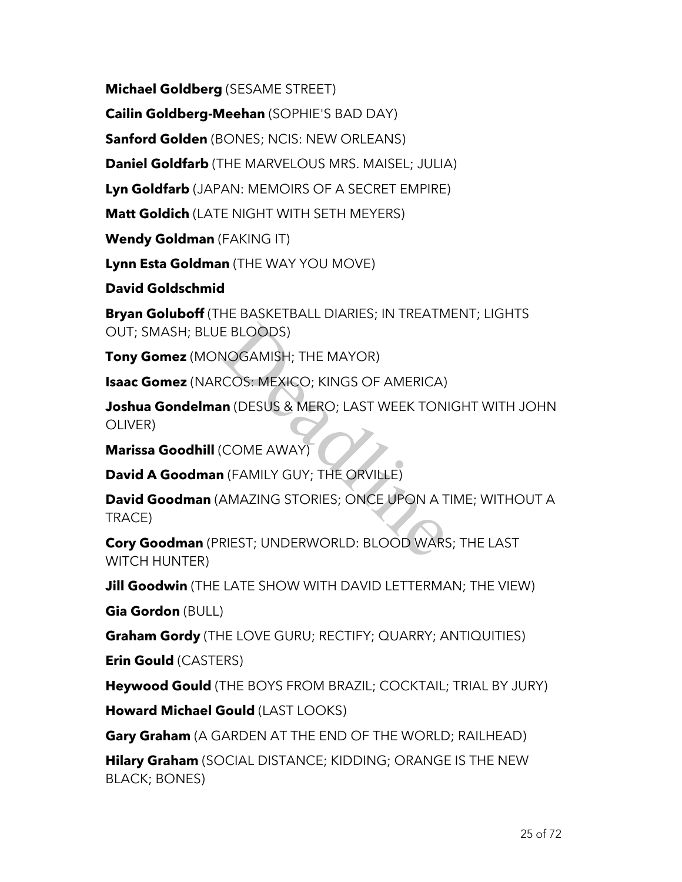**Michael Goldberg** (SESAME STREET)

**Cailin Goldberg-Meehan** (SOPHIE'S BAD DAY)

**Sanford Golden** (BONES; NCIS: NEW ORLEANS)

**Daniel Goldfarb** (THE MARVELOUS MRS. MAISEL; JULIA)

**Lyn Goldfarb** (JAPAN: MEMOIRS OF A SECRET EMPIRE)

**Matt Goldich** (LATE NIGHT WITH SETH MEYERS)

**Wendy Goldman** (FAKING IT)

**Lynn Esta Goldman** (THE WAY YOU MOVE)

**David Goldschmid**

**Bryan Goluboff** (THE BASKETBALL DIARIES; IN TREATMENT; LIGHTS OUT; SMASH; BLUE BLOODS)

**Tony Gomez** (MONOGAMISH; THE MAYOR)

**Isaac Gomez** (NARCOS: MEXICO; KINGS OF AMERICA)

**Joshua Gondelman** (DESUS & MERO; LAST WEEK TONIGHT WITH JOHN OLIVER) E BLOODS)<br>NOGAMISH; THE MAYOR)<br>COS: MEXICO; KINGS OF AMERICA)<br>In (DESUS & MERO; LAST WEEK TON<br>COME AWAY)<br>I (FAMILY GUY; THE ORVILLE)<br>AMAZING STORIES; ONCE UPON A T<br>RIEST; UNDERWORLD: BLOOD WARS

**Marissa Goodhill** (COME AWAY)

**David A Goodman** (FAMILY GUY; THE ORVILLE)

**David Goodman** (AMAZING STORIES; ONCE UPON A TIME; WITHOUT A TRACE)

**Cory Goodman** (PRIEST; UNDERWORLD: BLOOD WARS; THE LAST WITCH HUNTER)

**Jill Goodwin** (THE LATE SHOW WITH DAVID LETTERMAN; THE VIEW)

**Gia Gordon** (BULL)

**Graham Gordy** (THE LOVE GURU; RECTIFY; QUARRY; ANTIQUITIES)

**Erin Gould** (CASTERS)

**Heywood Gould** (THE BOYS FROM BRAZIL; COCKTAIL; TRIAL BY JURY)

**Howard Michael Gould** (LAST LOOKS)

**Gary Graham** (A GARDEN AT THE END OF THE WORLD; RAILHEAD)

**Hilary Graham** (SOCIAL DISTANCE; KIDDING; ORANGE IS THE NEW BLACK; BONES)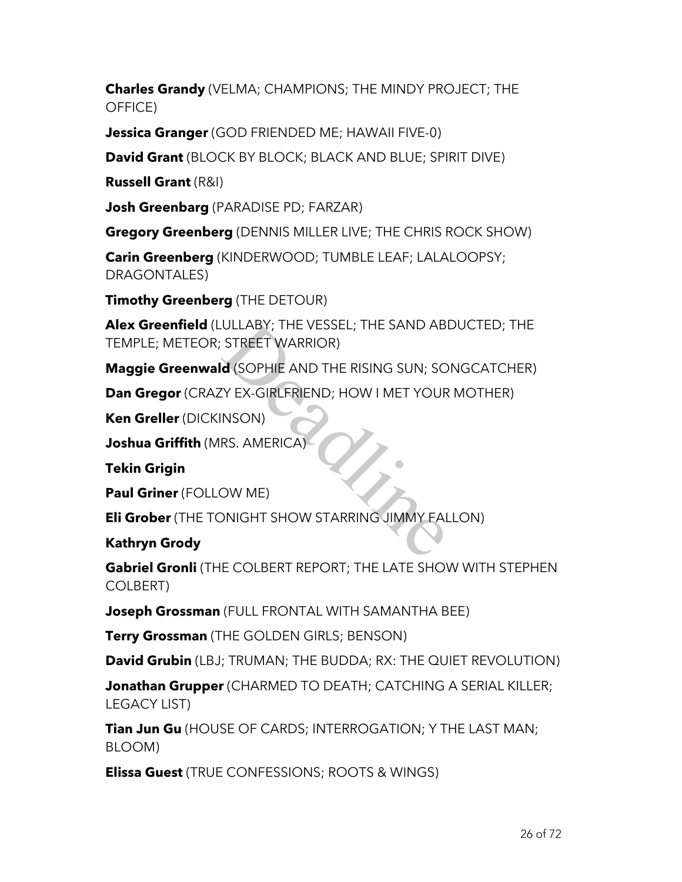**Charles Grandy** (VELMA; CHAMPIONS; THE MINDY PROJECT; THE OFFICE)

**Jessica Granger** (GOD FRIENDED ME; HAWAII FIVE-0)

**David Grant** (BLOCK BY BLOCK; BLACK AND BLUE; SPIRIT DIVE)

**Russell Grant** (R&I)

**Josh Greenbarg** (PARADISE PD; FARZAR)

**Gregory Greenberg** (DENNIS MILLER LIVE; THE CHRIS ROCK SHOW)

**Carin Greenberg** (KINDERWOOD; TUMBLE LEAF; LALALOOPSY; DRAGONTALES)

**Timothy Greenberg** (THE DETOUR)

**Alex Greenfield** (LULLABY; THE VESSEL; THE SAND ABDUCTED; THE TEMPLE; METEOR; STREET WARRIOR) ULLABY; THE VESSEL; THE SAND ABI<br>
STREET WARRIOR)<br> **d** (SOPHIE AND THE RISING SUN; SO<br>
TY EX-GIRLFRIEND; HOW I MET YOUR<br>
INSON)<br>
RS. AMERICA)<br>
OW ME)<br>
DNIGHT SHOW STARRING JIMMY FAL

**Maggie Greenwald** (SOPHIE AND THE RISING SUN; SONGCATCHER)

**Dan Gregor** (CRAZY EX-GIRLFRIEND; HOW I MET YOUR MOTHER)

**Ken Greller** (DICKINSON)

**Joshua Griffith** (MRS. AMERICA)

**Tekin Grigin**

**Paul Griner** (FOLLOW ME)

**Eli Grober** (THE TONIGHT SHOW STARRING JIMMY FALLON)

## **Kathryn Grody**

**Gabriel Gronli** (THE COLBERT REPORT; THE LATE SHOW WITH STEPHEN COLBERT)

**Joseph Grossman** (FULL FRONTAL WITH SAMANTHA BEE)

**Terry Grossman** (THE GOLDEN GIRLS; BENSON)

**David Grubin** (LBJ; TRUMAN; THE BUDDA; RX: THE QUIET REVOLUTION)

**Jonathan Grupper** (CHARMED TO DEATH; CATCHING A SERIAL KILLER; LEGACY LIST)

**Tian Jun Gu** (HOUSE OF CARDS; INTERROGATION; Y THE LAST MAN; BLOOM)

**Elissa Guest** (TRUE CONFESSIONS; ROOTS & WINGS)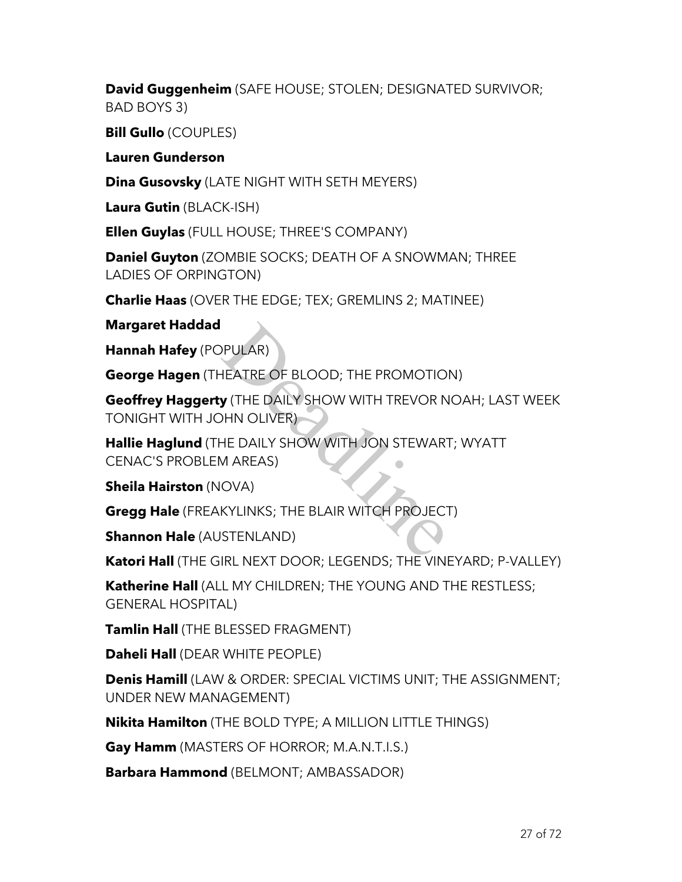**David Guggenheim** (SAFE HOUSE; STOLEN; DESIGNATED SURVIVOR; BAD BOYS 3)

**Bill Gullo** (COUPLES)

**Lauren Gunderson**

**Dina Gusovsky** (LATE NIGHT WITH SETH MEYERS)

**Laura Gutin** (BLACK-ISH)

**Ellen Guylas** (FULL HOUSE; THREE'S COMPANY)

**Daniel Guyton** (ZOMBIE SOCKS; DEATH OF A SNOWMAN; THREE LADIES OF ORPINGTON)

**Charlie Haas** (OVER THE EDGE; TEX; GREMLINS 2; MATINEE)

**Margaret Haddad**

**Hannah Hafey** (POPULAR)

**George Hagen** (THEATRE OF BLOOD; THE PROMOTION)

**Geoffrey Haggerty** (THE DAILY SHOW WITH TREVOR NOAH; LAST WEEK TONIGHT WITH JOHN OLIVER) PULAR)<br>
HEATRE OF BLOOD; THE PROMOTIO<br> **y** (THE DAILY SHOW WITH TREVOR N<br>
DHN OLIVER)<br>
HE DAILY SHOW WITH JON STEWAR<br>
M AREAS)<br>
OVA)<br>
KYLINKS; THE BLAIR WITCH PROJEC<br>
STENLAND)<br>
IPL NEYT DOOR: LEGENDS; THE VINI

**Hallie Haglund** (THE DAILY SHOW WITH JON STEWART; WYATT CENAC'S PROBLEM AREAS)

**Sheila Hairston** (NOVA)

**Gregg Hale** (FREAKYLINKS; THE BLAIR WITCH PROJECT)

**Shannon Hale** (AUSTENLAND)

**Katori Hall** (THE GIRL NEXT DOOR; LEGENDS; THE VINEYARD; P-VALLEY)

**Katherine Hall** (ALL MY CHILDREN; THE YOUNG AND THE RESTLESS; GENERAL HOSPITAL)

**Tamlin Hall** (THE BLESSED FRAGMENT)

**Daheli Hall** (DEAR WHITE PEOPLE)

**Denis Hamill** (LAW & ORDER: SPECIAL VICTIMS UNIT; THE ASSIGNMENT; UNDER NEW MANAGEMENT)

**Nikita Hamilton** (THE BOLD TYPE; A MILLION LITTLE THINGS)

**Gay Hamm** (MASTERS OF HORROR; M.A.N.T.I.S.)

**Barbara Hammond** (BELMONT; AMBASSADOR)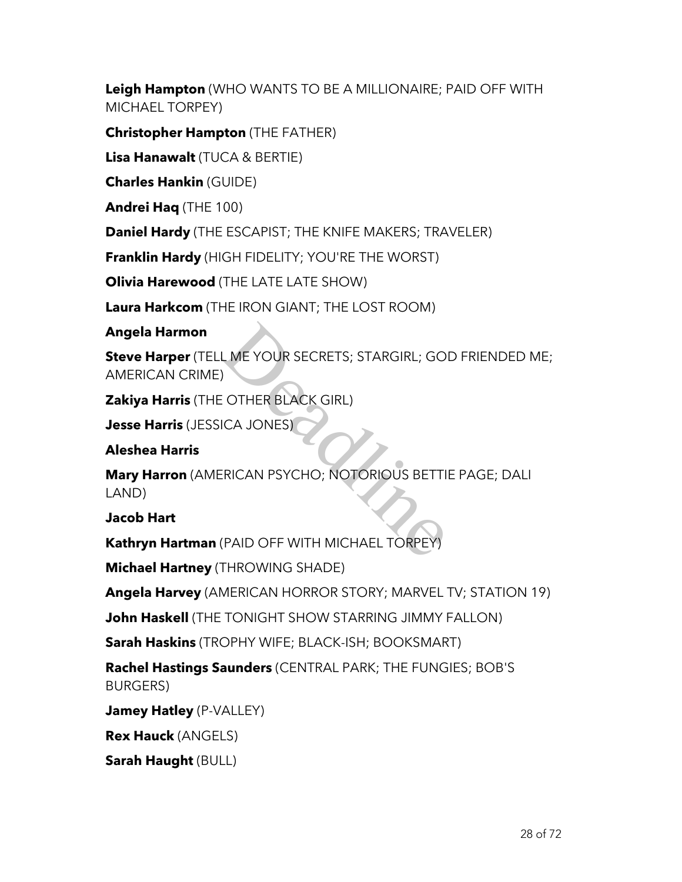**Leigh Hampton** (WHO WANTS TO BE A MILLIONAIRE; PAID OFF WITH MICHAEL TORPEY)

**Christopher Hampton** (THE FATHER)

**Lisa Hanawalt** (TUCA & BERTIE)

**Charles Hankin** (GUIDE)

**Andrei Haq** (THE 100)

**Daniel Hardy** (THE ESCAPIST; THE KNIFE MAKERS; TRAVELER)

**Franklin Hardy** (HIGH FIDELITY; YOU'RE THE WORST)

**Olivia Harewood** (THE LATE LATE SHOW)

**Laura Harkcom** (THE IRON GIANT; THE LOST ROOM)

### **Angela Harmon**

**Steve Harper** (TELL ME YOUR SECRETS; STARGIRL; GOD FRIENDED ME; AMERICAN CRIME)

**Zakiya Harris** (THE OTHER BLACK GIRL)

**Jesse Harris** (JESSICA JONES)

## **Aleshea Harris**

**Mary Harron** (AMERICAN PSYCHO; NOTORIOUS BETTIE PAGE; DALI LAND) L ME YOUR SECRETS; STARGIRL; GO

### **Jacob Hart**

**Kathryn Hartman** (PAID OFF WITH MICHAEL TORPEY)

**Michael Hartney** (THROWING SHADE)

**Angela Harvey** (AMERICAN HORROR STORY; MARVEL TV; STATION 19)

**John Haskell** (THE TONIGHT SHOW STARRING JIMMY FALLON)

**Sarah Haskins** (TROPHY WIFE; BLACK-ISH; BOOKSMART)

**Rachel Hastings Saunders** (CENTRAL PARK; THE FUNGIES; BOB'S BURGERS)

**Jamey Hatley** (P-VALLEY)

**Rex Hauck** (ANGELS)

**Sarah Haught** (BULL)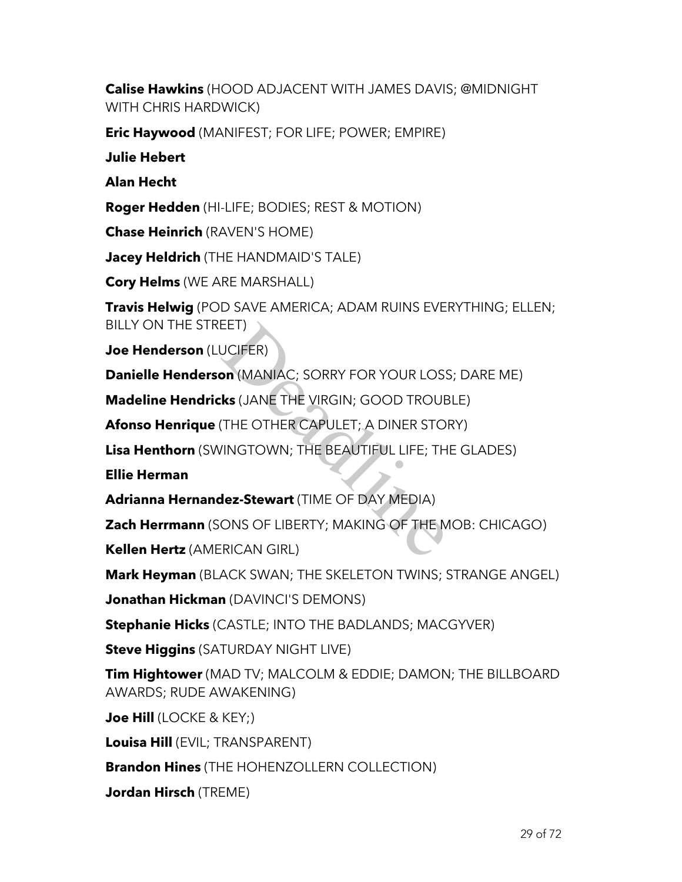**Calise Hawkins** (HOOD ADJACENT WITH JAMES DAVIS; @MIDNIGHT WITH CHRIS HARDWICK)

**Eric Haywood** (MANIFEST; FOR LIFE; POWER; EMPIRE)

**Julie Hebert**

**Alan Hecht**

**Roger Hedden** (HI-LIFE; BODIES; REST & MOTION)

**Chase Heinrich** (RAVEN'S HOME)

**Jacey Heldrich** (THE HANDMAID'S TALE)

**Cory Helms** (WE ARE MARSHALL)

**Travis Helwig** (POD SAVE AMERICA; ADAM RUINS EVERYTHING; ELLEN; BILLY ON THE STREET)

**Joe Henderson** (LUCIFER)

**Danielle Henderson** (MANIAC; SORRY FOR YOUR LOSS; DARE ME)

**Madeline Hendricks** (JANE THE VIRGIN; GOOD TROUBLE)

**Afonso Henrique** (THE OTHER CAPULET; A DINER STORY)

**Lisa Henthorn** (SWINGTOWN; THE BEAUTIFUL LIFE; THE GLADES) EET)<br>JCIFER)<br>**on (MANIAC**; SORRY FOR YOUR LOSS<br>**ks** (JANE THE VIRGIN; GOOD TROUE<br>(THE OTHER CAPULET; A DINER STO<br>/INGTOWN; THE BEAUTIFUL LIFE; TH<br>**dez-Stewart** (TIME OF DAY MEDIA)<br>ONS OF LIBERTY; MAKING OF THE M<br>:RICAN GIR

**Ellie Herman**

**Adrianna Hernandez-Stewart** (TIME OF DAY MEDIA)

**Zach Herrmann** (SONS OF LIBERTY; MAKING OF THE MOB: CHICAGO)

**Kellen Hertz** (AMERICAN GIRL)

**Mark Heyman** (BLACK SWAN; THE SKELETON TWINS; STRANGE ANGEL)

**Jonathan Hickman** (DAVINCI'S DEMONS)

**Stephanie Hicks** (CASTLE; INTO THE BADLANDS; MACGYVER)

**Steve Higgins** (SATURDAY NIGHT LIVE)

**Tim Hightower** (MAD TV; MALCOLM & EDDIE; DAMON; THE BILLBOARD AWARDS; RUDE AWAKENING)

**Joe Hill** (LOCKE & KEY;)

**Louisa Hill** (EVIL; TRANSPARENT)

**Brandon Hines** (THE HOHENZOLLERN COLLECTION)

**Jordan Hirsch** (TREME)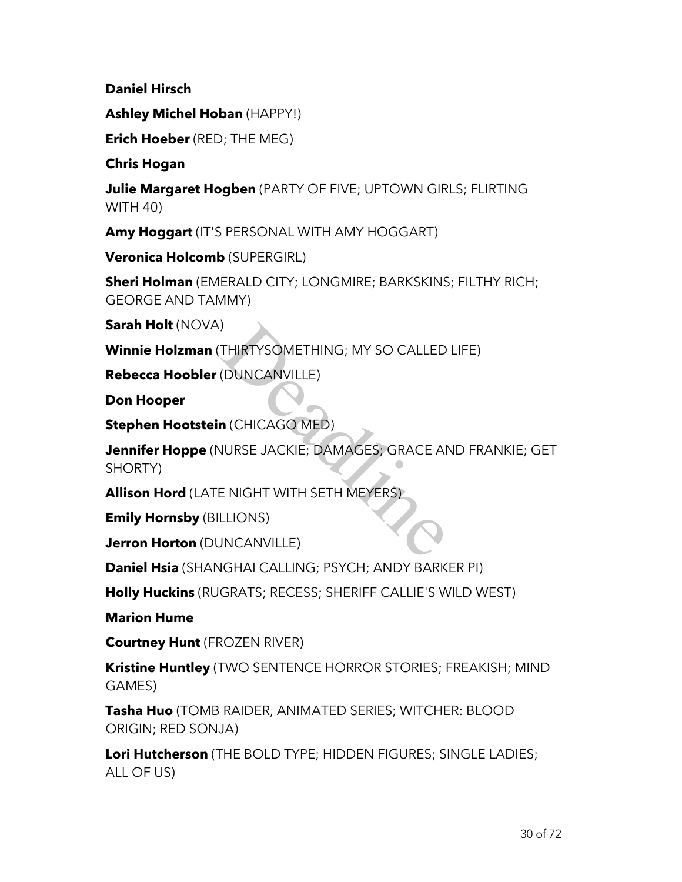**Daniel Hirsch**

**Ashley Michel Hoban** (HAPPY!)

**Erich Hoeber** (RED; THE MEG)

**Chris Hogan**

**Julie Margaret Hogben** (PARTY OF FIVE; UPTOWN GIRLS; FLIRTING WITH 40)

**Amy Hoggart** (IT'S PERSONAL WITH AMY HOGGART)

**Veronica Holcomb** (SUPERGIRL)

**Sheri Holman** (EMERALD CITY; LONGMIRE; BARKSKINS; FILTHY RICH; GEORGE AND TAMMY)

**Sarah Holt** (NOVA)

**Winnie Holzman** (THIRTYSOMETHING; MY SO CALLED LIFE)

**Rebecca Hoobler** (DUNCANVILLE)

**Don Hooper**

**Stephen Hootstein** (CHICAGO MED)

**Jennifer Hoppe** (NURSE JACKIE; DAMAGES; GRACE AND FRANKIE; GET SHORTY) )<br>THIRTYSOMETHING; MY SO CALLED<br>(DUNCANVILLE)<br>**n** (CHICAGO MED)<br>JURSE JACKIE; DAMAGES; GRACE AI<br>E NIGHT WITH SETH MEYERS)<br>LLIONS)<br>JNCANVILLE)

**Allison Hord** (LATE NIGHT WITH SETH MEYERS)

**Emily Hornsby** (BILLIONS)

**Jerron Horton** (DUNCANVILLE)

**Daniel Hsia** (SHANGHAI CALLING; PSYCH; ANDY BARKER PI)

**Holly Huckins** (RUGRATS; RECESS; SHERIFF CALLIE'S WILD WEST)

**Marion Hume**

**Courtney Hunt** (FROZEN RIVER)

**Kristine Huntley** (TWO SENTENCE HORROR STORIES; FREAKISH; MIND GAMES)

**Tasha Huo** (TOMB RAIDER, ANIMATED SERIES; WITCHER: BLOOD ORIGIN; RED SONJA)

**Lori Hutcherson** (THE BOLD TYPE; HIDDEN FIGURES; SINGLE LADIES; ALL OF US)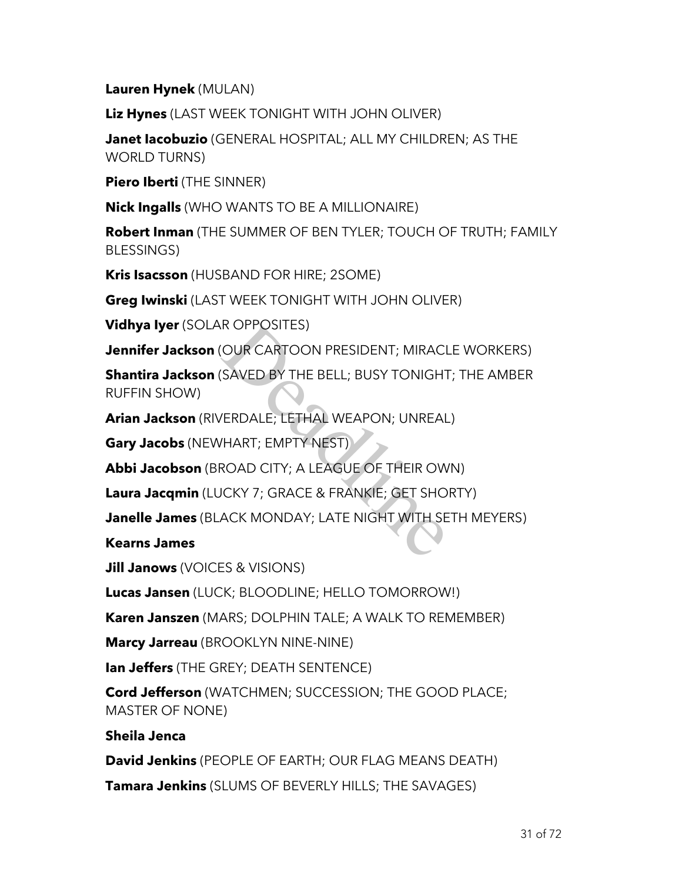**Lauren Hynek** (MULAN)

**Liz Hynes** (LAST WEEK TONIGHT WITH JOHN OLIVER)

**Janet Iacobuzio** (GENERAL HOSPITAL; ALL MY CHILDREN; AS THE WORLD TURNS)

**Piero Iberti** (THE SINNER)

**Nick Ingalls** (WHO WANTS TO BE A MILLIONAIRE)

**Robert Inman** (THE SUMMER OF BEN TYLER; TOUCH OF TRUTH; FAMILY BLESSINGS)

**Kris Isacsson** (HUSBAND FOR HIRE; 2SOME)

**Greg Iwinski** (LAST WEEK TONIGHT WITH JOHN OLIVER)

**Vidhya Iyer** (SOLAR OPPOSITES)

**Jennifer Jackson** (OUR CARTOON PRESIDENT; MIRACLE WORKERS)

**Shantira Jackson** (SAVED BY THE BELL; BUSY TONIGHT; THE AMBER RUFFIN SHOW) R OPPOSITES)<br>(OUR CARTOON PRESIDENT; MIRACI<br>(SAVED BY THE BELL; BUSY TONIGHT)<br>/ERDALE; LETHAL WEAPON; UNREAL<br>/HART; EMPTY NEST)<br>ROAD CITY; A LEAGUE OF THEIR OW<br>JCKY 7; GRACE & FRANKIE; GET SHO<br>ACK MONDAY; LATE NIGHT WITH S

**Arian Jackson** (RIVERDALE; LETHAL WEAPON; UNREAL)

**Gary Jacobs** (NEWHART; EMPTY NEST)

**Abbi Jacobson** (BROAD CITY; A LEAGUE OF THEIR OWN)

**Laura Jacqmin** (LUCKY 7; GRACE & FRANKIE; GET SHORTY)

**Janelle James** (BLACK MONDAY; LATE NIGHT WITH SETH MEYERS)

**Kearns James**

**Jill Janows** (VOICES & VISIONS)

**Lucas Jansen** (LUCK; BLOODLINE; HELLO TOMORROW!)

**Karen Janszen** (MARS; DOLPHIN TALE; A WALK TO REMEMBER)

**Marcy Jarreau** (BROOKLYN NINE-NINE)

**Ian Jeffers** (THE GREY; DEATH SENTENCE)

**Cord Jefferson** (WATCHMEN; SUCCESSION; THE GOOD PLACE; MASTER OF NONE)

**Sheila Jenca**

**David Jenkins** (PEOPLE OF EARTH; OUR FLAG MEANS DEATH)

**Tamara Jenkins** (SLUMS OF BEVERLY HILLS; THE SAVAGES)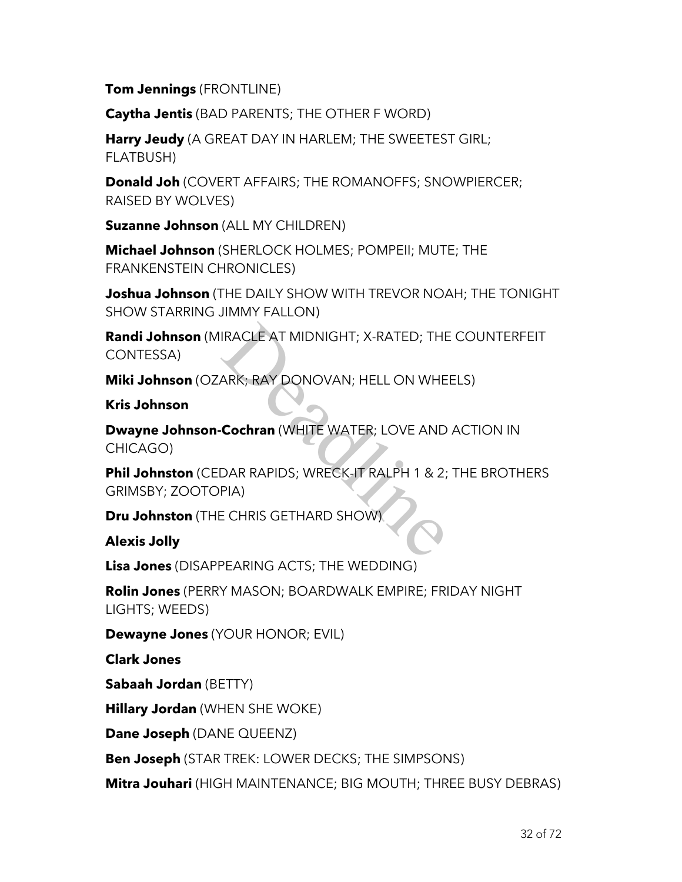**Tom Jennings** (FRONTLINE)

**Caytha Jentis** (BAD PARENTS; THE OTHER F WORD)

**Harry Jeudy** (A GREAT DAY IN HARLEM; THE SWEETEST GIRL; FLATBUSH)

**Donald Joh** (COVERT AFFAIRS; THE ROMANOFFS; SNOWPIERCER; RAISED BY WOLVES)

**Suzanne Johnson** (ALL MY CHILDREN)

**Michael Johnson** (SHERLOCK HOLMES; POMPEII; MUTE; THE FRANKENSTEIN CHRONICLES)

**Joshua Johnson** (THE DAILY SHOW WITH TREVOR NOAH; THE TONIGHT SHOW STARRING JIMMY FALLON)

**Randi Johnson** (MIRACLE AT MIDNIGHT; X-RATED; THE COUNTERFEIT CONTESSA) IRACLE AT MIDNIGHT; X-RATED; THE<br>ARK; RAY DONOVAN; HELL ON WHE<br>**Cochran** (WHITE WATER; LOVE AND<br>DAR RAPIDS; WRECK-IT RALPH 1 & 2;<br>PIA)<br>E CHRIS GETHARD SHOW)

**Miki Johnson** (OZARK; RAY DONOVAN; HELL ON WHEELS)

**Kris Johnson**

**Dwayne Johnson-Cochran** (WHITE WATER; LOVE AND ACTION IN CHICAGO)

**Phil Johnston** (CEDAR RAPIDS; WRECK-IT RALPH 1 & 2; THE BROTHERS GRIMSBY; ZOOTOPIA)

**Dru Johnston** (THE CHRIS GETHARD SHOW)

## **Alexis Jolly**

**Lisa Jones** (DISAPPEARING ACTS; THE WEDDING)

**Rolin Jones** (PERRY MASON; BOARDWALK EMPIRE; FRIDAY NIGHT LIGHTS; WEEDS)

**Dewayne Jones** (YOUR HONOR; EVIL)

**Clark Jones**

**Sabaah Jordan** (BETTY)

**Hillary Jordan** (WHEN SHE WOKE)

**Dane Joseph** (DANE QUEENZ)

**Ben Joseph** (STAR TREK: LOWER DECKS; THE SIMPSONS)

**Mitra Jouhari** (HIGH MAINTENANCE; BIG MOUTH; THREE BUSY DEBRAS)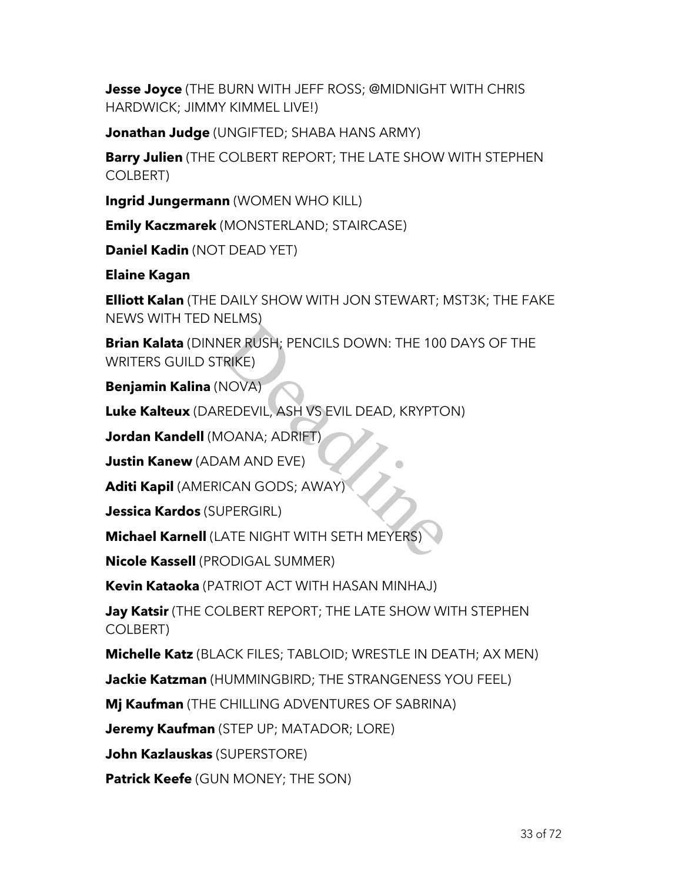**Jesse Joyce** (THE BURN WITH JEFF ROSS; @MIDNIGHT WITH CHRIS HARDWICK; JIMMY KIMMEL LIVE!)

**Jonathan Judge** (UNGIFTED; SHABA HANS ARMY)

**Barry Julien** (THE COLBERT REPORT; THE LATE SHOW WITH STEPHEN COLBERT)

**Ingrid Jungermann** (WOMEN WHO KILL)

**Emily Kaczmarek** (MONSTERLAND; STAIRCASE)

**Daniel Kadin** (NOT DEAD YET)

**Elaine Kagan**

**Elliott Kalan** (THE DAILY SHOW WITH JON STEWART; MST3K; THE FAKE NEWS WITH TED NELMS)

**Brian Kalata** (DINNER RUSH; PENCILS DOWN: THE 100 DAYS OF THE WRITERS GUILD STRIKE) VER RUSH; PENCILS DOWN: THE 100<br>
TRIKE)<br>
NOVA)<br>
REDEVIL, ASH VS EVIL DEAD, KRYPTC<br>
10ANA; ADRIFT)<br>
AM AND EVE)<br>
ICAN GODS; AWAY)<br>
JPERGIRL)<br>
ATE NIGHT WITH SETH MEYERS)<br>
ODIGAL SUMMER)

**Benjamin Kalina** (NOVA)

**Luke Kalteux** (DAREDEVIL, ASH VS EVIL DEAD, KRYPTON)

**Jordan Kandell** (MOANA; ADRIFT)

**Justin Kanew** (ADAM AND EVE)

**Aditi Kapil** (AMERICAN GODS; AWAY)

**Jessica Kardos** (SUPERGIRL)

**Michael Karnell** (LATE NIGHT WITH SETH MEYERS)

**Nicole Kassell** (PRODIGAL SUMMER)

**Kevin Kataoka** (PATRIOT ACT WITH HASAN MINHAJ)

**Jay Katsir** (THE COLBERT REPORT; THE LATE SHOW WITH STEPHEN COLBERT)

**Michelle Katz** (BLACK FILES; TABLOID; WRESTLE IN DEATH; AX MEN)

**Jackie Katzman** (HUMMINGBIRD; THE STRANGENESS YOU FEEL)

**Mj Kaufman** (THE CHILLING ADVENTURES OF SABRINA)

**Jeremy Kaufman** (STEP UP; MATADOR; LORE)

**John Kazlauskas** (SUPERSTORE)

**Patrick Keefe** (GUN MONEY; THE SON)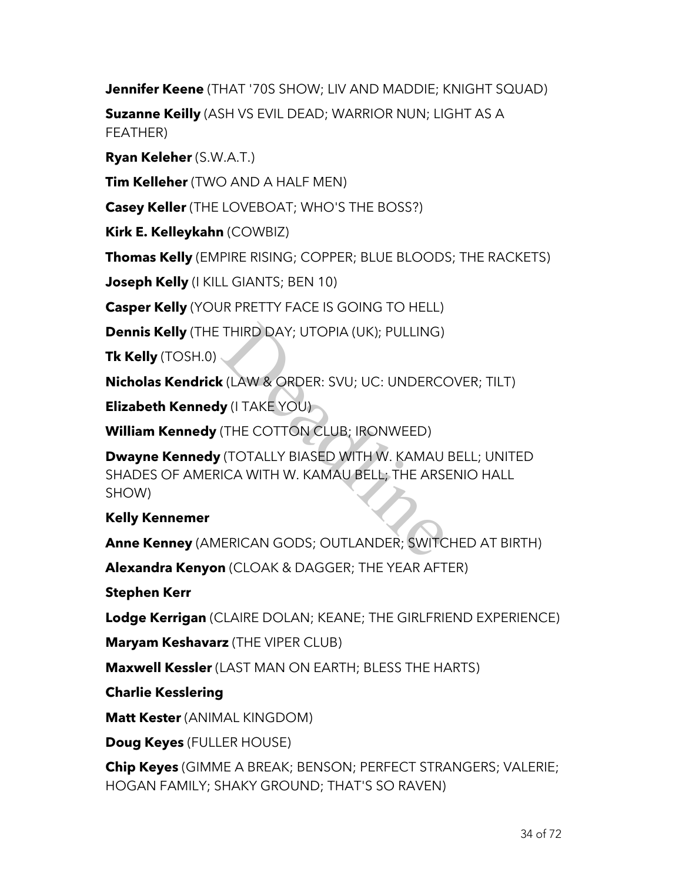**Jennifer Keene** (THAT '70S SHOW; LIV AND MADDIE; KNIGHT SQUAD)

**Suzanne Keilly** (ASH VS EVIL DEAD; WARRIOR NUN; LIGHT AS A FEATHER)

**Ryan Keleher** (S.W.A.T.)

**Tim Kelleher** (TWO AND A HALF MEN)

**Casey Keller** (THE LOVEBOAT; WHO'S THE BOSS?)

**Kirk E. Kelleykahn** (COWBIZ)

**Thomas Kelly** (EMPIRE RISING; COPPER; BLUE BLOODS; THE RACKETS)

**Joseph Kelly** (I KILL GIANTS; BEN 10)

**Casper Kelly** (YOUR PRETTY FACE IS GOING TO HELL)

**Dennis Kelly** (THE THIRD DAY; UTOPIA (UK); PULLING)

**Tk Kelly** (TOSH.0)

**Nicholas Kendrick** (LAW & ORDER: SVU; UC: UNDERCOVER; TILT)

**Elizabeth Kennedy** (I TAKE YOU)

**William Kennedy** (THE COTTON CLUB; IRONWEED)

**Dwayne Kennedy** (TOTALLY BIASED WITH W. KAMAU BELL; UNITED SHADES OF AMERICA WITH W. KAMAU BELL; THE ARSENIO HALL SHOW) THIRD DAY; UTOPIA (UK); PULLING)<br>
CAW & ORDER: SVU; UC: UNDERCO<br>
CHE COTTON CLUB; IRONWEED)<br>
(THE COTTON CLUB; IRONWEED)<br>
(TOTALLY BIASED WITH W. KAMAU<br>
ICA WITH W. KAMAU BELL; THE ARSE<br>
ERICAN GODS; OUTLANDER; SWITC

# **Kelly Kennemer**

**Anne Kenney** (AMERICAN GODS; OUTLANDER; SWITCHED AT BIRTH)

**Alexandra Kenyon** (CLOAK & DAGGER; THE YEAR AFTER)

**Stephen Kerr**

**Lodge Kerrigan** (CLAIRE DOLAN; KEANE; THE GIRLFRIEND EXPERIENCE)

**Maryam Keshavarz** (THE VIPER CLUB)

**Maxwell Kessler** (LAST MAN ON EARTH; BLESS THE HARTS)

**Charlie Kesslering**

**Matt Kester** (ANIMAL KINGDOM)

**Doug Keyes** (FULLER HOUSE)

**Chip Keyes** (GIMME A BREAK; BENSON; PERFECT STRANGERS; VALERIE; HOGAN FAMILY; SHAKY GROUND; THAT'S SO RAVEN)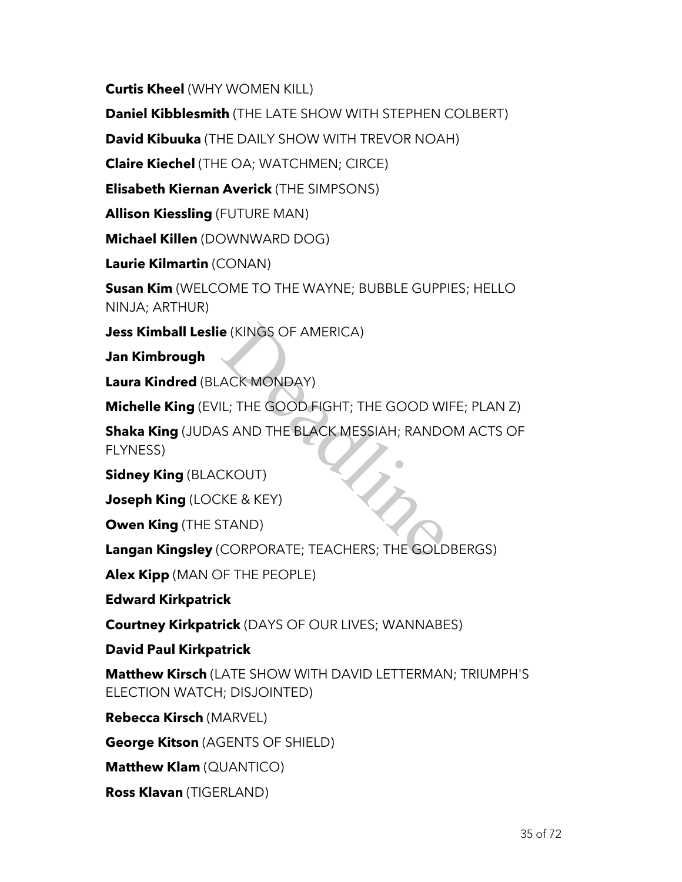**Curtis Kheel** (WHY WOMEN KILL)

**Daniel Kibblesmith** (THE LATE SHOW WITH STEPHEN COLBERT)

**David Kibuuka** (THE DAILY SHOW WITH TREVOR NOAH)

**Claire Kiechel** (THE OA; WATCHMEN; CIRCE)

**Elisabeth Kiernan Averick** (THE SIMPSONS)

**Allison Kiessling** (FUTURE MAN)

**Michael Killen** (DOWNWARD DOG)

**Laurie Kilmartin** (CONAN)

**Susan Kim** (WELCOME TO THE WAYNE; BUBBLE GUPPIES; HELLO NINJA; ARTHUR)

**Jess Kimball Leslie** (KINGS OF AMERICA)

**Jan Kimbrough**

**Laura Kindred** (BLACK MONDAY)

**Michelle King** (EVIL; THE GOOD FIGHT; THE GOOD WIFE; PLAN Z)

**Shaka King** (JUDAS AND THE BLACK MESSIAH; RANDOM ACTS OF FLYNESS) e (KINGS OF AMERICA)<br>ACK MONDAY)<br>IL; THE GOOD FIGHT; THE GOOD WI<br>S AND THE BLACK MESSIAH; RANDC<br>CKOUT)<br>KE & KEY)<br>TAND)<br>CORPORATE; TEACHERS; THE GOLD

**Sidney King** (BLACKOUT)

**Joseph King** (LOCKE & KEY)

**Owen King** (THE STAND)

**Langan Kingsley** (CORPORATE; TEACHERS; THE GOLDBERGS)

**Alex Kipp** (MAN OF THE PEOPLE)

**Edward Kirkpatrick**

**Courtney Kirkpatrick** (DAYS OF OUR LIVES; WANNABES)

**David Paul Kirkpatrick**

**Matthew Kirsch** (LATE SHOW WITH DAVID LETTERMAN; TRIUMPH'S ELECTION WATCH; DISJOINTED)

**Rebecca Kirsch** (MARVEL)

**George Kitson** (AGENTS OF SHIELD)

**Matthew Klam** (QUANTICO)

**Ross Klavan** (TIGERLAND)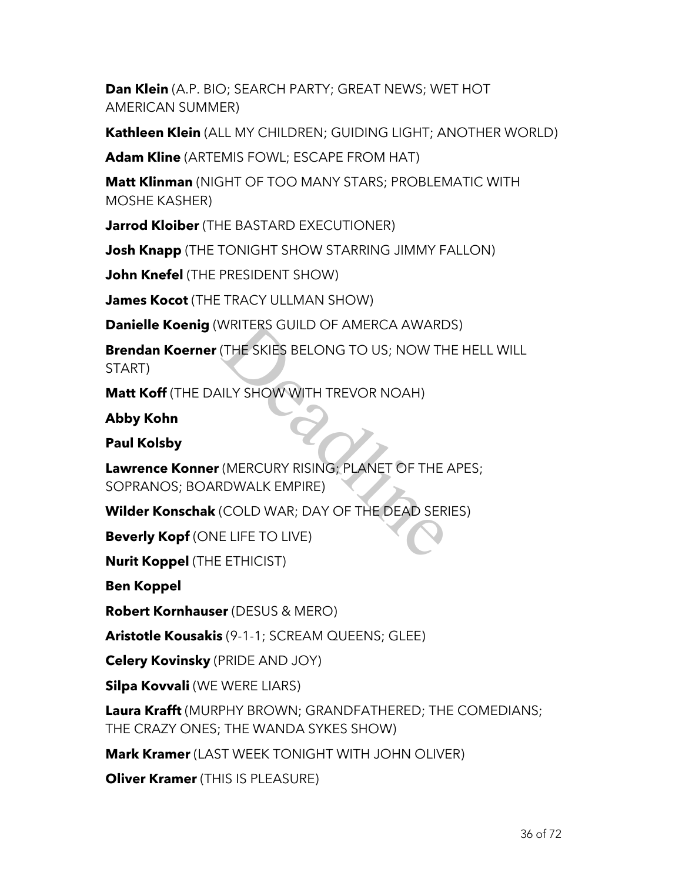**Dan Klein** (A.P. BIO; SEARCH PARTY; GREAT NEWS; WET HOT AMERICAN SUMMER)

**Kathleen Klein** (ALL MY CHILDREN; GUIDING LIGHT; ANOTHER WORLD)

**Adam Kline** (ARTEMIS FOWL; ESCAPE FROM HAT)

**Matt Klinman** (NIGHT OF TOO MANY STARS; PROBLEMATIC WITH MOSHE KASHER)

**Jarrod Kloiber** (THE BASTARD EXECUTIONER)

**Josh Knapp** (THE TONIGHT SHOW STARRING JIMMY FALLON)

**John Knefel** (THE PRESIDENT SHOW)

**James Kocot** (THE TRACY ULLMAN SHOW)

**Danielle Koenig** (WRITERS GUILD OF AMERCA AWARDS)

**Brendan Koerner** (THE SKIES BELONG TO US; NOW THE HELL WILL START) WRITERS GUILD OF AMERCA AWARD<br>(THE SKIES BELONG TO US; NOW TH<br>ILLY SHOW WITH TREVOR NOAH)<br>(MERCURY RISING; PLANET OF THE<br>RDWALK EMPIRE)<br>(COLD WAR; DAY OF THE DEAD SER<br>E LIFE TO LIVE)

**Matt Koff** (THE DAILY SHOW WITH TREVOR NOAH)

**Abby Kohn**

**Paul Kolsby**

**Lawrence Konner** (MERCURY RISING; PLANET OF THE APES; SOPRANOS; BOARDWALK EMPIRE)

**Wilder Konschak** (COLD WAR; DAY OF THE DEAD SERIES)

**Beverly Kopf** (ONE LIFE TO LIVE)

**Nurit Koppel** (THE ETHICIST)

**Ben Koppel**

**Robert Kornhauser** (DESUS & MERO)

**Aristotle Kousakis** (9-1-1; SCREAM QUEENS; GLEE)

**Celery Kovinsky** (PRIDE AND JOY)

**Silpa Kovvali** (WE WERE LIARS)

**Laura Krafft** (MURPHY BROWN; GRANDFATHERED; THE COMEDIANS; THE CRAZY ONES; THE WANDA SYKES SHOW)

**Mark Kramer** (LAST WEEK TONIGHT WITH JOHN OLIVER)

**Oliver Kramer** (THIS IS PLEASURE)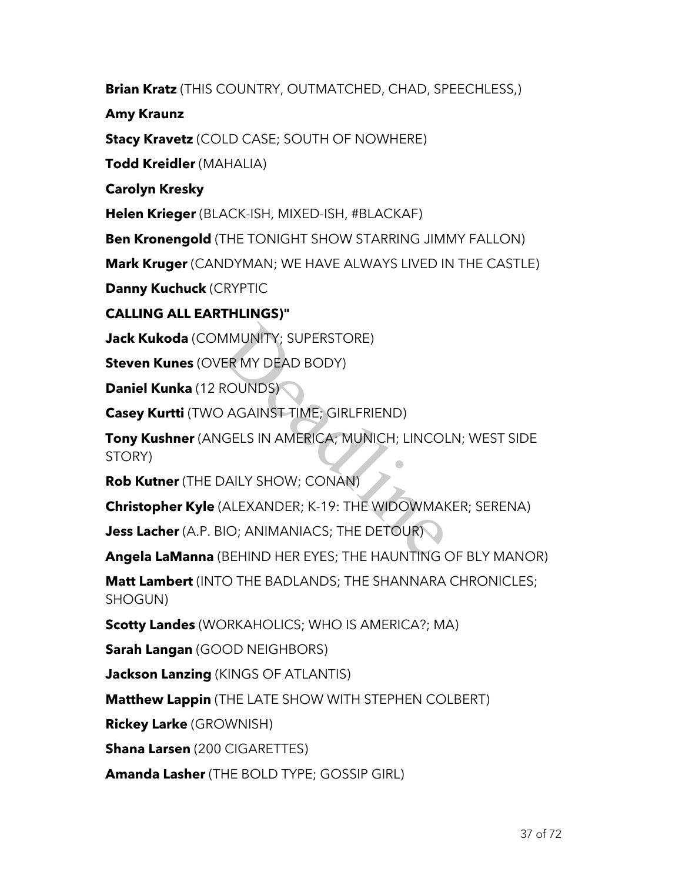**Brian Kratz** (THIS COUNTRY, OUTMATCHED, CHAD, SPEECHLESS,)

**Amy Kraunz**

**Stacy Kravetz** (COLD CASE; SOUTH OF NOWHERE)

**Todd Kreidler** (MAHALIA)

**Carolyn Kresky**

**Helen Krieger** (BLACK-ISH, MIXED-ISH, #BLACKAF)

**Ben Kronengold** (THE TONIGHT SHOW STARRING JIMMY FALLON)

**Mark Kruger** (CANDYMAN; WE HAVE ALWAYS LIVED IN THE CASTLE)

**Danny Kuchuck** (CRYPTIC

# **CALLING ALL EARTHLINGS)"**

**Jack Kukoda** (COMMUNITY; SUPERSTORE)

**Steven Kunes** (OVER MY DEAD BODY)

**Daniel Kunka** (12 ROUNDS)

**Casey Kurtti** (TWO AGAINST TIME; GIRLFRIEND)

**Tony Kushner** (ANGELS IN AMERICA; MUNICH; LINCOLN; WEST SIDE STORY) MMUNITY; SUPERSTORE)<br>ER MY DEAD BODY)<br>ROUNDS)<br>) AGAINST TIME; GIRLFRIEND)<br>JAILY SHOW; CONAN)<br>)<br>(ALEXANDER; K-19: THE WIDOWMAK<br>IO; ANIMANIACS; THE DETOUR)<br>BEHIND HER EYES; THE HAUNTING (

**Rob Kutner** (THE DAILY SHOW; CONAN)

**Christopher Kyle** (ALEXANDER; K-19: THE WIDOWMAKER; SERENA)

**Jess Lacher** (A.P. BIO; ANIMANIACS; THE DETOUR)

**Angela LaManna** (BEHIND HER EYES; THE HAUNTING OF BLY MANOR)

**Matt Lambert** (INTO THE BADLANDS; THE SHANNARA CHRONICLES; SHOGUN)

**Scotty Landes** (WORKAHOLICS; WHO IS AMERICA?; MA)

**Sarah Langan** (GOOD NEIGHBORS)

**Jackson Lanzing** (KINGS OF ATLANTIS)

**Matthew Lappin** (THE LATE SHOW WITH STEPHEN COLBERT)

**Rickey Larke** (GROWNISH)

**Shana Larsen** (200 CIGARETTES)

**Amanda Lasher** (THE BOLD TYPE; GOSSIP GIRL)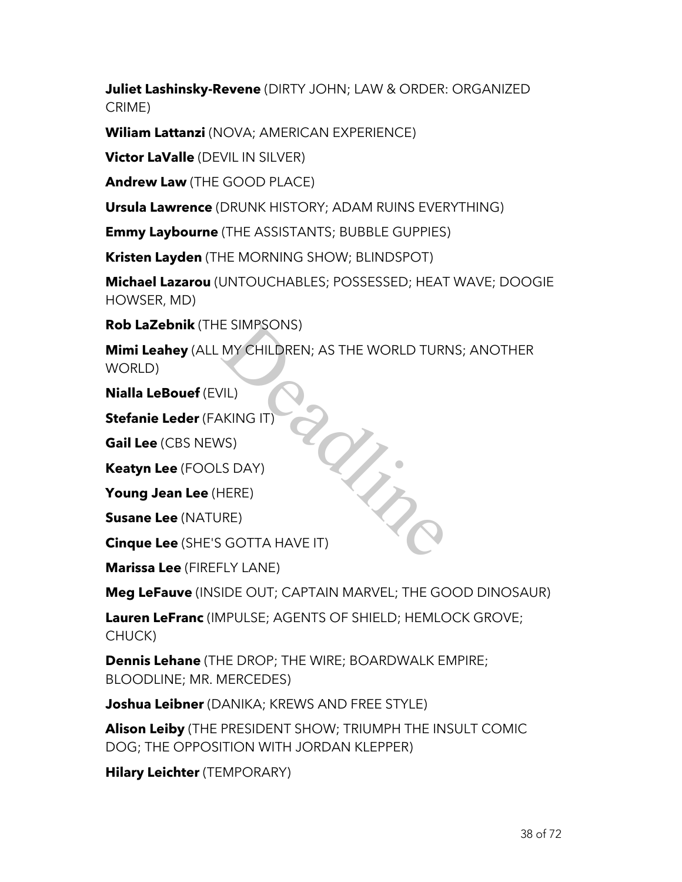**Juliet Lashinsky-Revene** (DIRTY JOHN; LAW & ORDER: ORGANIZED CRIME)

**Wiliam Lattanzi** (NOVA; AMERICAN EXPERIENCE)

**Victor LaValle** (DEVIL IN SILVER)

**Andrew Law** (THE GOOD PLACE)

**Ursula Lawrence** (DRUNK HISTORY; ADAM RUINS EVERYTHING)

**Emmy Laybourne** (THE ASSISTANTS; BUBBLE GUPPIES)

**Kristen Layden** (THE MORNING SHOW; BLINDSPOT)

**Michael Lazarou** (UNTOUCHABLES; POSSESSED; HEAT WAVE; DOOGIE HOWSER, MD)

**Rob LaZebnik** (THE SIMPSONS)

**Mimi Leahey** (ALL MY CHILDREN; AS THE WORLD TURNS; ANOTHER WORLD)

**Nialla LeBouef** (EVIL)

**Stefanie Leder** (FAKING IT)

**Gail Lee** (CBS NEWS)

**Keatyn Lee** (FOOLS DAY)

**Young Jean Lee** (HERE)

**Susane Lee** (NATURE)

**Cinque Lee** (SHE'S GOTTA HAVE IT) adj.

**Marissa Lee** (FIREFLY LANE)

**Meg LeFauve** (INSIDE OUT; CAPTAIN MARVEL; THE GOOD DINOSAUR)

**Lauren LeFranc** (IMPULSE; AGENTS OF SHIELD; HEMLOCK GROVE; CHUCK)

**Dennis Lehane** (THE DROP; THE WIRE; BOARDWALK EMPIRE; BLOODLINE; MR. MERCEDES)

**Joshua Leibner** (DANIKA; KREWS AND FREE STYLE)

**Alison Leiby** (THE PRESIDENT SHOW; TRIUMPH THE INSULT COMIC DOG; THE OPPOSITION WITH JORDAN KLEPPER)

**Hilary Leichter** (TEMPORARY)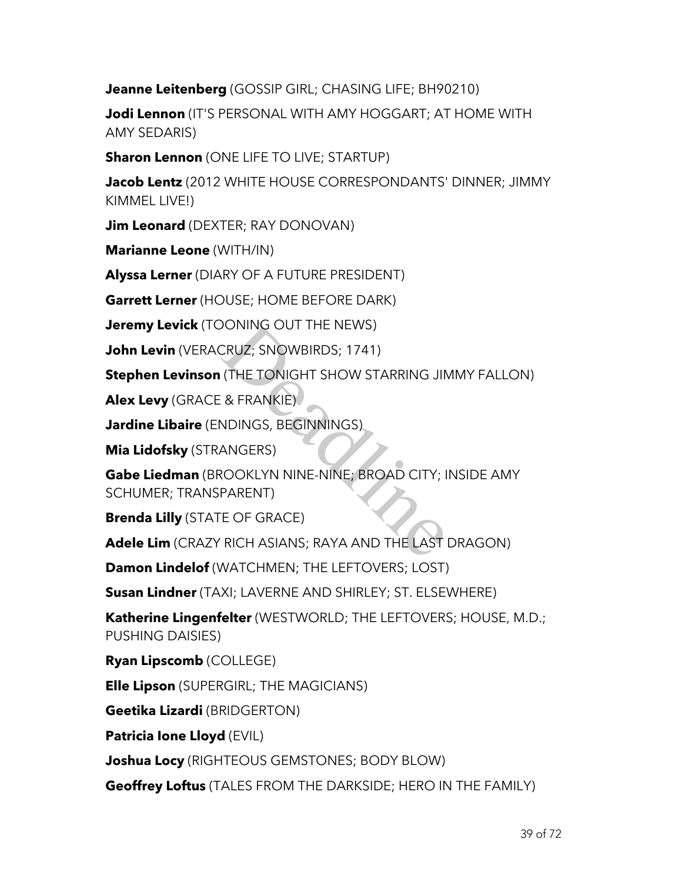**Jeanne Leitenberg** (GOSSIP GIRL; CHASING LIFE; BH90210)

**Jodi Lennon** (IT'S PERSONAL WITH AMY HOGGART; AT HOME WITH AMY SEDARIS)

**Sharon Lennon** (ONE LIFE TO LIVE; STARTUP)

**Jacob Lentz** (2012 WHITE HOUSE CORRESPONDANTS' DINNER; JIMMY KIMMEL LIVE!)

**Jim Leonard** (DEXTER; RAY DONOVAN)

**Marianne Leone** (WITH/IN)

**Alyssa Lerner** (DIARY OF A FUTURE PRESIDENT)

**Garrett Lerner** (HOUSE; HOME BEFORE DARK)

**Jeremy Levick** (TOONING OUT THE NEWS)

**John Levin** (VERACRUZ; SNOWBIRDS; 1741)

**Stephen Levinson** (THE TONIGHT SHOW STARRING JIMMY FALLON)

**Alex Levy** (GRACE & FRANKIE)

**Jardine Libaire** (ENDINGS, BEGINNINGS)

**Mia Lidofsky** (STRANGERS)

**Gabe Liedman** (BROOKLYN NINE-NINE; BROAD CITY; INSIDE AMY SCHUMER; TRANSPARENT) DONING OUT THE NEWS)<br>CRUZ; SNOWBIRDS; 1741)<br>(THE TONIGHT SHOW STARRING JIN<br>& FRANKIE)<br>NDINGS, BEGINNINGS)<br>ANGERS)<br>ROOKLYN NINE-NINE; BROAD CITY; I<br>PARENT)<br>E OF GRACE)<br>RICH ASIANS; RAYA AND THE LAST

**Brenda Lilly** (STATE OF GRACE)

**Adele Lim** (CRAZY RICH ASIANS; RAYA AND THE LAST DRAGON)

**Damon Lindelof** (WATCHMEN; THE LEFTOVERS; LOST)

**Susan Lindner** (TAXI; LAVERNE AND SHIRLEY; ST. ELSEWHERE)

**Katherine Lingenfelter** (WESTWORLD; THE LEFTOVERS; HOUSE, M.D.; PUSHING DAISIES)

**Ryan Lipscomb** (COLLEGE)

**Elle Lipson** (SUPERGIRL; THE MAGICIANS)

**Geetika Lizardi** (BRIDGERTON)

**Patricia Ione Lloyd** (EVIL)

**Joshua Locy** (RIGHTEOUS GEMSTONES; BODY BLOW)

**Geoffrey Loftus** (TALES FROM THE DARKSIDE; HERO IN THE FAMILY)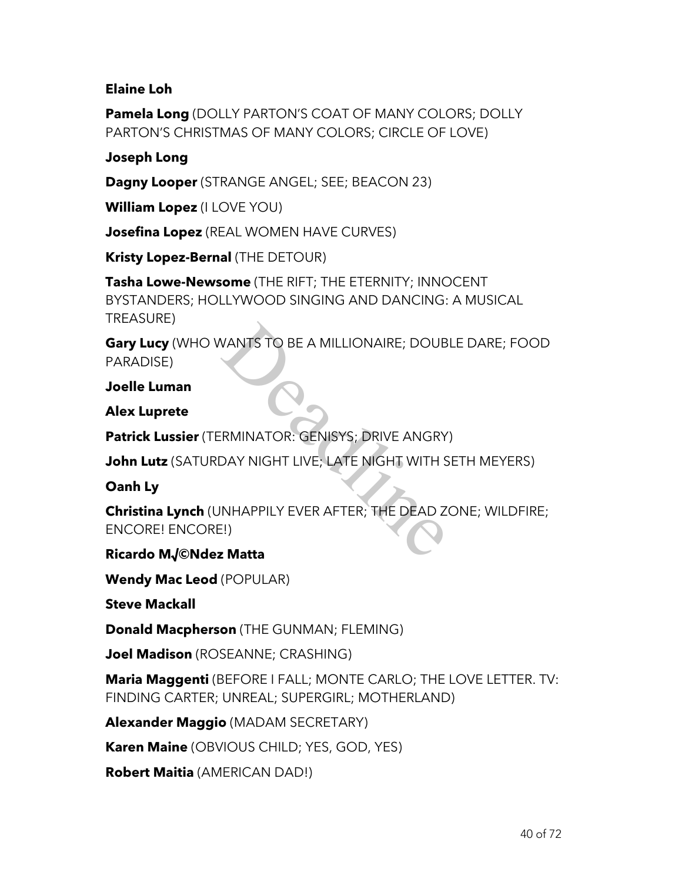# **Elaine Loh**

**Pamela Long** (DOLLY PARTON'S COAT OF MANY COLORS; DOLLY PARTON'S CHRISTMAS OF MANY COLORS; CIRCLE OF LOVE)

# **Joseph Long**

**Dagny Looper** (STRANGE ANGEL; SEE; BEACON 23)

**William Lopez** (I LOVE YOU)

**Josefina Lopez** (REAL WOMEN HAVE CURVES)

**Kristy Lopez-Bernal** (THE DETOUR)

**Tasha Lowe-Newsome** (THE RIFT; THE ETERNITY; INNOCENT BYSTANDERS; HOLLYWOOD SINGING AND DANCING: A MUSICAL TREASURE)

**Gary Lucy** (WHO WANTS TO BE A MILLIONAIRE; DOUBLE DARE; FOOD PARADISE)

**Joelle Luman**

**Alex Luprete**

**Patrick Lussier** (TERMINATOR: GENISYS; DRIVE ANGRY)

**John Lutz** (SATURDAY NIGHT LIVE; LATE NIGHT WITH SETH MEYERS)

**Oanh Ly**

**Christina Lynch** (UNHAPPILY EVER AFTER; THE DEAD ZONE; WILDFIRE; ENCORE! ENCORE!) VANTS TO BE A MILLIONAIRE; DOUB<br>
IRMINATOR: GENISYS; DRIVE ANGRY<br>
DAY NIGHT LIVE; LATE NIGHT WITH S<br>
NHAPPILY EVER AFTER; THE DEAD Z<br>
E!)<br>
2 **Matta** 

**Ricardo M√©Ndez Matta**

**Wendy Mac Leod** (POPULAR)

**Steve Mackall**

**Donald Macpherson** (THE GUNMAN; FLEMING)

**Joel Madison** (ROSEANNE; CRASHING)

**Maria Maggenti** (BEFORE I FALL; MONTE CARLO; THE LOVE LETTER. TV: FINDING CARTER; UNREAL; SUPERGIRL; MOTHERLAND)

**Alexander Maggio** (MADAM SECRETARY)

**Karen Maine** (OBVIOUS CHILD; YES, GOD, YES)

**Robert Maitia** (AMERICAN DAD!)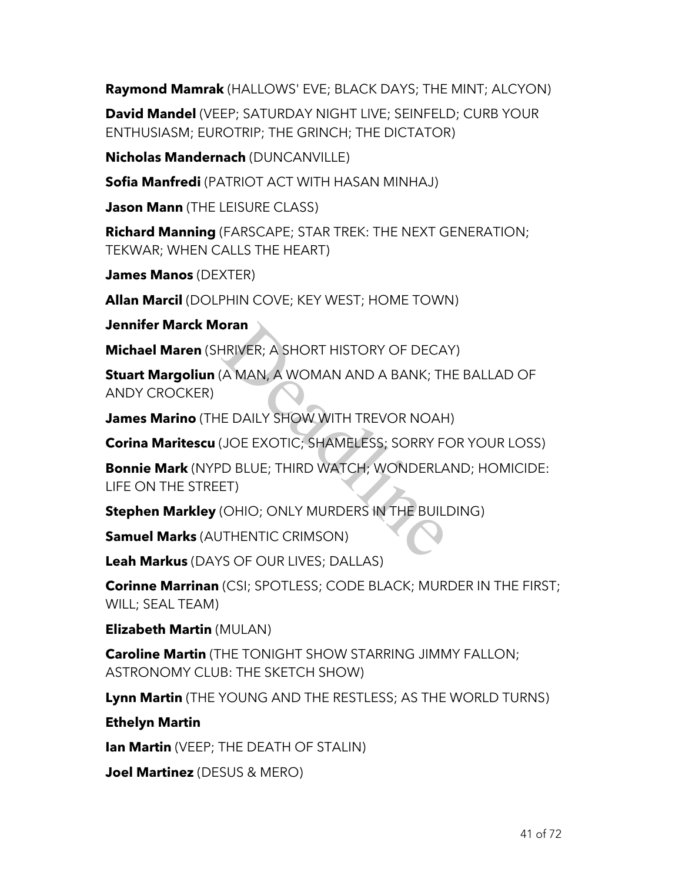**Raymond Mamrak** (HALLOWS' EVE; BLACK DAYS; THE MINT; ALCYON)

**David Mandel** (VEEP; SATURDAY NIGHT LIVE; SEINFELD; CURB YOUR ENTHUSIASM; EUROTRIP; THE GRINCH; THE DICTATOR)

**Nicholas Mandernach** (DUNCANVILLE)

**Sofia Manfredi** (PATRIOT ACT WITH HASAN MINHAJ)

**Jason Mann** (THE LEISURE CLASS)

**Richard Manning** (FARSCAPE; STAR TREK: THE NEXT GENERATION; TEKWAR; WHEN CALLS THE HEART)

**James Manos** (DEXTER)

**Allan Marcil** (DOLPHIN COVE; KEY WEST; HOME TOWN)

**Jennifer Marck Moran**

**Michael Maren** (SHRIVER; A SHORT HISTORY OF DECAY)

**Stuart Margoliun** (A MAN, A WOMAN AND A BANK; THE BALLAD OF ANDY CROCKER)

**James Marino** (THE DAILY SHOW WITH TREVOR NOAH)

**Corina Maritescu** (JOE EXOTIC; SHAMELESS; SORRY FOR YOUR LOSS)

**Bonnie Mark** (NYPD BLUE; THIRD WATCH; WONDERLAND; HOMICIDE: LIFE ON THE STREET) **FRIVER; A SHORT HISTORY OF DECA<br>
A MAN, A WOMAN AND A BANK; THE<br>
DAILY SHOW WITH TREVOR NOAH<br>
JOE EXOTIC; SHAMELESS; SORRY FO<br>
D BLUE; THIRD WATCH; WONDERLA<br>
ET)<br>
(OHIO; ONLY MURDERS IN THE BUILI<br>
JITHENTIC CRIMSON)<br>
S OF** 

**Stephen Markley** (OHIO; ONLY MURDERS IN THE BUILDING)

**Samuel Marks** (AUTHENTIC CRIMSON)

**Leah Markus** (DAYS OF OUR LIVES; DALLAS)

**Corinne Marrinan** (CSI; SPOTLESS; CODE BLACK; MURDER IN THE FIRST; WILL; SEAL TEAM)

**Elizabeth Martin** (MULAN)

**Caroline Martin** (THE TONIGHT SHOW STARRING JIMMY FALLON; ASTRONOMY CLUB: THE SKETCH SHOW)

**Lynn Martin** (THE YOUNG AND THE RESTLESS; AS THE WORLD TURNS)

**Ethelyn Martin**

**Ian Martin** (VEEP; THE DEATH OF STALIN)

**Joel Martinez** (DESUS & MERO)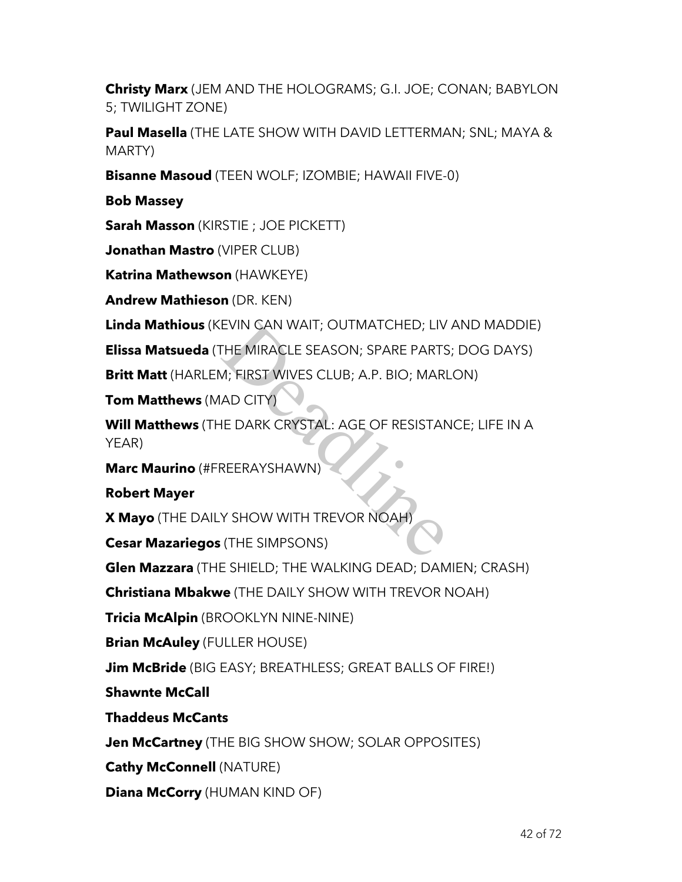**Christy Marx** (JEM AND THE HOLOGRAMS; G.I. JOE; CONAN; BABYLON 5; TWILIGHT ZONE)

**Paul Masella** (THE LATE SHOW WITH DAVID LETTERMAN; SNL; MAYA & MARTY)

**Bisanne Masoud** (TEEN WOLF; IZOMBIE; HAWAII FIVE-0)

**Bob Massey**

**Sarah Masson** (KIRSTIE ; JOE PICKETT)

**Jonathan Mastro** (VIPER CLUB)

**Katrina Mathewson** (HAWKEYE)

**Andrew Mathieson** (DR. KEN)

**Linda Mathious** (KEVIN CAN WAIT; OUTMATCHED; LIV AND MADDIE)

**Elissa Matsueda** (THE MIRACLE SEASON; SPARE PARTS; DOG DAYS)

**Britt Matt** (HARLEM; FIRST WIVES CLUB; A.P. BIO; MARLON)

**Tom Matthews** (MAD CITY)

**Will Matthews** (THE DARK CRYSTAL: AGE OF RESISTANCE; LIFE IN A YEAR) EVIN CAN WAIT; OUTMATCHED; LIV<br>THE MIRACLE SEASON; SPARE PARTS<br>M; FIRST WIVES CLUB; A.P. BIO; MARI<br>AD CITY)<br>JE DARK CRYSTAL: AGE OF RESISTAN<br>REERAYSHAWN)<br>Y SHOW WITH TREVOR NOAH)<br>(THE SIMPSONS)

**Marc Maurino** (#FREERAYSHAWN)

**Robert Mayer**

**X Mayo** (THE DAILY SHOW WITH TREVOR NOAH)

**Cesar Mazariegos** (THE SIMPSONS)

**Glen Mazzara** (THE SHIELD; THE WALKING DEAD; DAMIEN; CRASH)

**Christiana Mbakwe** (THE DAILY SHOW WITH TREVOR NOAH)

**Tricia McAlpin** (BROOKLYN NINE-NINE)

**Brian McAuley** (FULLER HOUSE)

**Jim McBride** (BIG EASY; BREATHLESS; GREAT BALLS OF FIRE!)

**Shawnte McCall**

**Thaddeus McCants**

**Jen McCartney** (THE BIG SHOW SHOW; SOLAR OPPOSITES)

**Cathy McConnell** (NATURE)

**Diana McCorry** (HUMAN KIND OF)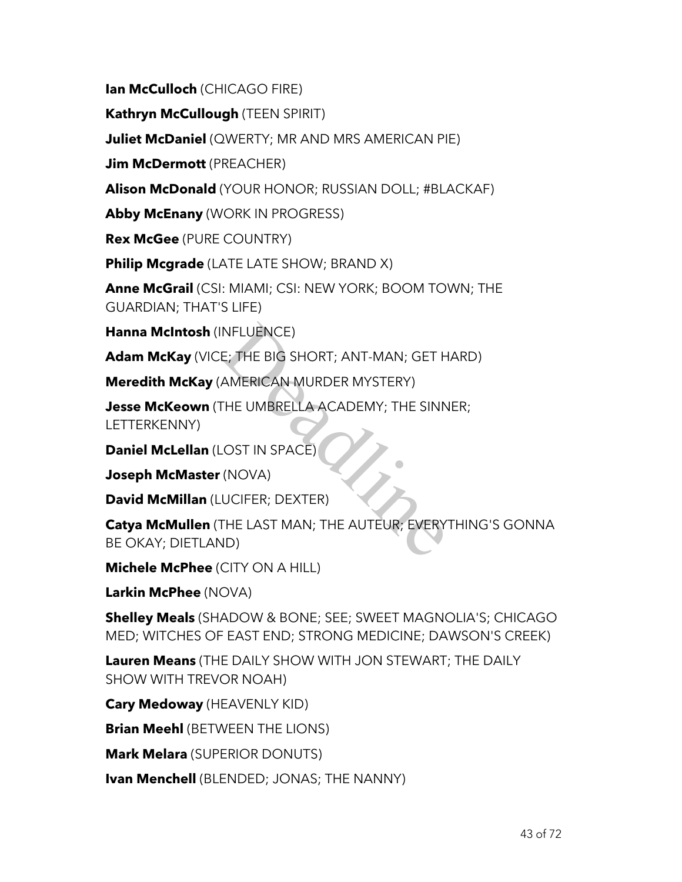**Ian McCulloch** (CHICAGO FIRE)

**Kathryn McCullough** (TEEN SPIRIT)

**Juliet McDaniel** (QWERTY; MR AND MRS AMERICAN PIE)

**Jim McDermott** (PREACHER)

**Alison McDonald** (YOUR HONOR; RUSSIAN DOLL; #BLACKAF)

**Abby McEnany** (WORK IN PROGRESS)

**Rex McGee** (PURE COUNTRY)

**Philip Mcgrade** (LATE LATE SHOW; BRAND X)

**Anne McGrail** (CSI: MIAMI; CSI: NEW YORK; BOOM TOWN; THE GUARDIAN; THAT'S LIFE)

**Hanna McIntosh** (INFLUENCE)

**Adam McKay** (VICE; THE BIG SHORT; ANT-MAN; GET HARD)

**Meredith McKay** (AMERICAN MURDER MYSTERY)

**Jesse McKeown** (THE UMBRELLA ACADEMY; THE SINNER; LETTERKENNY)

**Daniel McLellan** (LOST IN SPACE)

**Joseph McMaster** (NOVA)

**David McMillan** (LUCIFER; DEXTER)

**Catya McMullen** (THE LAST MAN; THE AUTEUR; EVERYTHING'S GONNA BE OKAY; DIETLAND) NFLUENCE)<br>E; THE BIG SHORT; ANT-MAN; GET H<br>AMERICAN MURDER MYSTERY)<br>THE UMBRELLA ACADEMY; THE SINN<br>LOST IN SPACE)<br>(NOVA)<br>UCIFER; DEXTER)<br>THE LAST MAN; THE AUTEUR; EVERY<br>ND)

**Michele McPhee** (CITY ON A HILL)

**Larkin McPhee** (NOVA)

**Shelley Meals** (SHADOW & BONE; SEE; SWEET MAGNOLIA'S; CHICAGO MED; WITCHES OF EAST END; STRONG MEDICINE; DAWSON'S CREEK)

**Lauren Means** (THE DAILY SHOW WITH JON STEWART; THE DAILY SHOW WITH TREVOR NOAH)

**Cary Medoway** (HEAVENLY KID)

**Brian Meehl** (BETWEEN THE LIONS)

**Mark Melara** (SUPERIOR DONUTS)

**Ivan Menchell** (BLENDED; JONAS; THE NANNY)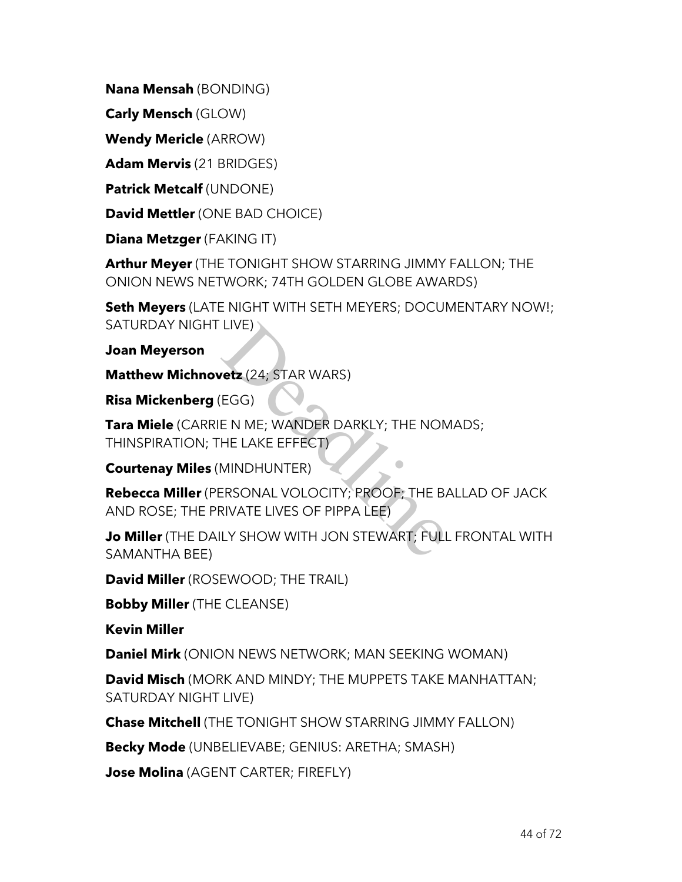**Nana Mensah** (BONDING)

**Carly Mensch** (GLOW)

**Wendy Mericle** (ARROW)

**Adam Mervis** (21 BRIDGES)

**Patrick Metcalf** (UNDONE)

**David Mettler** (ONE BAD CHOICE)

**Diana Metzger** (FAKING IT)

**Arthur Meyer** (THE TONIGHT SHOW STARRING JIMMY FALLON; THE ONION NEWS NETWORK; 74TH GOLDEN GLOBE AWARDS)

**Seth Meyers** (LATE NIGHT WITH SETH MEYERS; DOCUMENTARY NOW!; SATURDAY NIGHT LIVE)

**Joan Meyerson**

**Matthew Michnovetz** (24; STAR WARS)

**Risa Mickenberg** (EGG)

**Tara Miele** (CARRIE N ME; WANDER DARKLY; THE NOMADS; THINSPIRATION; THE LAKE EFFECT) LIVE)<br>
Vetz (24; STAR WARS)<br>
EGG)<br>
E N ME; WANDER DARKLY; THE NON<br>
HE LAKE EFFECT)<br>
MINDHUNTER)<br>ERSONAL VOLOCITY; PROOF; THE BA<br>
RIVATE LIVES OF PIPPA LEE)<br>
LY SHOW WITH JON STEWART; FULL

**Courtenay Miles** (MINDHUNTER)

**Rebecca Miller** (PERSONAL VOLOCITY; PROOF; THE BALLAD OF JACK AND ROSE; THE PRIVATE LIVES OF PIPPA LEE)

**Jo Miller** (THE DAILY SHOW WITH JON STEWART; FULL FRONTAL WITH SAMANTHA BEE)

**David Miller** (ROSEWOOD; THE TRAIL)

**Bobby Miller** (THE CLEANSE)

**Kevin Miller**

**Daniel Mirk** (ONION NEWS NETWORK; MAN SEEKING WOMAN)

**David Misch** (MORK AND MINDY; THE MUPPETS TAKE MANHATTAN; SATURDAY NIGHT LIVE)

**Chase Mitchell** (THE TONIGHT SHOW STARRING JIMMY FALLON)

**Becky Mode** (UNBELIEVABE; GENIUS: ARETHA; SMASH)

**Jose Molina** (AGENT CARTER; FIREFLY)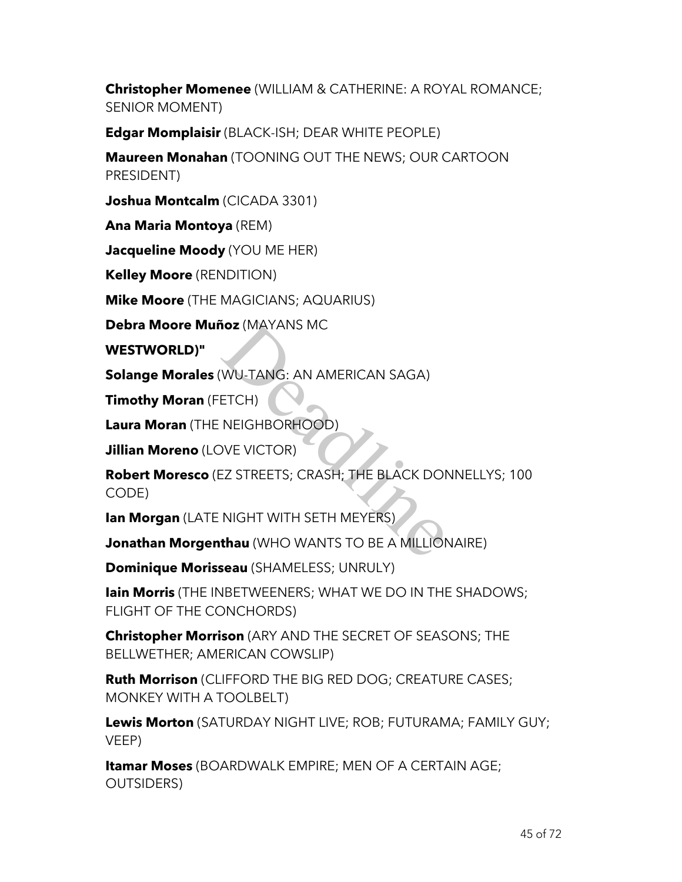**Christopher Momenee** (WILLIAM & CATHERINE: A ROYAL ROMANCE; SENIOR MOMENT)

**Edgar Momplaisir** (BLACK-ISH; DEAR WHITE PEOPLE)

**Maureen Monahan** (TOONING OUT THE NEWS; OUR CARTOON PRESIDENT)

**Joshua Montcalm** (CICADA 3301)

**Ana Maria Montoya** (REM)

**Jacqueline Moody** (YOU ME HER)

**Kelley Moore** (RENDITION)

**Mike Moore** (THE MAGICIANS; AQUARIUS)

**Debra Moore Muñoz** (MAYANS MC

**WESTWORLD)"**

**Solange Morales** (WU-TANG: AN AMERICAN SAGA)

**Timothy Moran** (FETCH)

**Laura Moran** (THE NEIGHBORHOOD)

**Jillian Moreno** (LOVE VICTOR)

**Robert Moresco** (EZ STREETS; CRASH; THE BLACK DONNELLYS; 100 CODE) **ioz** (MAYANS MC<br>
WU-TANG: AN AMERICAN SAGA)<br>
ETCH)<br>
NEIGHBORHOOD)<br>
DVE VICTOR)<br>
EZ STREETS; CRASH; THE BLACK DON<br>
NIGHT WITH SETH MEYERS)<br> **thau** (WHO WANTS TO BE A MILLION

**Ian Morgan** (LATE NIGHT WITH SETH MEYERS)

**Jonathan Morgenthau** (WHO WANTS TO BE A MILLIONAIRE)

**Dominique Morisseau** (SHAMELESS; UNRULY)

**Iain Morris** (THE INBETWEENERS; WHAT WE DO IN THE SHADOWS; FLIGHT OF THE CONCHORDS)

**Christopher Morrison** (ARY AND THE SECRET OF SEASONS; THE BELLWETHER; AMERICAN COWSLIP)

**Ruth Morrison** (CLIFFORD THE BIG RED DOG; CREATURE CASES; MONKEY WITH A TOOLBELT)

**Lewis Morton** (SATURDAY NIGHT LIVE; ROB; FUTURAMA; FAMILY GUY; VEEP)

**Itamar Moses** (BOARDWALK EMPIRE; MEN OF A CERTAIN AGE; OUTSIDERS)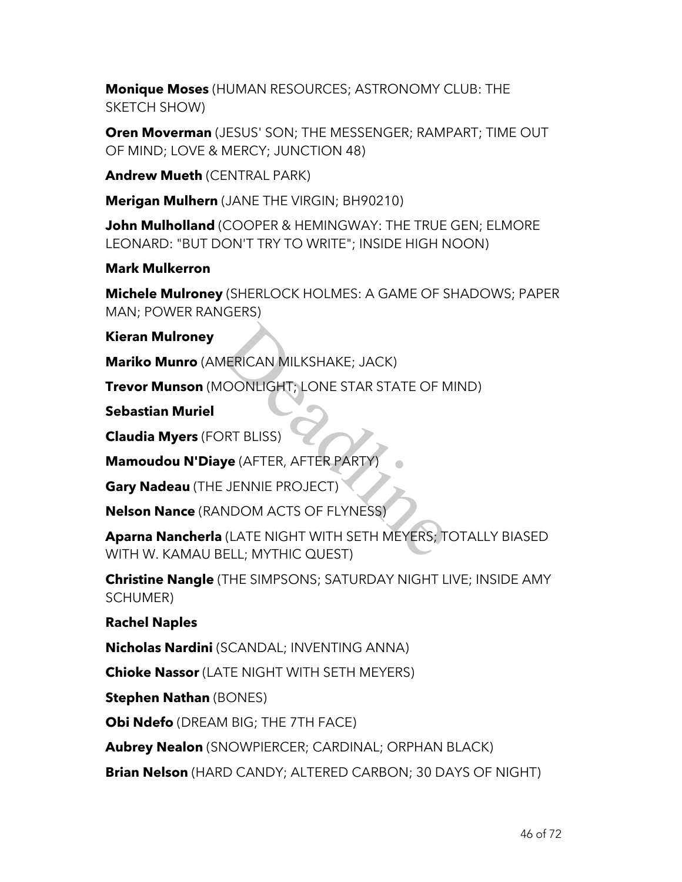**Monique Moses** (HUMAN RESOURCES; ASTRONOMY CLUB: THE SKETCH SHOW)

**Oren Moverman** (JESUS' SON; THE MESSENGER; RAMPART; TIME OUT OF MIND; LOVE & MERCY; JUNCTION 48)

**Andrew Mueth** (CENTRAL PARK)

**Merigan Mulhern** (JANE THE VIRGIN; BH90210)

**John Mulholland** (COOPER & HEMINGWAY: THE TRUE GEN; ELMORE LEONARD: "BUT DON'T TRY TO WRITE"; INSIDE HIGH NOON)

### **Mark Mulkerron**

**Michele Mulroney** (SHERLOCK HOLMES: A GAME OF SHADOWS; PAPER MAN; POWER RANGERS)

**Kieran Mulroney**

**Mariko Munro** (AMERICAN MILKSHAKE; JACK)

**Trevor Munson** (MOONLIGHT; LONE STAR STATE OF MIND)

**Sebastian Muriel**

**Claudia Myers** (FORT BLISS)

**Mamoudou N'Diaye** (AFTER, AFTER PARTY)

**Gary Nadeau** (THE JENNIE PROJECT)

**Nelson Nance** (RANDOM ACTS OF FLYNESS)

**Aparna Nancherla** (LATE NIGHT WITH SETH MEYERS; TOTALLY BIASED WITH W. KAMAU BELL; MYTHIC QUEST) MERICAN MILKSHAKE; JACK)<br>IOONLIGHT; LONE STAR STATE OF N<br>DRT BLISS)<br>JENNIE PROJECT)<br>I JENNIE PROJECT)<br>NDOM ACTS OF FLYNESS)<br>I (LATE NIGHT WITH SETH MEYERS; THELL; MYTHIC QUEST)

**Christine Nangle** (THE SIMPSONS; SATURDAY NIGHT LIVE; INSIDE AMY SCHUMER)

## **Rachel Naples**

**Nicholas Nardini** (SCANDAL; INVENTING ANNA)

**Chioke Nassor** (LATE NIGHT WITH SETH MEYERS)

**Stephen Nathan** (BONES)

**Obi Ndefo** (DREAM BIG; THE 7TH FACE)

**Aubrey Nealon** (SNOWPIERCER; CARDINAL; ORPHAN BLACK)

**Brian Nelson** (HARD CANDY; ALTERED CARBON; 30 DAYS OF NIGHT)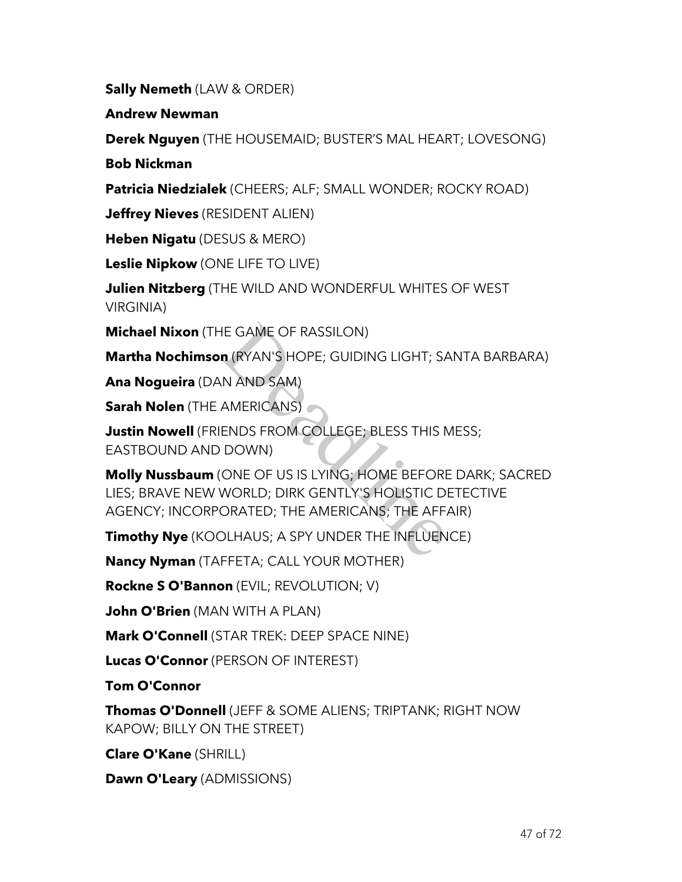**Sally Nemeth** (LAW & ORDER)

**Andrew Newman**

**Derek Nguyen** (THE HOUSEMAID; BUSTER'S MAL HEART; LOVESONG)

**Bob Nickman**

**Patricia Niedzialek** (CHEERS; ALF; SMALL WONDER; ROCKY ROAD)

**Jeffrey Nieves** (RESIDENT ALIEN)

**Heben Nigatu** (DESUS & MERO)

**Leslie Nipkow** (ONE LIFE TO LIVE)

**Julien Nitzberg** (THE WILD AND WONDERFUL WHITES OF WEST VIRGINIA)

**Michael Nixon** (THE GAME OF RASSILON)

**Martha Nochimson** (RYAN'S HOPE; GUIDING LIGHT; SANTA BARBARA)

**Ana Nogueira** (DAN AND SAM)

**Sarah Nolen** (THE AMERICANS)

**Justin Nowell** (FRIENDS FROM COLLEGE; BLESS THIS MESS; EASTBOUND AND DOWN)

**Molly Nussbaum** (ONE OF US IS LYING; HOME BEFORE DARK; SACRED LIES; BRAVE NEW WORLD; DIRK GENTLY'S HOLISTIC DETECTIVE AGENCY; INCORPORATED; THE AMERICANS; THE AFFAIR) HE GAME OF RASSILON)<br> **n** (RYAN'S HOPE; GUIDING LIGHT; SA<br>
N AND SAM)<br>
AMERICANS)<br>
ENDS FROM COLLEGE; BLESS THIS N<br>
DOWN)<br>
ONE OF US IS LYING; HOME BEFORE<br>
WORLD; DIRK GENTLY'S HOLISTIC DI<br>
ORATED; THE AMERICANS; THE AFF,<br>

**Timothy Nye** (KOOLHAUS; A SPY UNDER THE INFLUENCE)

**Nancy Nyman** (TAFFETA; CALL YOUR MOTHER)

**Rockne S O'Bannon** (EVIL; REVOLUTION; V)

**John O'Brien** (MAN WITH A PLAN)

**Mark O'Connell** (STAR TREK: DEEP SPACE NINE)

**Lucas O'Connor** (PERSON OF INTEREST)

**Tom O'Connor**

**Thomas O'Donnell** (JEFF & SOME ALIENS; TRIPTANK; RIGHT NOW KAPOW; BILLY ON THE STREET)

**Clare O'Kane** (SHRILL)

**Dawn O'Leary** (ADMISSIONS)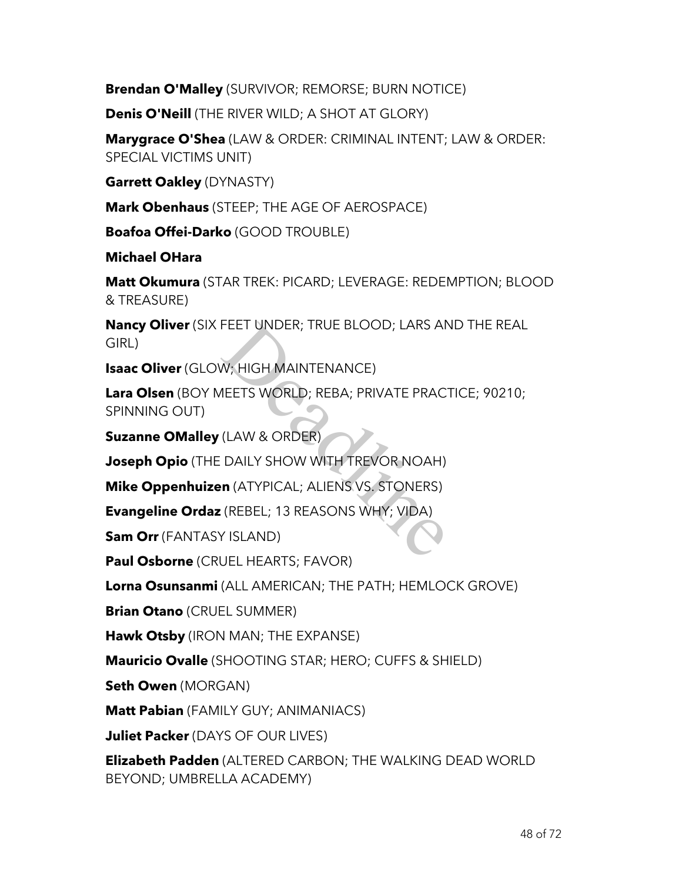**Brendan O'Malley** (SURVIVOR; REMORSE; BURN NOTICE)

**Denis O'Neill** (THE RIVER WILD; A SHOT AT GLORY)

**Marygrace O'Shea** (LAW & ORDER: CRIMINAL INTENT; LAW & ORDER: SPECIAL VICTIMS UNIT)

**Garrett Oakley** (DYNASTY)

**Mark Obenhaus** (STEEP; THE AGE OF AEROSPACE)

**Boafoa Offei-Darko** (GOOD TROUBLE)

**Michael OHara**

**Matt Okumura** (STAR TREK: PICARD; LEVERAGE: REDEMPTION; BLOOD & TREASURE)

**Nancy Oliver** (SIX FEET UNDER; TRUE BLOOD; LARS AND THE REAL GIRL)

**Isaac Oliver** (GLOW; HIGH MAINTENANCE)

**Lara Olsen** (BOY MEETS WORLD; REBA; PRIVATE PRACTICE; 90210; SPINNING OUT) FEET UNDER; TRUE BLOOD; LARS AN<br>
W; HIGH MAINTENANCE)<br>
IEETS WORLD; REBA; PRIVATE PRAC<br>
(LAW & ORDER)<br>
DAILY SHOW WITH TREVOR NOAH)<br> **:n** (ATYPICAL; ALIENS VS. STONERS)<br>
(REBEL; 13 REASONS WHY; VIDA)<br>
Y ISLAND)

**Suzanne OMalley** (LAW & ORDER)

**Joseph Opio** (THE DAILY SHOW WITH TREVOR NOAH)

**Mike Oppenhuizen** (ATYPICAL; ALIENS VS. STONERS)

**Evangeline Ordaz** (REBEL; 13 REASONS WHY; VIDA)

**Sam Orr** (FANTASY ISLAND)

**Paul Osborne** (CRUEL HEARTS; FAVOR)

**Lorna Osunsanmi** (ALL AMERICAN; THE PATH; HEMLOCK GROVE)

**Brian Otano** (CRUEL SUMMER)

**Hawk Otsby** (IRON MAN; THE EXPANSE)

**Mauricio Ovalle** (SHOOTING STAR; HERO; CUFFS & SHIELD)

**Seth Owen** (MORGAN)

**Matt Pabian** (FAMILY GUY; ANIMANIACS)

**Juliet Packer** (DAYS OF OUR LIVES)

**Elizabeth Padden** (ALTERED CARBON; THE WALKING DEAD WORLD BEYOND; UMBRELLA ACADEMY)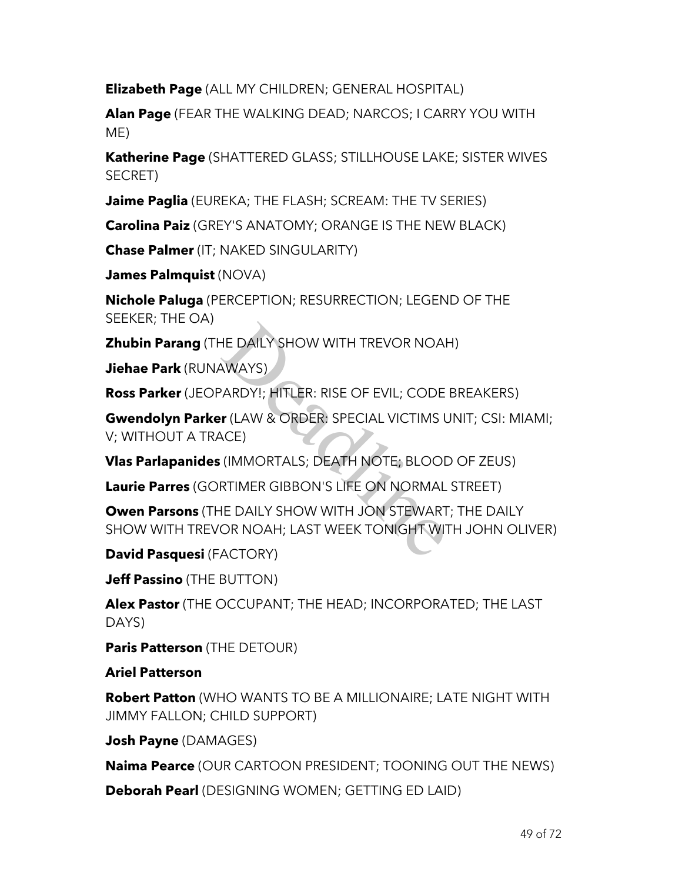**Elizabeth Page** (ALL MY CHILDREN; GENERAL HOSPITAL)

**Alan Page** (FEAR THE WALKING DEAD; NARCOS; I CARRY YOU WITH ME)

**Katherine Page** (SHATTERED GLASS; STILLHOUSE LAKE; SISTER WIVES SECRET)

**Jaime Paglia** (EUREKA; THE FLASH; SCREAM: THE TV SERIES)

**Carolina Paiz** (GREY'S ANATOMY; ORANGE IS THE NEW BLACK)

**Chase Palmer** (IT; NAKED SINGULARITY)

**James Palmquist** (NOVA)

**Nichole Paluga** (PERCEPTION; RESURRECTION; LEGEND OF THE SEEKER; THE OA)

**Zhubin Parang** (THE DAILY SHOW WITH TREVOR NOAH)

**Jiehae Park** (RUNAWAYS)

**Ross Parker** (JEOPARDY!; HITLER: RISE OF EVIL; CODE BREAKERS)

**Gwendolyn Parker** (LAW & ORDER: SPECIAL VICTIMS UNIT; CSI: MIAMI; V; WITHOUT A TRACE) HE DAILY SHOW WITH TREVOR NOAH<br>AWAYS)<br>PARDY!; HITLER: RISE OF EVIL; CODE<br>**r** (LAW & ORDER: SPECIAL VICTIMS L<br>ACE)<br>(IMMORTALS; DEATH NOTE; BLOOD<br>RTIMER GIBBON'S LIFE ON NORMAL<br>HE DAILY SHOW WITH JON STEWART<br>OR NOAH; LAST WE

**Vlas Parlapanides** (IMMORTALS; DEATH NOTE; BLOOD OF ZEUS)

**Laurie Parres** (GORTIMER GIBBON'S LIFE ON NORMAL STREET)

**Owen Parsons** (THE DAILY SHOW WITH JON STEWART; THE DAILY SHOW WITH TREVOR NOAH; LAST WEEK TONIGHT WITH JOHN OLIVER)

**David Pasquesi** (FACTORY)

**Jeff Passino** (THE BUTTON)

**Alex Pastor** (THE OCCUPANT; THE HEAD; INCORPORATED; THE LAST DAYS)

**Paris Patterson** (THE DETOUR)

**Ariel Patterson**

**Robert Patton** (WHO WANTS TO BE A MILLIONAIRE; LATE NIGHT WITH JIMMY FALLON; CHILD SUPPORT)

**Josh Payne** (DAMAGES)

**Naima Pearce** (OUR CARTOON PRESIDENT; TOONING OUT THE NEWS)

**Deborah Pearl** (DESIGNING WOMEN; GETTING ED LAID)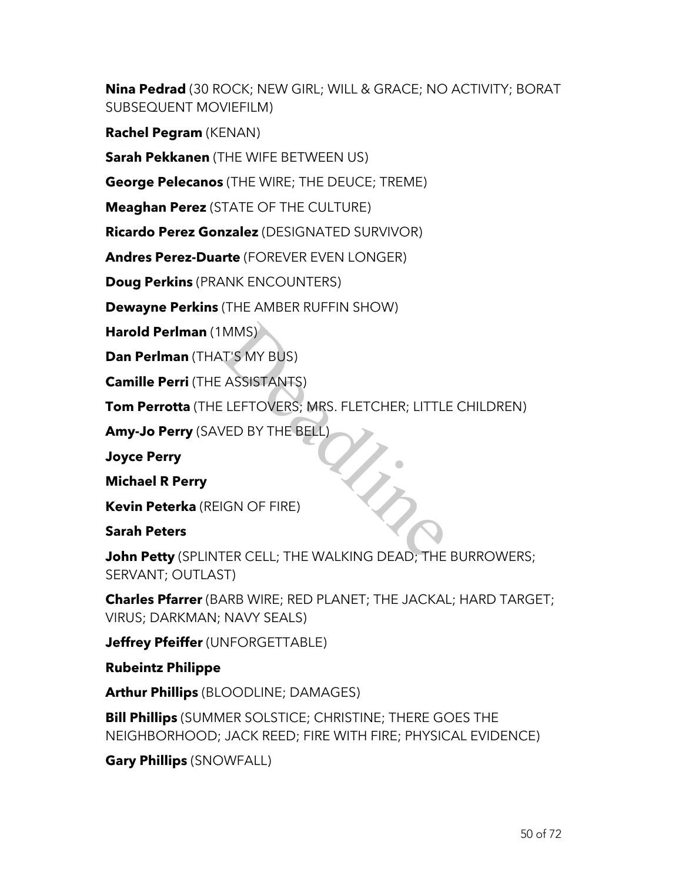**Nina Pedrad** (30 ROCK; NEW GIRL; WILL & GRACE; NO ACTIVITY; BORAT SUBSEQUENT MOVIEFILM)

**Rachel Pegram** (KENAN)

**Sarah Pekkanen** (THE WIFE BETWEEN US)

**George Pelecanos** (THE WIRE; THE DEUCE; TREME)

**Meaghan Perez** (STATE OF THE CULTURE)

**Ricardo Perez Gonzalez** (DESIGNATED SURVIVOR)

**Andres Perez-Duarte** (FOREVER EVEN LONGER)

**Doug Perkins** (PRANK ENCOUNTERS)

**Dewayne Perkins** (THE AMBER RUFFIN SHOW)

**Harold Perlman** (1MMS)

**Dan Perlman** (THAT'S MY BUS)

**Camille Perri** (THE ASSISTANTS)

**Tom Perrotta** (THE LEFTOVERS; MRS. FLETCHER; LITTLE CHILDREN) MMS)<br>
T'S MY BUS)<br>
ELEFTOVERS; MRS. FLETCHER; LITTLI<br>
VED BY THE BELL<br>
JON OF FIRE)<br>
TER CELL: THE WALKING DEAD; THE

**Amy-Jo Perry** (SAVED BY THE BELL)

**Joyce Perry**

**Michael R Perry**

**Kevin Peterka** (REIGN OF FIRE)

**Sarah Peters**

**John Petty** (SPLINTER CELL; THE WALKING DEAD; THE BURROWERS; SERVANT; OUTLAST)

**Charles Pfarrer** (BARB WIRE; RED PLANET; THE JACKAL; HARD TARGET; VIRUS; DARKMAN; NAVY SEALS)

**Jeffrey Pfeiffer** (UNFORGETTABLE)

**Rubeintz Philippe**

**Arthur Phillips** (BLOODLINE; DAMAGES)

**Bill Phillips** (SUMMER SOLSTICE; CHRISTINE; THERE GOES THE NEIGHBORHOOD; JACK REED; FIRE WITH FIRE; PHYSICAL EVIDENCE)

**Gary Phillips** (SNOWFALL)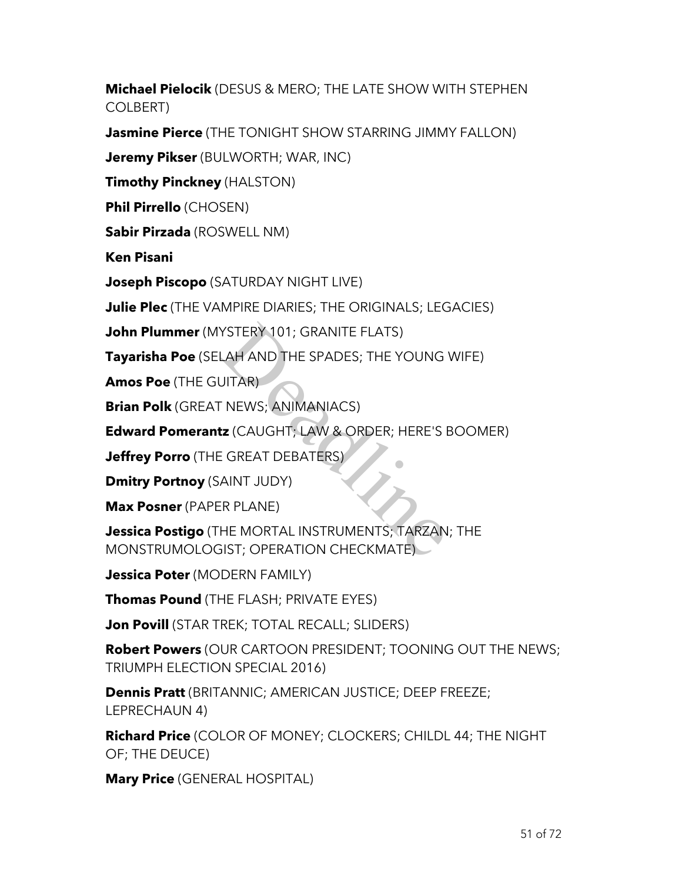**Michael Pielocik** (DESUS & MERO; THE LATE SHOW WITH STEPHEN COLBERT)

**Jasmine Pierce** (THE TONIGHT SHOW STARRING JIMMY FALLON)

**Jeremy Pikser** (BULWORTH; WAR, INC)

**Timothy Pinckney** (HALSTON)

**Phil Pirrello** (CHOSEN)

**Sabir Pirzada** (ROSWELL NM)

**Ken Pisani**

**Joseph Piscopo** (SATURDAY NIGHT LIVE)

**Julie Plec** (THE VAMPIRE DIARIES; THE ORIGINALS; LEGACIES)

**John Plummer** (MYSTERY 101; GRANITE FLATS)

**Tayarisha Poe** (SELAH AND THE SPADES; THE YOUNG WIFE)

**Amos Poe** (THE GUITAR)

**Brian Polk** (GREAT NEWS; ANIMANIACS)

**Edward Pomerantz** (CAUGHT; LAW & ORDER; HERE'S BOOMER)

**Jeffrey Porro** (THE GREAT DEBATERS)

**Dmitry Portnoy** (SAINT JUDY)

**Max Posner** (PAPER PLANE)

**Jessica Postigo** (THE MORTAL INSTRUMENTS; TARZAN; THE MONSTRUMOLOGIST; OPERATION CHECKMATE) YSTERY 101; GRANITE FLATS)<br>LAH AND THE SPADES; THE YOUNG<br>JITAR)<br>- NEWS; ANIMANIACS)<br>IZ (CAUGHT; LAW & ORDER; HERE'S I<br>E GREAT DEBATERS)<br>AINT JUDY)<br>IR PLANE)<br>HE MORTAL INSTRUMENTS; TARZAN<br>IIST; OPERATION CHECKMATE)

**Jessica Poter** (MODERN FAMILY)

**Thomas Pound** (THE FLASH; PRIVATE EYES)

**Jon Povill** (STAR TREK; TOTAL RECALL; SLIDERS)

**Robert Powers** (OUR CARTOON PRESIDENT; TOONING OUT THE NEWS; TRIUMPH ELECTION SPECIAL 2016)

**Dennis Pratt** (BRITANNIC; AMERICAN JUSTICE; DEEP FREEZE; LEPRECHAUN 4)

**Richard Price** (COLOR OF MONEY; CLOCKERS; CHILDL 44; THE NIGHT OF; THE DEUCE)

**Mary Price** (GENERAL HOSPITAL)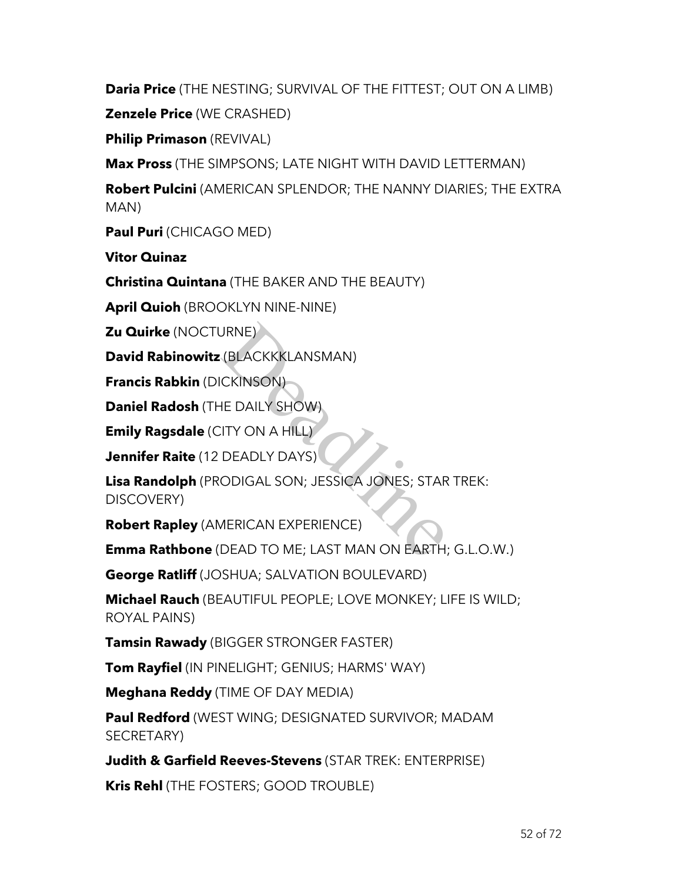**Daria Price** (THE NESTING; SURVIVAL OF THE FITTEST; OUT ON A LIMB)

**Zenzele Price** (WE CRASHED)

**Philip Primason** (REVIVAL)

**Max Pross** (THE SIMPSONS; LATE NIGHT WITH DAVID LETTERMAN)

**Robert Pulcini** (AMERICAN SPLENDOR; THE NANNY DIARIES; THE EXTRA MAN)

**Paul Puri** (CHICAGO MED)

**Vitor Quinaz**

**Christina Quintana** (THE BAKER AND THE BEAUTY)

**April Quioh** (BROOKLYN NINE-NINE)

**Zu Quirke** (NOCTURNE)

**David Rabinowitz** (BLACKKKLANSMAN)

**Francis Rabkin** (DICKINSON)

**Daniel Radosh** (THE DAILY SHOW)

**Emily Ragsdale** (CITY ON A HILL)

**Jennifer Raite** (12 DEADLY DAYS)

**Lisa Randolph** (PRODIGAL SON; JESSICA JONES; STAR TREK: DISCOVERY) JRNE)<br>
(BLACKKKLANSMAN)<br>
(CKINSON)<br>
IE DAILY SHOW)<br>
(ITY ON A HILL)<br>
DEADLY DAYS)<br>
ODIGAL SON; JESSICA JONES; STAR<br>
AERICAN EXPERIENCE)<br>
DEAD TO ME; LAST MAN ON EARTH;

**Robert Rapley** (AMERICAN EXPERIENCE)

**Emma Rathbone** (DEAD TO ME; LAST MAN ON EARTH; G.L.O.W.)

**George Ratliff** (JOSHUA; SALVATION BOULEVARD)

**Michael Rauch** (BEAUTIFUL PEOPLE; LOVE MONKEY; LIFE IS WILD; ROYAL PAINS)

**Tamsin Rawady** (BIGGER STRONGER FASTER)

**Tom Rayfiel** (IN PINELIGHT; GENIUS; HARMS' WAY)

**Meghana Reddy** (TIME OF DAY MEDIA)

**Paul Redford** (WEST WING; DESIGNATED SURVIVOR; MADAM SECRETARY)

**Judith & Garfield Reeves-Stevens** (STAR TREK: ENTERPRISE)

**Kris Rehl** (THE FOSTERS; GOOD TROUBLE)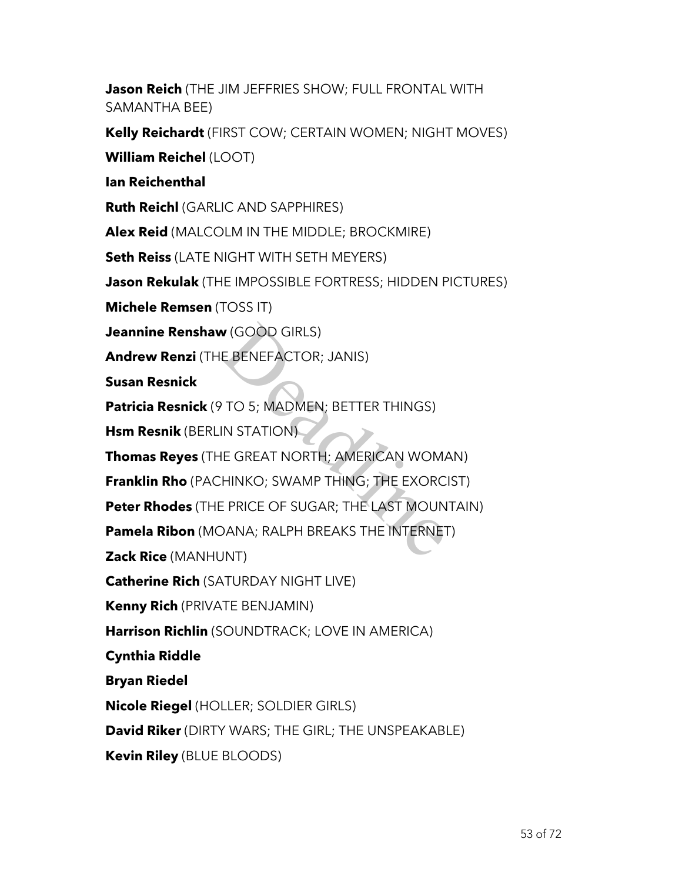**Jason Reich** (THE JIM JEFFRIES SHOW; FULL FRONTAL WITH SAMANTHA BEE)

**Kelly Reichardt** (FIRST COW; CERTAIN WOMEN; NIGHT MOVES)

**William Reichel** (LOOT)

**Ian Reichenthal**

**Ruth Reichl** (GARLIC AND SAPPHIRES)

**Alex Reid** (MALCOLM IN THE MIDDLE; BROCKMIRE)

**Seth Reiss** (LATE NIGHT WITH SETH MEYERS)

**Jason Rekulak** (THE IMPOSSIBLE FORTRESS; HIDDEN PICTURES)

**Michele Remsen** (TOSS IT)

**Jeannine Renshaw** (GOOD GIRLS)

**Andrew Renzi** (THE BENEFACTOR; JANIS)

**Susan Resnick**

**Patricia Resnick** (9 TO 5; MADMEN; BETTER THINGS)

**Hsm Resnik** (BERLIN STATION)

**Thomas Reyes** (THE GREAT NORTH; AMERICAN WOMAN) **v** (GOOD GIRLS)<br>E BENEFACTOR; JANIS)<br><sup>9</sup> TO 5; MADMEN; BETTER THINGS)<br>IN STATION)<br>IE GREAT NORTH; AMERICAN WOM*I*<br>HINKO; SWAMP THING; THE EXORC<br>E PRICE OF SUGAR; THE LAST MOUN<br>DANA; RALPH BREAKS THE INTERNET<br>JNT)

**Franklin Rho** (PACHINKO; SWAMP THING; THE EXORCIST)

**Peter Rhodes** (THE PRICE OF SUGAR; THE LAST MOUNTAIN)

**Pamela Ribon** (MOANA; RALPH BREAKS THE INTERNET)

**Zack Rice** (MANHUNT)

**Catherine Rich** (SATURDAY NIGHT LIVE)

**Kenny Rich** (PRIVATE BENJAMIN)

**Harrison Richlin** (SOUNDTRACK; LOVE IN AMERICA)

**Cynthia Riddle**

**Bryan Riedel**

**Nicole Riegel** (HOLLER; SOLDIER GIRLS)

**David Riker** (DIRTY WARS; THE GIRL; THE UNSPEAKABLE)

**Kevin Riley** (BLUE BLOODS)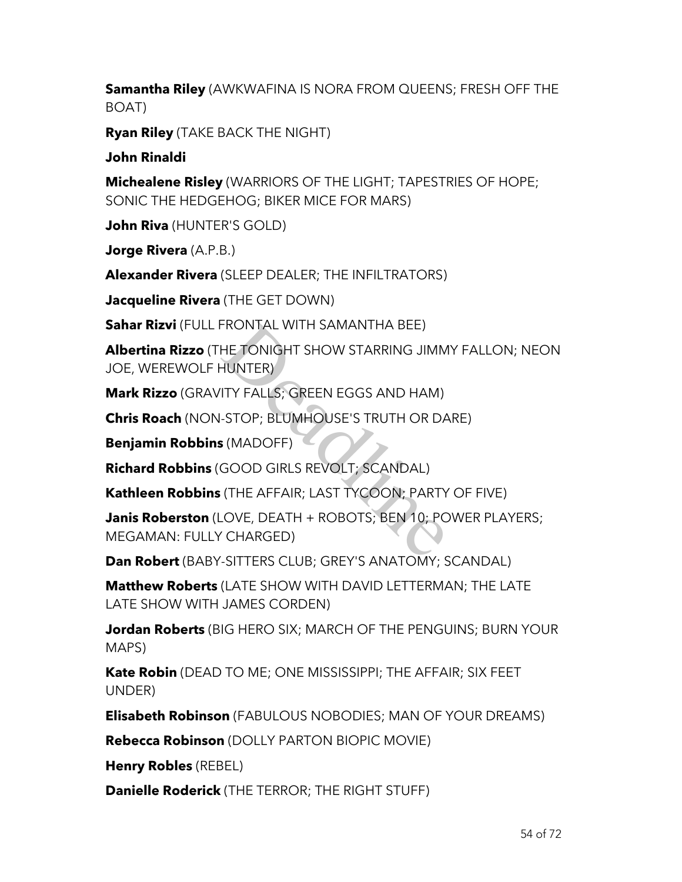**Samantha Riley** (AWKWAFINA IS NORA FROM QUEENS; FRESH OFF THE BOAT)

**Ryan Riley** (TAKE BACK THE NIGHT)

**John Rinaldi**

**Michealene Risley** (WARRIORS OF THE LIGHT; TAPESTRIES OF HOPE; SONIC THE HEDGEHOG; BIKER MICE FOR MARS)

**John Riva** (HUNTER'S GOLD)

**Jorge Rivera** (A.P.B.)

**Alexander Rivera** (SLEEP DEALER; THE INFILTRATORS)

**Jacqueline Rivera** (THE GET DOWN)

**Sahar Rizvi** (FULL FRONTAL WITH SAMANTHA BEE)

**Albertina Rizzo** (THE TONIGHT SHOW STARRING JIMMY FALLON; NEON JOE, WEREWOLF HUNTER)

**Mark Rizzo** (GRAVITY FALLS; GREEN EGGS AND HAM)

**Chris Roach** (NON-STOP; BLUMHOUSE'S TRUTH OR DARE)

**Benjamin Robbins** (MADOFF)

**Richard Robbins** (GOOD GIRLS REVOLT; SCANDAL)

**Kathleen Robbins** (THE AFFAIR; LAST TYCOON; PARTY OF FIVE)

**Janis Roberston** (LOVE, DEATH + ROBOTS; BEN 10; POWER PLAYERS; MEGAMAN: FULLY CHARGED) FRONTAL WITH SAMANTHA BEE)<br>HE TONIGHT SHOW STARRING JIMM<br>HUNTER)<br>ITY FALLS; GREEN EGGS AND HAM)<br>-STOP; BLUMHOUSE'S TRUTH OR DA<br>S (MADOFF)<br>GOOD GIRLS REVOLT; SCANDAL)<br>(THE AFFAIR; LAST TYCOON; PARTY<br>OVE, DEATH + ROBOTS; BEN

**Dan Robert** (BABY-SITTERS CLUB; GREY'S ANATOMY; SCANDAL)

**Matthew Roberts** (LATE SHOW WITH DAVID LETTERMAN; THE LATE LATE SHOW WITH JAMES CORDEN)

**Jordan Roberts** (BIG HERO SIX; MARCH OF THE PENGUINS; BURN YOUR MAPS)

**Kate Robin** (DEAD TO ME; ONE MISSISSIPPI; THE AFFAIR; SIX FEET UNDER)

**Elisabeth Robinson** (FABULOUS NOBODIES; MAN OF YOUR DREAMS)

**Rebecca Robinson** (DOLLY PARTON BIOPIC MOVIE)

**Henry Robles** (REBEL)

**Danielle Roderick** (THE TERROR; THE RIGHT STUFF)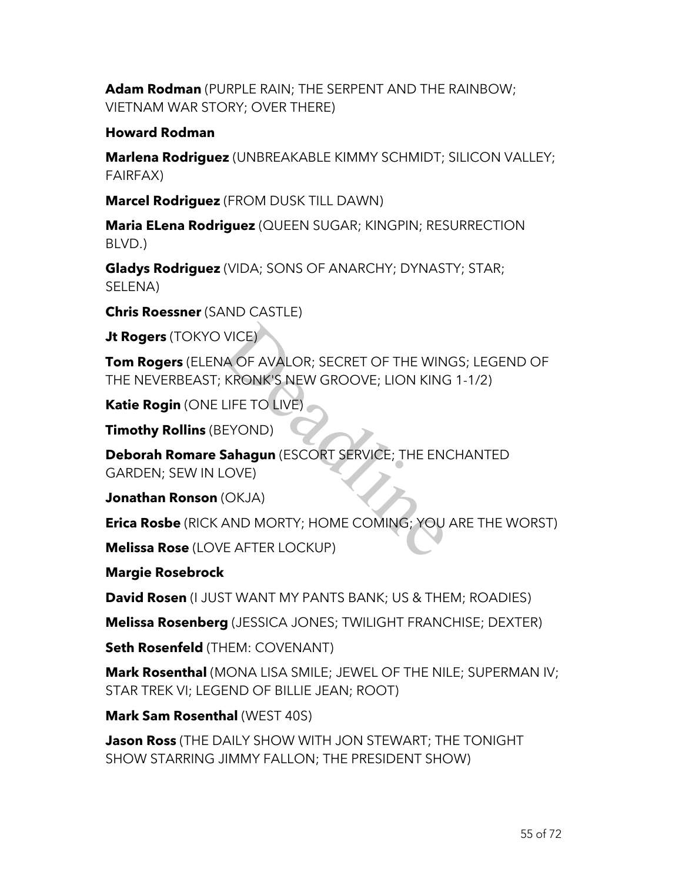**Adam Rodman** (PURPLE RAIN; THE SERPENT AND THE RAINBOW; VIETNAM WAR STORY; OVER THERE)

### **Howard Rodman**

**Marlena Rodriguez** (UNBREAKABLE KIMMY SCHMIDT; SILICON VALLEY; FAIRFAX)

**Marcel Rodriguez** (FROM DUSK TILL DAWN)

**Maria ELena Rodriguez** (QUEEN SUGAR; KINGPIN; RESURRECTION BLVD.)

**Gladys Rodriguez** (VIDA; SONS OF ANARCHY; DYNASTY; STAR; SELENA)

**Chris Roessner** (SAND CASTLE)

**Jt Rogers** (TOKYO VICE)

**Tom Rogers** (ELENA OF AVALOR; SECRET OF THE WINGS; LEGEND OF THE NEVERBEAST; KRONK'S NEW GROOVE; LION KING 1-1/2)

**Katie Rogin** (ONE LIFE TO LIVE)

**Timothy Rollins** (BEYOND)

**Deborah Romare Sahagun** (ESCORT SERVICE; THE ENCHANTED GARDEN; SEW IN LOVE) VICE)<br>
VA OF AVALOR; SECRET OF THE WIN<br>
KRONK'S NEW GROOVE; LION KING<br>
LIFE TO LIVE)<br>
EYOND)<br>
Sahagun (ESCORT SERVICE; THE ENG<br>
LOVE)<br>
(OKJA)<br>
AND MORTY; HOME COMING; YOU<br>
VE AFTER LOCKUP)

**Jonathan Ronson** (OKJA)

**Erica Rosbe** (RICK AND MORTY; HOME COMING; YOU ARE THE WORST)

**Melissa Rose** (LOVE AFTER LOCKUP)

**Margie Rosebrock**

**David Rosen** (I JUST WANT MY PANTS BANK; US & THEM; ROADIES)

**Melissa Rosenberg** (JESSICA JONES; TWILIGHT FRANCHISE; DEXTER)

**Seth Rosenfeld** (THEM: COVENANT)

**Mark Rosenthal** (MONA LISA SMILE; JEWEL OF THE NILE; SUPERMAN IV; STAR TREK VI; LEGEND OF BILLIE JEAN; ROOT)

**Mark Sam Rosenthal** (WEST 40S)

**Jason Ross** (THE DAILY SHOW WITH JON STEWART; THE TONIGHT SHOW STARRING JIMMY FALLON; THE PRESIDENT SHOW)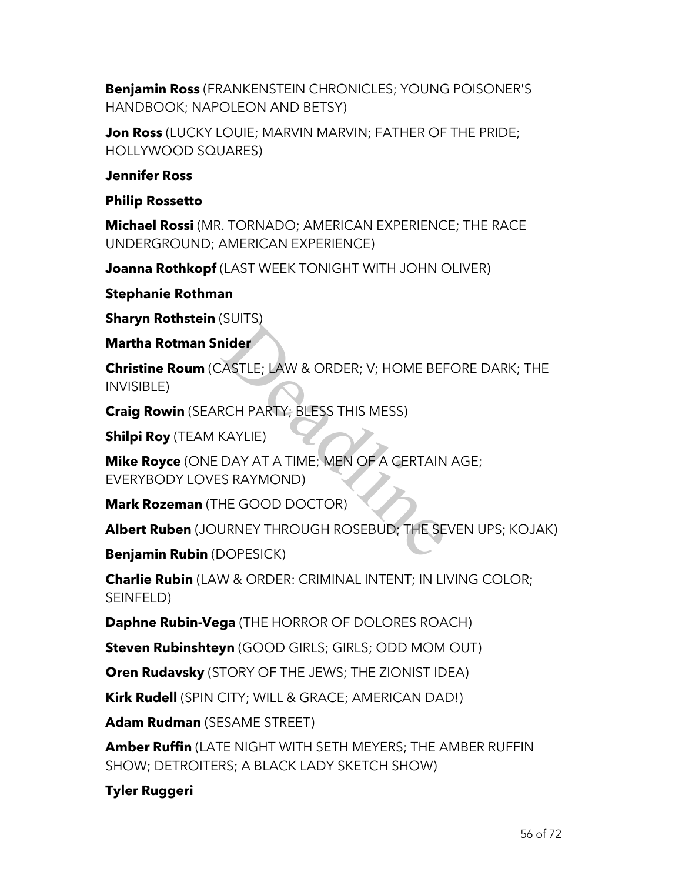**Benjamin Ross** (FRANKENSTEIN CHRONICLES; YOUNG POISONER'S HANDBOOK; NAPOLEON AND BETSY)

**Jon Ross** (LUCKY LOUIE; MARVIN MARVIN; FATHER OF THE PRIDE; HOLLYWOOD SQUARES)

### **Jennifer Ross**

### **Philip Rossetto**

**Michael Rossi** (MR. TORNADO; AMERICAN EXPERIENCE; THE RACE UNDERGROUND; AMERICAN EXPERIENCE)

**Joanna Rothkopf** (LAST WEEK TONIGHT WITH JOHN OLIVER)

**Stephanie Rothman**

**Sharyn Rothstein (SUITS)** 

**Martha Rotman Snider**

**Christine Roum** (CASTLE; LAW & ORDER; V; HOME BEFORE DARK; THE INVISIBLE) **ider**<br>ASTLE; LAW & ORDER; V; HOME BEF<br>RCH PARTY; BLESS THIS MESS)<br>KAYLIE)<br>DAY AT A TIME; MEN OF A CERTAIN<br>IS RAYMOND)<br>HE GOOD DOCTOR)<br>JRNEY THROUGH ROSEBUD; THE SE<br>DOPESICK)

**Craig Rowin** (SEARCH PARTY; BLESS THIS MESS)

**Shilpi Roy** (TEAM KAYLIE)

**Mike Royce** (ONE DAY AT A TIME; MEN OF A CERTAIN AGE; EVERYBODY LOVES RAYMOND)

**Mark Rozeman** (THE GOOD DOCTOR)

**Albert Ruben** (JOURNEY THROUGH ROSEBUD; THE SEVEN UPS; KOJAK)

**Benjamin Rubin** (DOPESICK)

**Charlie Rubin** (LAW & ORDER: CRIMINAL INTENT; IN LIVING COLOR; SEINFELD)

**Daphne Rubin-Vega** (THE HORROR OF DOLORES ROACH)

**Steven Rubinshteyn** (GOOD GIRLS; GIRLS; ODD MOM OUT)

**Oren Rudavsky** (STORY OF THE JEWS; THE ZIONIST IDEA)

**Kirk Rudell** (SPIN CITY; WILL & GRACE; AMERICAN DAD!)

**Adam Rudman** (SESAME STREET)

**Amber Ruffin** (LATE NIGHT WITH SETH MEYERS; THE AMBER RUFFIN SHOW; DETROITERS; A BLACK LADY SKETCH SHOW)

**Tyler Ruggeri**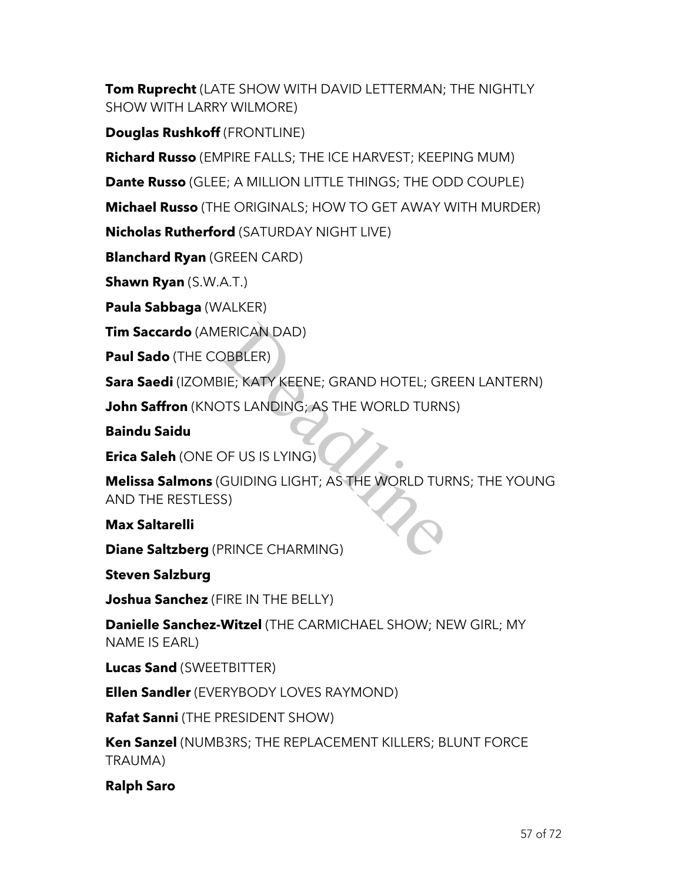**Tom Ruprecht** (LATE SHOW WITH DAVID LETTERMAN; THE NIGHTLY SHOW WITH LARRY WILMORE)

**Douglas Rushkoff** (FRONTLINE)

**Richard Russo** (EMPIRE FALLS; THE ICE HARVEST; KEEPING MUM)

**Dante Russo** (GLEE; A MILLION LITTLE THINGS; THE ODD COUPLE)

**Michael Russo** (THE ORIGINALS; HOW TO GET AWAY WITH MURDER)

**Nicholas Rutherford** (SATURDAY NIGHT LIVE)

**Blanchard Ryan** (GREEN CARD)

**Shawn Ryan** (S.W.A.T.)

**Paula Sabbaga** (WALKER)

**Tim Saccardo** (AMERICAN DAD)

**Paul Sado** (THE COBBLER)

**Sara Saedi** (IZOMBIE; KATY KEENE; GRAND HOTEL; GREEN LANTERN)

**John Saffron** (KNOTS LANDING; AS THE WORLD TURNS)

**Baindu Saidu**

**Erica Saleh** (ONE OF US IS LYING)

**Melissa Salmons** (GUIDING LIGHT; AS THE WORLD TURNS; THE YOUNG AND THE RESTLESS) ERICAN DAD)<br>BIE; KATY KEENE; GRAND HOTEL; GR<br>DTS LANDING; AS THE WORLD TURN<br>DF US IS LYING)<br>GUIDING LIGHT; AS THE WORLD TUF<br>S)<br>PRINCE CHARMING)

**Max Saltarelli**

**Diane Saltzberg** (PRINCE CHARMING)

**Steven Salzburg**

**Joshua Sanchez** (FIRE IN THE BELLY)

**Danielle Sanchez-Witzel** (THE CARMICHAEL SHOW; NEW GIRL; MY NAME IS EARL)

**Lucas Sand** (SWEETBITTER)

**Ellen Sandler** (EVERYBODY LOVES RAYMOND)

**Rafat Sanni** (THE PRESIDENT SHOW)

**Ken Sanzel** (NUMB3RS; THE REPLACEMENT KILLERS; BLUNT FORCE TRAUMA)

**Ralph Saro**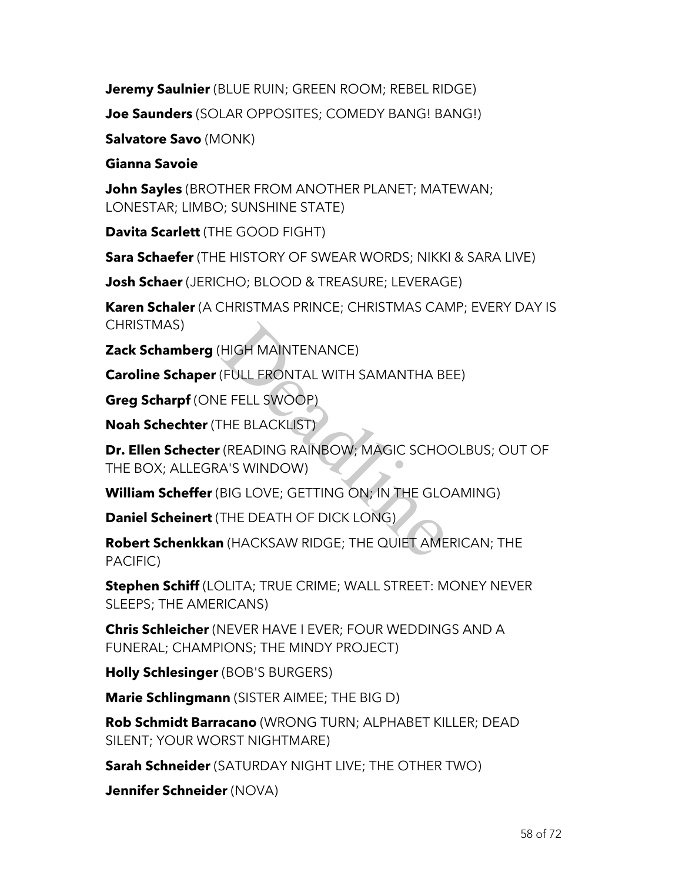**Jeremy Saulnier** (BLUE RUIN; GREEN ROOM; REBEL RIDGE)

**Joe Saunders** (SOLAR OPPOSITES; COMEDY BANG! BANG!)

**Salvatore Savo** (MONK)

# **Gianna Savoie**

**John Sayles** (BROTHER FROM ANOTHER PLANET; MATEWAN; LONESTAR; LIMBO; SUNSHINE STATE)

**Davita Scarlett** (THE GOOD FIGHT)

**Sara Schaefer** (THE HISTORY OF SWEAR WORDS; NIKKI & SARA LIVE)

**Josh Schaer** (JERICHO; BLOOD & TREASURE; LEVERAGE)

**Karen Schaler** (A CHRISTMAS PRINCE; CHRISTMAS CAMP; EVERY DAY IS CHRISTMAS)

**Zack Schamberg** (HIGH MAINTENANCE)

**Caroline Schaper** (FULL FRONTAL WITH SAMANTHA BEE)

**Greg Scharpf** (ONE FELL SWOOP)

**Noah Schechter** (THE BLACKLIST)

**Dr. Ellen Schecter** (READING RAINBOW; MAGIC SCHOOLBUS; OUT OF THE BOX; ALLEGRA'S WINDOW) HIGH MAINTENANCE)<br>(FULL FRONTAL WITH SAMANTHA BI<br>E FELL SWOOP)<br>THE BLACKLIST)<br>(READING RAINBOW; MAGIC SCHO<br>A'S WINDOW)<br>BIG LOVE; GETTING ON; IN THE GLC<br>THE DEATH OF DICK LONG)<br>I (HACKSAW RIDGE; THE QUIET AME

**William Scheffer** (BIG LOVE; GETTING ON; IN THE GLOAMING)

**Daniel Scheinert** (THE DEATH OF DICK LONG)

**Robert Schenkkan** (HACKSAW RIDGE; THE QUIET AMERICAN; THE PACIFIC)

**Stephen Schiff** (LOLITA; TRUE CRIME; WALL STREET: MONEY NEVER SLEEPS; THE AMERICANS)

**Chris Schleicher** (NEVER HAVE I EVER; FOUR WEDDINGS AND A FUNERAL; CHAMPIONS; THE MINDY PROJECT)

**Holly Schlesinger** (BOB'S BURGERS)

**Marie Schlingmann** (SISTER AIMEE; THE BIG D)

**Rob Schmidt Barracano** (WRONG TURN; ALPHABET KILLER; DEAD SILENT; YOUR WORST NIGHTMARE)

**Sarah Schneider** (SATURDAY NIGHT LIVE; THE OTHER TWO)

**Jennifer Schneider** (NOVA)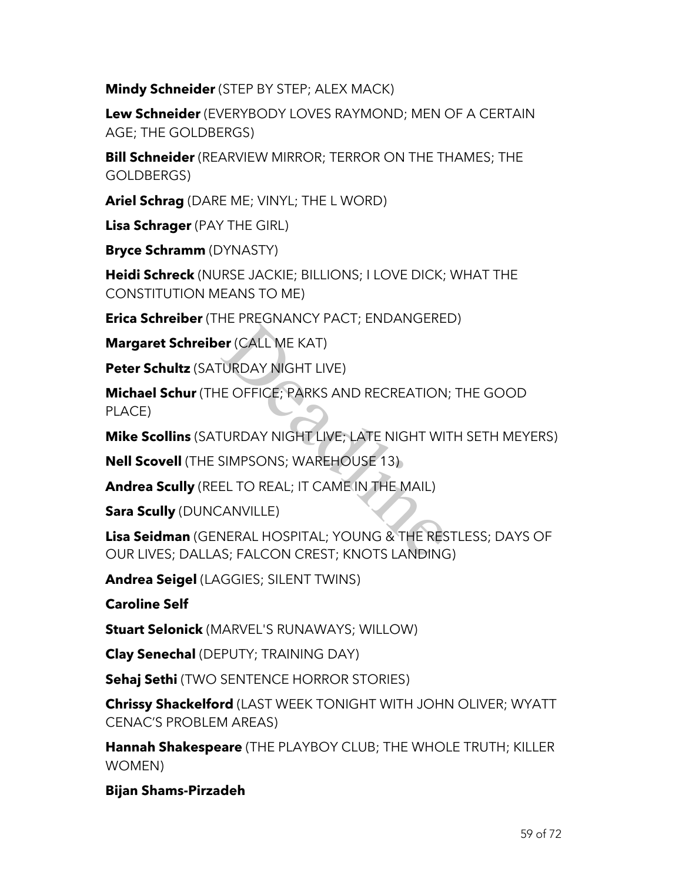**Mindy Schneider** (STEP BY STEP; ALEX MACK)

**Lew Schneider** (EVERYBODY LOVES RAYMOND; MEN OF A CERTAIN AGE; THE GOLDBERGS)

**Bill Schneider** (REARVIEW MIRROR; TERROR ON THE THAMES; THE GOLDBERGS)

**Ariel Schrag** (DARE ME; VINYL; THE L WORD)

**Lisa Schrager** (PAY THE GIRL)

**Bryce Schramm** (DYNASTY)

**Heidi Schreck** (NURSE JACKIE; BILLIONS; I LOVE DICK; WHAT THE CONSTITUTION MEANS TO ME)

**Erica Schreiber** (THE PREGNANCY PACT; ENDANGERED)

**Margaret Schreiber** (CALL ME KAT)

**Peter Schultz** (SATURDAY NIGHT LIVE)

**Michael Schur** (THE OFFICE; PARKS AND RECREATION; THE GOOD PLACE) er (CALL ME KAT)<br>DRDAY NIGHT LIVE)<br>E OFFICE; PARKS AND RECREATION<br>TURDAY NIGHT LIVE; LATE NIGHT WIT<br>SIMPSONS; WAREHOUSE 13)<br>EL TO REAL; IT CAME IN THE MAIL)<br>CANVILLE)<br>NERAL HOSPITAL; YOUNG & THE RES<br>S; FALCON CREST; KNOTS

**Mike Scollins** (SATURDAY NIGHT LIVE; LATE NIGHT WITH SETH MEYERS)

**Nell Scovell** (THE SIMPSONS; WAREHOUSE 13)

**Andrea Scully** (REEL TO REAL; IT CAME IN THE MAIL)

**Sara Scully** (DUNCANVILLE)

**Lisa Seidman** (GENERAL HOSPITAL; YOUNG & THE RESTLESS; DAYS OF OUR LIVES; DALLAS; FALCON CREST; KNOTS LANDING)

**Andrea Seigel** (LAGGIES; SILENT TWINS)

**Caroline Self**

**Stuart Selonick** (MARVEL'S RUNAWAYS; WILLOW)

**Clay Senechal** (DEPUTY; TRAINING DAY)

**Sehaj Sethi** (TWO SENTENCE HORROR STORIES)

**Chrissy Shackelford** (LAST WEEK TONIGHT WITH JOHN OLIVER; WYATT CENAC'S PROBLEM AREAS)

**Hannah Shakespeare** (THE PLAYBOY CLUB; THE WHOLE TRUTH; KILLER WOMEN)

**Bijan Shams-Pirzadeh**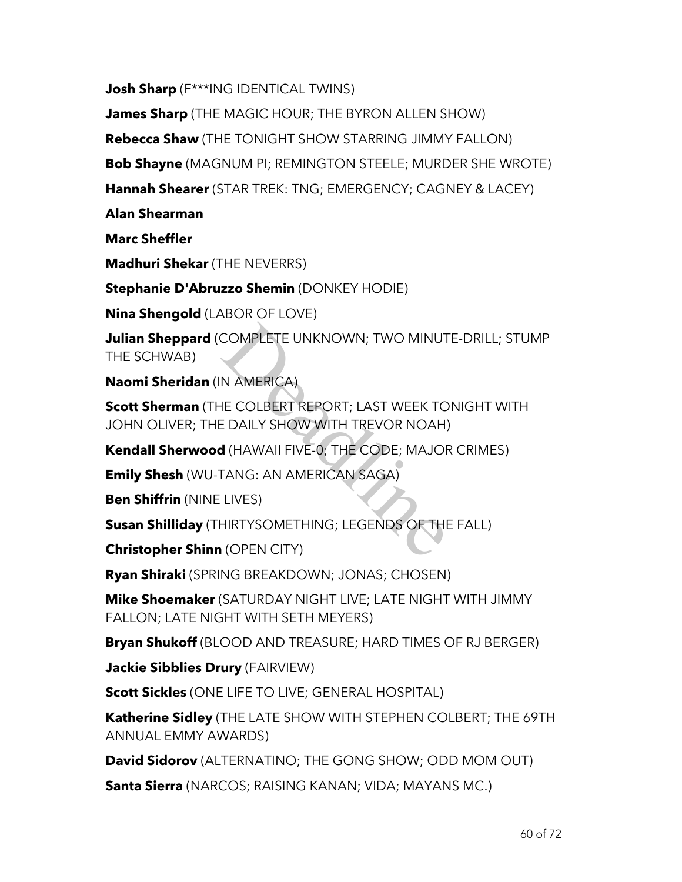**Josh Sharp** (F\*\*\*ING IDENTICAL TWINS)

**James Sharp** (THE MAGIC HOUR; THE BYRON ALLEN SHOW)

**Rebecca Shaw** (THE TONIGHT SHOW STARRING JIMMY FALLON)

**Bob Shayne** (MAGNUM PI; REMINGTON STEELE; MURDER SHE WROTE)

**Hannah Shearer** (STAR TREK: TNG; EMERGENCY; CAGNEY & LACEY)

**Alan Shearman**

**Marc Sheffler**

**Madhuri Shekar** (THE NEVERRS)

**Stephanie D'Abruzzo Shemin** (DONKEY HODIE)

**Nina Shengold** (LABOR OF LOVE)

**Julian Sheppard** (COMPLETE UNKNOWN; TWO MINUTE-DRILL; STUMP THE SCHWAB)

**Naomi Sheridan** (IN AMERICA)

**Scott Sherman** (THE COLBERT REPORT; LAST WEEK TONIGHT WITH JOHN OLIVER; THE DAILY SHOW WITH TREVOR NOAH) COMPLETE UNKNOWN; TWO MINUT<br>
N AMERICA)<br>
IE COLBERT REPORT; LAST WEEK TC<br>
E DAILY SHOW WITH TREVOR NOAH)<br> **d** (HAWAII FIVE-0; THE CODE; MAJOF<br>
TANG: AN AMERICAN SAGA)<br>
LIVES)<br>
HIRTYSOMETHING; LEGENDS OF THE<br>
1 (OPEN CITY)

**Kendall Sherwood** (HAWAII FIVE-0; THE CODE; MAJOR CRIMES)

**Emily Shesh** (WU-TANG: AN AMERICAN SAGA)

**Ben Shiffrin** (NINE LIVES)

**Susan Shilliday** (THIRTYSOMETHING; LEGENDS OF THE FALL)

**Christopher Shinn** (OPEN CITY)

**Ryan Shiraki** (SPRING BREAKDOWN; JONAS; CHOSEN)

**Mike Shoemaker** (SATURDAY NIGHT LIVE; LATE NIGHT WITH JIMMY FALLON; LATE NIGHT WITH SETH MEYERS)

**Bryan Shukoff** (BLOOD AND TREASURE; HARD TIMES OF RJ BERGER)

**Jackie Sibblies Drury** (FAIRVIEW)

**Scott Sickles** (ONE LIFE TO LIVE; GENERAL HOSPITAL)

**Katherine Sidley** (THE LATE SHOW WITH STEPHEN COLBERT; THE 69TH ANNUAL EMMY AWARDS)

**David Sidorov** (ALTERNATINO; THE GONG SHOW; ODD MOM OUT)

**Santa Sierra** (NARCOS; RAISING KANAN; VIDA; MAYANS MC.)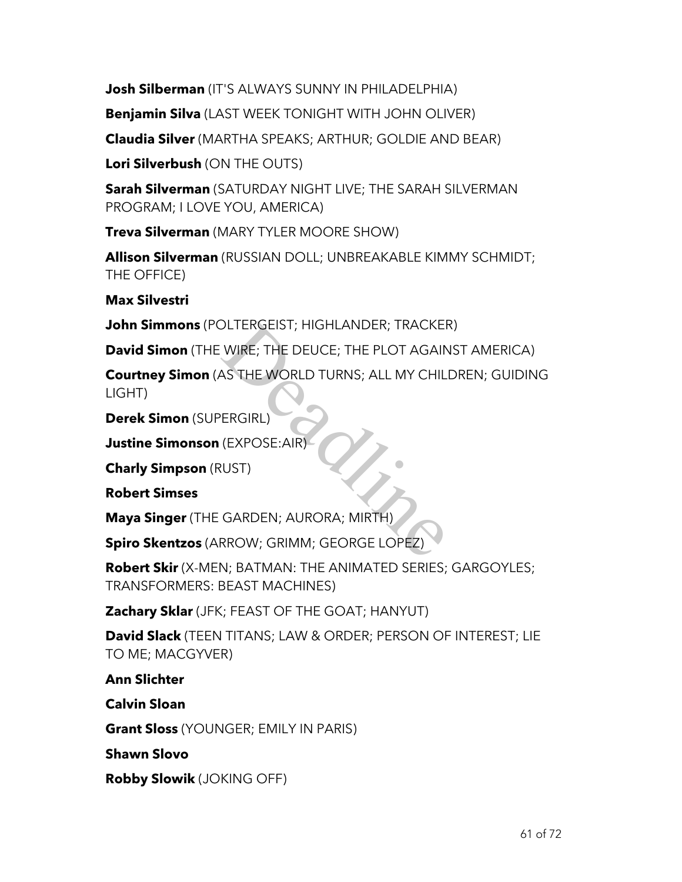**Josh Silberman** (IT'S ALWAYS SUNNY IN PHILADELPHIA)

**Benjamin Silva** (LAST WEEK TONIGHT WITH JOHN OLIVER)

**Claudia Silver** (MARTHA SPEAKS; ARTHUR; GOLDIE AND BEAR)

**Lori Silverbush** (ON THE OUTS)

**Sarah Silverman** (SATURDAY NIGHT LIVE; THE SARAH SILVERMAN PROGRAM; I LOVE YOU, AMERICA)

**Treva Silverman** (MARY TYLER MOORE SHOW)

**Allison Silverman** (RUSSIAN DOLL; UNBREAKABLE KIMMY SCHMIDT; THE OFFICE)

**Max Silvestri**

**John Simmons** (POLTERGEIST; HIGHLANDER; TRACKER)

**David Simon** (THE WIRE; THE DEUCE; THE PLOT AGAINST AMERICA)

**Courtney Simon** (AS THE WORLD TURNS; ALL MY CHILDREN; GUIDING LIGHT) DLTERGEIST; HIGHLANDER; TRACKER<br>
WIRE; THE DEUCE; THE PLOT AGAIN<br>
AS THE WORLD TURNS; ALL MY CHIL<br>
ERGIRL)<br>
(EXPOSE:AIR)<br>
(UST)<br>
GARDEN; AURORA; MIRTH)<br>
RROW; GRIMM; GEORGE LOPEZ)

**Derek Simon** (SUPERGIRL)

**Justine Simonson** (EXPOSE:AIR)

**Charly Simpson** (RUST)

**Robert Simses**

**Maya Singer** (THE GARDEN; AURORA; MIRTH)

**Spiro Skentzos** (ARROW; GRIMM; GEORGE LOPEZ)

**Robert Skir** (X-MEN; BATMAN: THE ANIMATED SERIES; GARGOYLES; TRANSFORMERS: BEAST MACHINES)

**Zachary Sklar** (JFK; FEAST OF THE GOAT; HANYUT)

**David Slack** (TEEN TITANS; LAW & ORDER; PERSON OF INTEREST; LIE TO ME; MACGYVER)

**Ann Slichter**

**Calvin Sloan**

**Grant Sloss** (YOUNGER; EMILY IN PARIS)

**Shawn Slovo**

**Robby Slowik** (JOKING OFF)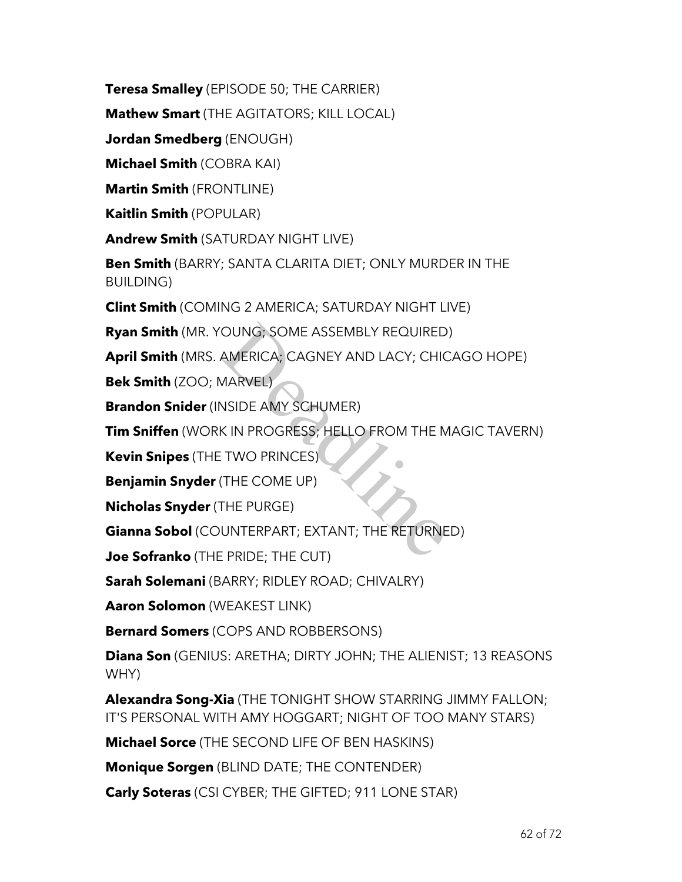**Teresa Smalley** (EPISODE 50; THE CARRIER)

**Mathew Smart** (THE AGITATORS; KILL LOCAL)

**Jordan Smedberg** (ENOUGH)

**Michael Smith** (COBRA KAI)

**Martin Smith** (FRONTLINE)

**Kaitlin Smith** (POPULAR)

**Andrew Smith** (SATURDAY NIGHT LIVE)

**Ben Smith** (BARRY; SANTA CLARITA DIET; ONLY MURDER IN THE BUILDING)

**Clint Smith** (COMING 2 AMERICA; SATURDAY NIGHT LIVE)

**Ryan Smith** (MR. YOUNG; SOME ASSEMBLY REQUIRED)

**April Smith** (MRS. AMERICA; CAGNEY AND LACY; CHICAGO HOPE)

**Bek Smith** (ZOO; MARVEL)

**Brandon Snider** (INSIDE AMY SCHUMER)

**Tim Sniffen** (WORK IN PROGRESS; HELLO FROM THE MAGIC TAVERN)

**Kevin Snipes** (THE TWO PRINCES)

**Benjamin Snyder** (THE COME UP)

**Nicholas Snyder** (THE PURGE)

**Gianna Sobol** (COUNTERPART; EXTANT; THE RETURNED) OUNG; SOME ASSEMBLY REQUIRED<br>AMERICA; CAGNEY AND LACY; CHIC<br>MARVEL)<br>NSIDE AMY SCHUMER)<br>K IN PROGRESS; HELLO FROM THE M<br>TWO PRINCES)<br>THE COME UP)<br>THE PURGE)<br>UNTERPART; EXTANT; THE RETURNE<br>E PRIDE; THE CUT)

**Joe Sofranko** (THE PRIDE; THE CUT)

**Sarah Solemani** (BARRY; RIDLEY ROAD; CHIVALRY)

**Aaron Solomon** (WEAKEST LINK)

**Bernard Somers** (COPS AND ROBBERSONS)

**Diana Son** (GENIUS: ARETHA; DIRTY JOHN; THE ALIENIST; 13 REASONS WHY)

**Alexandra Song-Xia** (THE TONIGHT SHOW STARRING JIMMY FALLON; IT'S PERSONAL WITH AMY HOGGART; NIGHT OF TOO MANY STARS)

**Michael Sorce** (THE SECOND LIFE OF BEN HASKINS)

**Monique Sorgen** (BLIND DATE; THE CONTENDER)

**Carly Soteras** (CSI CYBER; THE GIFTED; 911 LONE STAR)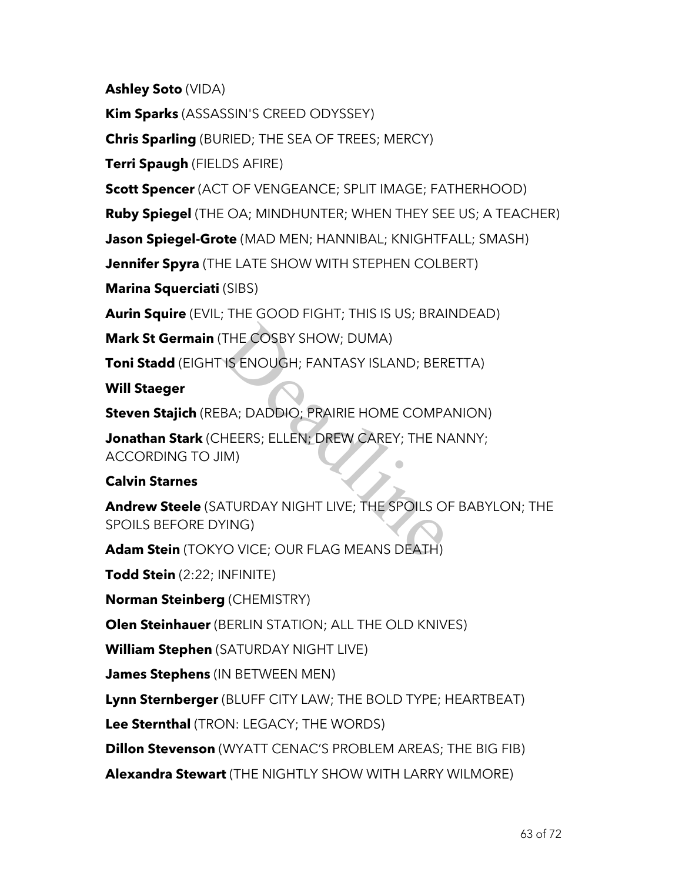**Ashley Soto** (VIDA)

**Kim Sparks** (ASSASSIN'S CREED ODYSSEY)

**Chris Sparling** (BURIED; THE SEA OF TREES; MERCY)

**Terri Spaugh** (FIELDS AFIRE)

**Scott Spencer** (ACT OF VENGEANCE; SPLIT IMAGE; FATHERHOOD)

**Ruby Spiegel** (THE OA; MINDHUNTER; WHEN THEY SEE US; A TEACHER)

**Jason Spiegel-Grote** (MAD MEN; HANNIBAL; KNIGHTFALL; SMASH)

**Jennifer Spyra** (THE LATE SHOW WITH STEPHEN COLBERT)

**Marina Squerciati** (SIBS)

**Aurin Squire** (EVIL; THE GOOD FIGHT; THIS IS US; BRAINDEAD)

**Mark St Germain** (THE COSBY SHOW; DUMA)

**Toni Stadd** (EIGHT IS ENOUGH; FANTASY ISLAND; BERETTA)

**Will Staeger**

**Steven Stajich** (REBA; DADDIO; PRAIRIE HOME COMPANION)

**Jonathan Stark** (CHEERS; ELLEN; DREW CAREY; THE NANNY; ACCORDING TO JIM) THE COSBY SHOW; DUMA)<br>
IS ENOUGH; FANTASY ISLAND; BER<br>
BA; DADDIO; PRAIRIE HOME COMPA<br>
HEERS; ELLEN; DREW CAREY; THE N<br>
IM)<br>
ATURDAY NIGHT LIVE; THE SPOILS O<br>
YING)<br>
YO VICE; OUR FLAG MEANS DEATH)

# **Calvin Starnes**

**Andrew Steele** (SATURDAY NIGHT LIVE; THE SPOILS OF BABYLON; THE SPOILS BEFORE DYING)

**Adam Stein** (TOKYO VICE; OUR FLAG MEANS DEATH)

**Todd Stein** (2:22; INFINITE)

**Norman Steinberg** (CHEMISTRY)

**Olen Steinhauer** (BERLIN STATION; ALL THE OLD KNIVES)

**William Stephen** (SATURDAY NIGHT LIVE)

**James Stephens** (IN BETWEEN MEN)

**Lynn Sternberger** (BLUFF CITY LAW; THE BOLD TYPE; HEARTBEAT)

**Lee Sternthal** (TRON: LEGACY; THE WORDS)

**Dillon Stevenson** (WYATT CENAC'S PROBLEM AREAS; THE BIG FIB)

**Alexandra Stewart** (THE NIGHTLY SHOW WITH LARRY WILMORE)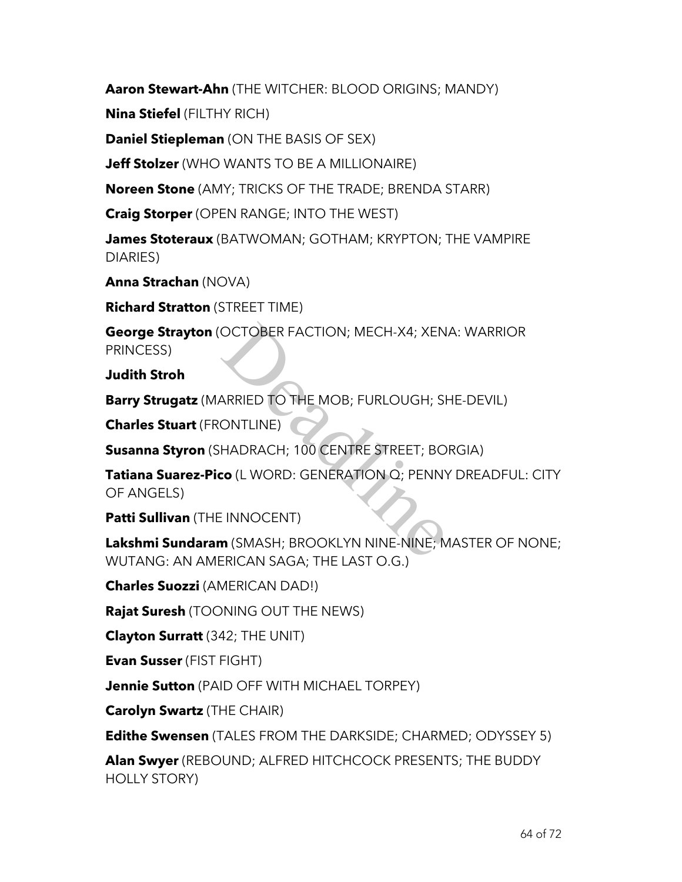**Aaron Stewart-Ahn** (THE WITCHER: BLOOD ORIGINS; MANDY)

**Nina Stiefel** (FILTHY RICH)

**Daniel Stiepleman** (ON THE BASIS OF SEX)

**Jeff Stolzer** (WHO WANTS TO BE A MILLIONAIRE)

**Noreen Stone** (AMY; TRICKS OF THE TRADE; BRENDA STARR)

**Craig Storper** (OPEN RANGE; INTO THE WEST)

**James Stoteraux** (BATWOMAN; GOTHAM; KRYPTON; THE VAMPIRE DIARIES)

**Anna Strachan** (NOVA)

**Richard Stratton** (STREET TIME)

**George Strayton** (OCTOBER FACTION; MECH-X4; XENA: WARRIOR PRINCESS)

**Judith Stroh**

**Barry Strugatz** (MARRIED TO THE MOB; FURLOUGH; SHE-DEVIL)

**Charles Stuart** (FRONTLINE)

**Susanna Styron** (SHADRACH; 100 CENTRE STREET; BORGIA)

**Tatiana Suarez-Pico** (L WORD: GENERATION Q; PENNY DREADFUL: CITY OF ANGELS) OCTOBER FACTION; MECH-X4; XEN.<br>
ARRIED TO THE MOB; FURLOUGH; SH<br>
ONTLINE)<br>
HADRACH; 100 CENTRE STREET; BO<br> **:0** (L WORD: GENERATION Q; PENN)<br>
:1 INNOCENT)<br> **m** (SMASH; BROOKLYN NINE-NINE; M

**Patti Sullivan** (THE INNOCENT)

**Lakshmi Sundaram** (SMASH; BROOKLYN NINE-NINE; MASTER OF NONE; WUTANG: AN AMERICAN SAGA; THE LAST O.G.)

**Charles Suozzi** (AMERICAN DAD!)

**Rajat Suresh** (TOONING OUT THE NEWS)

**Clayton Surratt** (342; THE UNIT)

**Evan Susser** (FIST FIGHT)

**Jennie Sutton** (PAID OFF WITH MICHAEL TORPEY)

**Carolyn Swartz** (THE CHAIR)

**Edithe Swensen** (TALES FROM THE DARKSIDE; CHARMED; ODYSSEY 5)

**Alan Swyer** (REBOUND; ALFRED HITCHCOCK PRESENTS; THE BUDDY HOLLY STORY)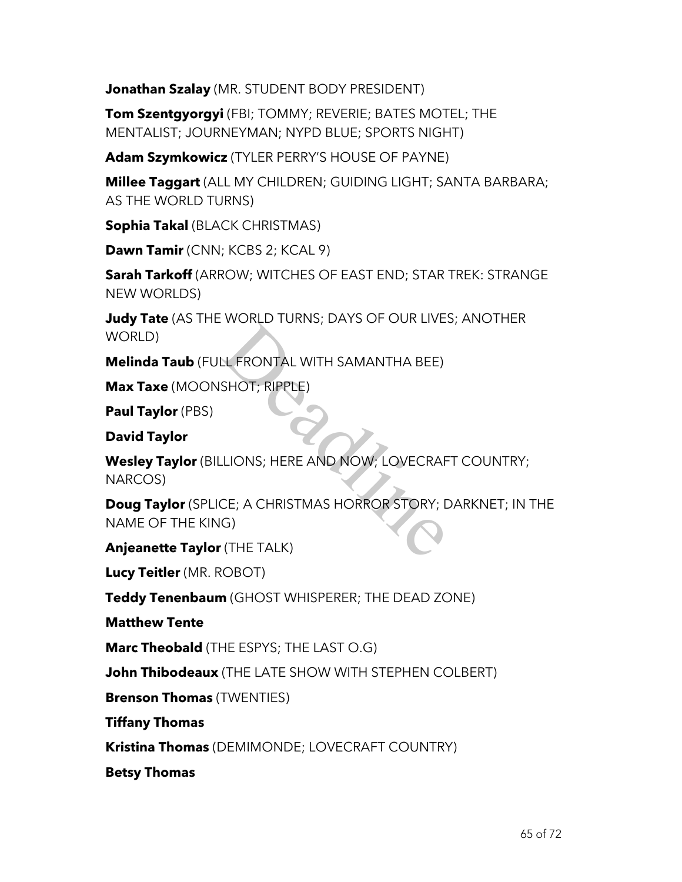**Jonathan Szalay** (MR. STUDENT BODY PRESIDENT)

**Tom Szentgyorgyi** (FBI; TOMMY; REVERIE; BATES MOTEL; THE MENTALIST; JOURNEYMAN; NYPD BLUE; SPORTS NIGHT)

**Adam Szymkowicz** (TYLER PERRY'S HOUSE OF PAYNE)

**Millee Taggart** (ALL MY CHILDREN; GUIDING LIGHT; SANTA BARBARA; AS THE WORLD TURNS)

**Sophia Takal** (BLACK CHRISTMAS)

**Dawn Tamir** (CNN; KCBS 2; KCAL 9)

**Sarah Tarkoff** (ARROW; WITCHES OF EAST END; STAR TREK: STRANGE NEW WORLDS)

**Judy Tate** (AS THE WORLD TURNS; DAYS OF OUR LIVES; ANOTHER WORLD)

**Melinda Taub** (FULL FRONTAL WITH SAMANTHA BEE)

**Max Taxe** (MOONSHOT; RIPPLE)

**Paul Taylor** (PBS)

**David Taylor**

**Wesley Taylor** (BILLIONS; HERE AND NOW; LOVECRAFT COUNTRY; NARCOS) LE FRONTAL WITH SAMANTHA BEE)<br>SHOT; RIPPLE)<br>LIONS; HERE AND NOW; LOVECRAF<br>CE; A CHRISTMAS HORROR STORY; L<br>G)<br>(THE TALK)

**Doug Taylor** (SPLICE; A CHRISTMAS HORROR STORY; DARKNET; IN THE NAME OF THE KING)

**Anjeanette Taylor** (THE TALK)

**Lucy Teitler** (MR. ROBOT)

**Teddy Tenenbaum** (GHOST WHISPERER; THE DEAD ZONE)

**Matthew Tente**

**Marc Theobald** (THE ESPYS; THE LAST O.G)

**John Thibodeaux** (THE LATE SHOW WITH STEPHEN COLBERT)

**Brenson Thomas** (TWENTIES)

**Tiffany Thomas**

**Kristina Thomas** (DEMIMONDE; LOVECRAFT COUNTRY)

**Betsy Thomas**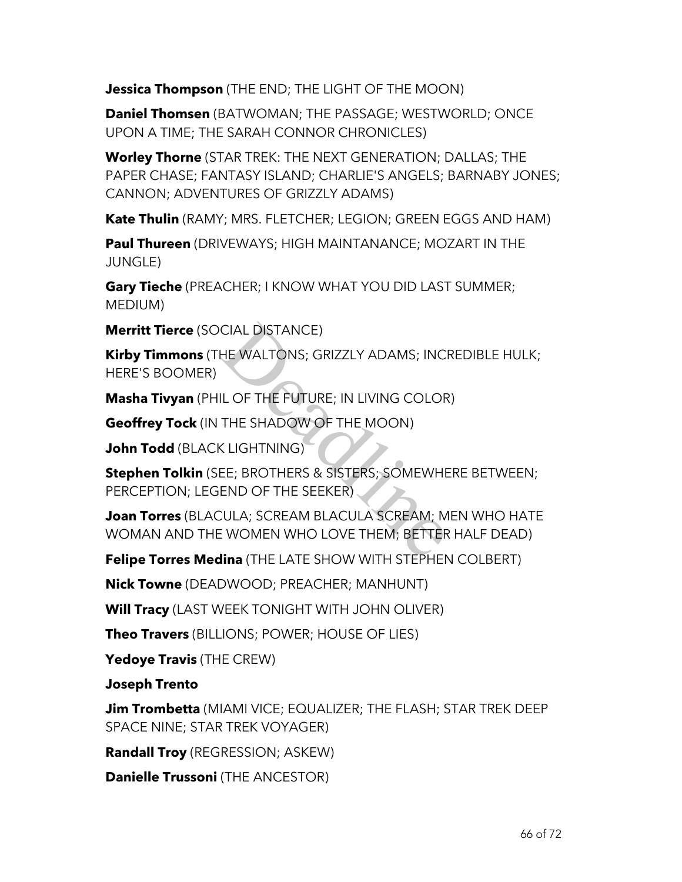**Jessica Thompson** (THE END; THE LIGHT OF THE MOON)

**Daniel Thomsen** (BATWOMAN; THE PASSAGE; WESTWORLD; ONCE UPON A TIME; THE SARAH CONNOR CHRONICLES)

**Worley Thorne** (STAR TREK: THE NEXT GENERATION; DALLAS; THE PAPER CHASE; FANTASY ISLAND; CHARLIE'S ANGELS; BARNABY JONES; CANNON; ADVENTURES OF GRIZZLY ADAMS)

**Kate Thulin** (RAMY; MRS. FLETCHER; LEGION; GREEN EGGS AND HAM)

**Paul Thureen** (DRIVEWAYS; HIGH MAINTANANCE; MOZART IN THE JUNGLE)

**Gary Tieche** (PREACHER; I KNOW WHAT YOU DID LAST SUMMER; MEDIUM)

**Merritt Tierce** (SOCIAL DISTANCE)

**Kirby Timmons** (THE WALTONS; GRIZZLY ADAMS; INCREDIBLE HULK; HERE'S BOOMER)

**Masha Tivyan** (PHIL OF THE FUTURE; IN LIVING COLOR)

**Geoffrey Tock** (IN THE SHADOW OF THE MOON)

**John Todd** (BLACK LIGHTNING)

**Stephen Tolkin** (SEE; BROTHERS & SISTERS; SOMEWHERE BETWEEN; PERCEPTION; LEGEND OF THE SEEKER) CIAL DISTANCE)<br>HE WALTONS; GRIZZLY ADAMS; INCI<br>IL OF THE FUTURE; IN LIVING COLOR<br>THE SHADOW OF THE MOON)<br>CLIGHTNING)<br>EE; BROTHERS & SISTERS; SOMEWHE<br>END OF THE SEEKER)<br>CULA; SCREAM BLACULA SCREAM; M<br>IMA (THE LATE SHOW WITH

**Joan Torres** (BLACULA; SCREAM BLACULA SCREAM; MEN WHO HATE WOMAN AND THE WOMEN WHO LOVE THEM; BETTER HALF DEAD)

**Felipe Torres Medina** (THE LATE SHOW WITH STEPHEN COLBERT)

**Nick Towne** (DEADWOOD; PREACHER; MANHUNT)

**Will Tracy** (LAST WEEK TONIGHT WITH JOHN OLIVER)

**Theo Travers** (BILLIONS; POWER; HOUSE OF LIES)

**Yedoye Travis** (THE CREW)

**Joseph Trento**

**Jim Trombetta** (MIAMI VICE; EQUALIZER; THE FLASH; STAR TREK DEEP SPACE NINE; STAR TREK VOYAGER)

**Randall Troy** (REGRESSION; ASKEW)

**Danielle Trussoni** (THE ANCESTOR)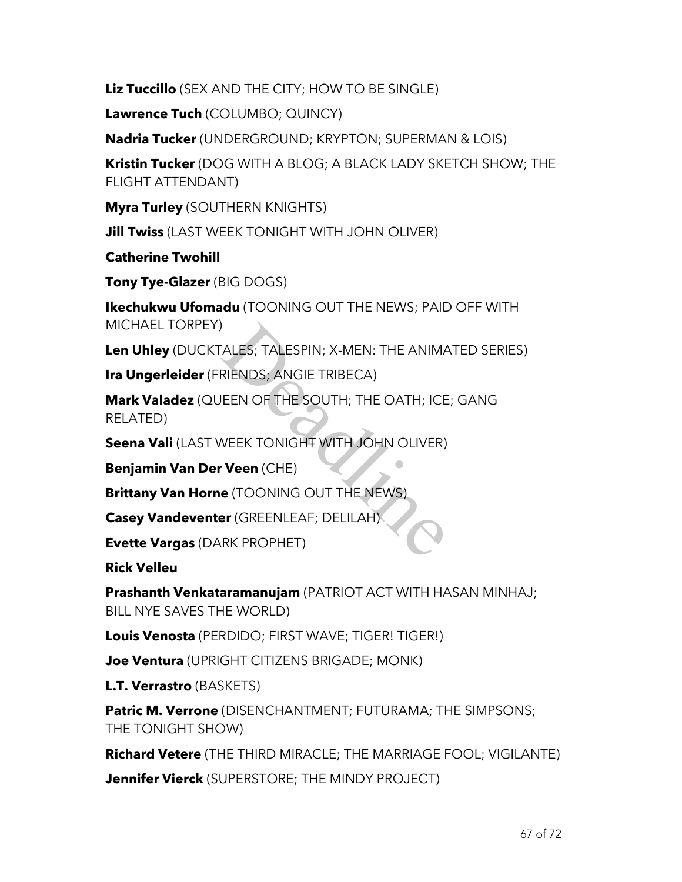**Liz Tuccillo** (SEX AND THE CITY; HOW TO BE SINGLE)

**Lawrence Tuch** (COLUMBO; QUINCY)

**Nadria Tucker** (UNDERGROUND; KRYPTON; SUPERMAN & LOIS)

**Kristin Tucker** (DOG WITH A BLOG; A BLACK LADY SKETCH SHOW; THE FLIGHT ATTENDANT)

**Myra Turley** (SOUTHERN KNIGHTS)

**Jill Twiss** (LAST WEEK TONIGHT WITH JOHN OLIVER)

**Catherine Twohill**

**Tony Tye-Glazer** (BIG DOGS)

**Ikechukwu Ufomadu** (TOONING OUT THE NEWS; PAID OFF WITH MICHAEL TORPEY)

**Len Uhley** (DUCKTALES; TALESPIN; X-MEN: THE ANIMATED SERIES)

**Ira Ungerleider** (FRIENDS; ANGIE TRIBECA)

**Mark Valadez** (QUEEN OF THE SOUTH; THE OATH; ICE; GANG RELATED) )<br>ALES; TALESPIN; X-MEN: THE ANIMA<br>RIENDS; ANGIE TRIBECA)<br>JEEN OF THE SOUTH; THE OATH; ICE<br>WEEK TONIGHT WITH JOHN OLIVER)<br>• **Veen** (CHE)<br>• (TOONING OUT THE NEWS)<br>• (GREENLEAF; DELILAH)<br>RK PROPHET)

**Seena Vali** (LAST WEEK TONIGHT WITH JOHN OLIVER)

**Benjamin Van Der Veen** (CHE)

**Brittany Van Horne** (TOONING OUT THE NEWS)

**Casey Vandeventer** (GREENLEAF; DELILAH)

**Evette Vargas** (DARK PROPHET)

**Rick Velleu**

**Prashanth Venkataramanujam** (PATRIOT ACT WITH HASAN MINHAJ; BILL NYE SAVES THE WORLD)

**Louis Venosta** (PERDIDO; FIRST WAVE; TIGER! TIGER!)

**Joe Ventura** (UPRIGHT CITIZENS BRIGADE; MONK)

**L.T. Verrastro** (BASKETS)

**Patric M. Verrone** (DISENCHANTMENT; FUTURAMA; THE SIMPSONS; THE TONIGHT SHOW)

**Richard Vetere** (THE THIRD MIRACLE; THE MARRIAGE FOOL; VIGILANTE)

**Jennifer Vierck** (SUPERSTORE; THE MINDY PROJECT)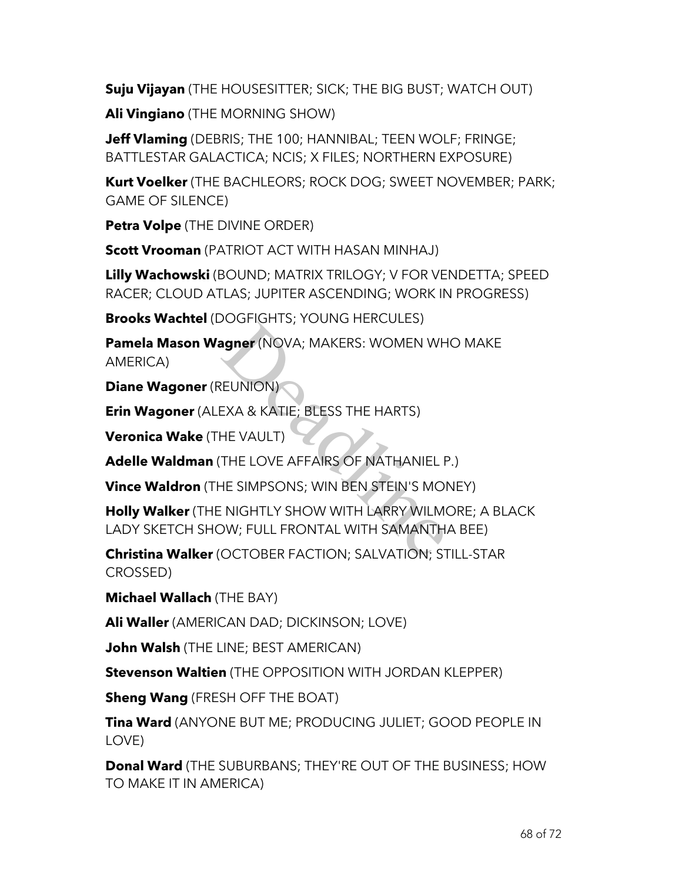**Suju Vijayan** (THE HOUSESITTER; SICK; THE BIG BUST; WATCH OUT)

**Ali Vingiano** (THE MORNING SHOW)

**Jeff Vlaming** (DEBRIS; THE 100; HANNIBAL; TEEN WOLF; FRINGE; BATTLESTAR GALACTICA; NCIS; X FILES; NORTHERN EXPOSURE)

**Kurt Voelker** (THE BACHLEORS; ROCK DOG; SWEET NOVEMBER; PARK; GAME OF SILENCE)

**Petra Volpe** (THE DIVINE ORDER)

**Scott Vrooman** (PATRIOT ACT WITH HASAN MINHAJ)

**Lilly Wachowski** (BOUND; MATRIX TRILOGY; V FOR VENDETTA; SPEED RACER; CLOUD ATLAS; JUPITER ASCENDING; WORK IN PROGRESS)

**Brooks Wachtel** (DOGFIGHTS; YOUNG HERCULES)

**Pamela Mason Wagner** (NOVA; MAKERS: WOMEN WHO MAKE AMERICA)

**Diane Wagoner** (REUNION)

**Erin Wagoner** (ALEXA & KATIE; BLESS THE HARTS)

**Veronica Wake** (THE VAULT)

**Adelle Waldman** (THE LOVE AFFAIRS OF NATHANIEL P.)

**Vince Waldron** (THE SIMPSONS; WIN BEN STEIN'S MONEY)

**Holly Walker** (THE NIGHTLY SHOW WITH LARRY WILMORE; A BLACK LADY SKETCH SHOW; FULL FRONTAL WITH SAMANTHA BEE) **agner** (NOVA; MAKERS: WOMEN WH<br>EUNION)<br>EXA & KATIE; BLESS THE HARTS)<br>HE VAULT)<br>THE LOVE AFFAIRS OF NATHANIEL F<br>HE SIMPSONS; WIN BEN STEIN'S MOI<br>: NIGHTLY SHOW WITH LARRY WILM<br>DW; FULL FRONTAL WITH SAMANTH,<br>OCTOBER FACTION

**Christina Walker** (OCTOBER FACTION; SALVATION; STILL-STAR CROSSED)

**Michael Wallach** (THE BAY)

**Ali Waller** (AMERICAN DAD; DICKINSON; LOVE)

**John Walsh** (THE LINE; BEST AMERICAN)

**Stevenson Waltien** (THE OPPOSITION WITH JORDAN KLEPPER)

**Sheng Wang** (FRESH OFF THE BOAT)

**Tina Ward** (ANYONE BUT ME; PRODUCING JULIET; GOOD PEOPLE IN LOVE)

**Donal Ward** (THE SUBURBANS; THEY'RE OUT OF THE BUSINESS; HOW TO MAKE IT IN AMERICA)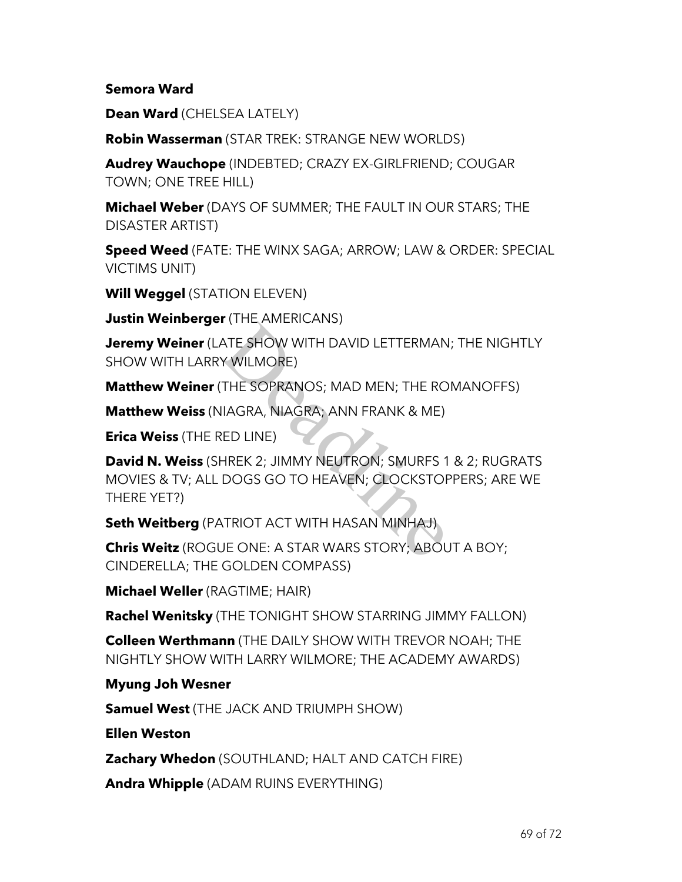#### **Semora Ward**

**Dean Ward** (CHELSEA LATELY)

**Robin Wasserman** (STAR TREK: STRANGE NEW WORLDS)

**Audrey Wauchope** (INDEBTED; CRAZY EX-GIRLFRIEND; COUGAR TOWN; ONE TREE HILL)

**Michael Weber** (DAYS OF SUMMER; THE FAULT IN OUR STARS; THE DISASTER ARTIST)

**Speed Weed** (FATE: THE WINX SAGA; ARROW; LAW & ORDER: SPECIAL VICTIMS UNIT)

**Will Weggel** (STATION ELEVEN)

**Justin Weinberger** (THE AMERICANS)

**Jeremy Weiner** (LATE SHOW WITH DAVID LETTERMAN; THE NIGHTLY SHOW WITH LARRY WILMORE)

**Matthew Weiner** (THE SOPRANOS; MAD MEN; THE ROMANOFFS)

**Matthew Weiss** (NIAGRA, NIAGRA; ANN FRANK & ME)

**Erica Weiss** (THE RED LINE)

**David N. Weiss** (SHREK 2; JIMMY NEUTRON; SMURFS 1 & 2; RUGRATS MOVIES & TV; ALL DOGS GO TO HEAVEN; CLOCKSTOPPERS; ARE WE THERE YET?) THE SHOW WITH DAVID LETTERMAN<br>
THE SOPRANOS; MAD MEN; THE RO<br>
IIAGRA, NIAGRA; ANN FRANK & ME)<br>
RED LINE)<br>
HREK 2; JIMMY NEUTRON; SMURFS 1<br>
DOGS GO TO HEAVEN; CLOCKSTOP<br>
TRIOT ACT WITH HASAN MINHAJ)<br>
JE ONE: A STAR WARS STO

**Seth Weitberg** (PATRIOT ACT WITH HASAN MINHAJ)

**Chris Weitz** (ROGUE ONE: A STAR WARS STORY; ABOUT A BOY; CINDERELLA; THE GOLDEN COMPASS)

**Michael Weller** (RAGTIME; HAIR)

**Rachel Wenitsky** (THE TONIGHT SHOW STARRING JIMMY FALLON)

**Colleen Werthmann** (THE DAILY SHOW WITH TREVOR NOAH; THE NIGHTLY SHOW WITH LARRY WILMORE; THE ACADEMY AWARDS)

## **Myung Joh Wesner**

**Samuel West** (THE JACK AND TRIUMPH SHOW)

**Ellen Weston**

**Zachary Whedon** (SOUTHLAND; HALT AND CATCH FIRE)

**Andra Whipple** (ADAM RUINS EVERYTHING)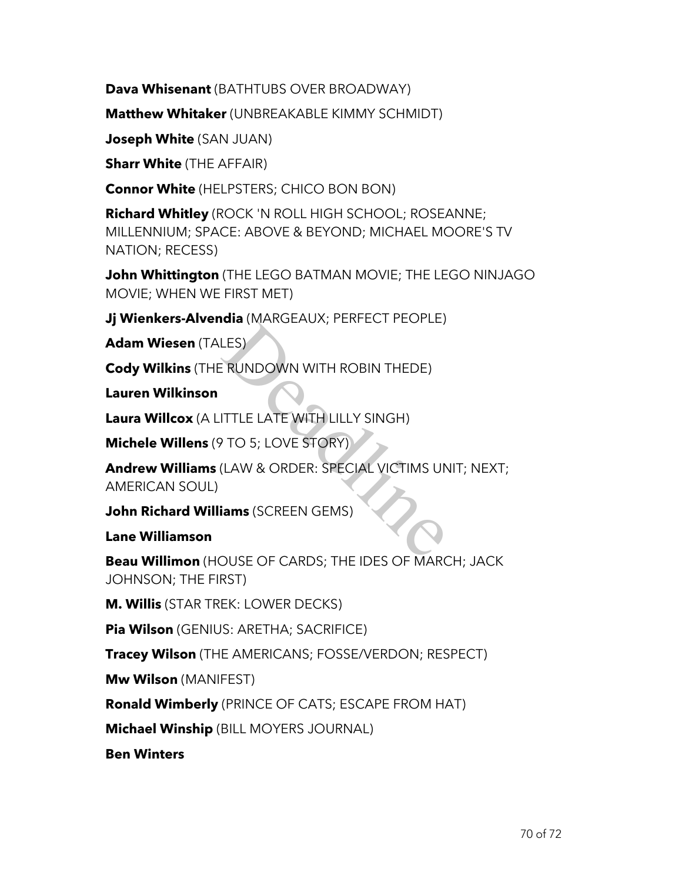**Dava Whisenant** (BATHTUBS OVER BROADWAY)

**Matthew Whitaker** (UNBREAKABLE KIMMY SCHMIDT)

**Joseph White** (SAN JUAN)

**Sharr White** (THE AFFAIR)

**Connor White** (HELPSTERS; CHICO BON BON)

**Richard Whitley** (ROCK 'N ROLL HIGH SCHOOL; ROSEANNE; MILLENNIUM; SPACE: ABOVE & BEYOND; MICHAEL MOORE'S TV NATION; RECESS)

**John Whittington** (THE LEGO BATMAN MOVIE; THE LEGO NINJAGO MOVIE; WHEN WE FIRST MET)

**Jj Wienkers-Alvendia** (MARGEAUX; PERFECT PEOPLE)

**Adam Wiesen** (TALES)

**Cody Wilkins** (THE RUNDOWN WITH ROBIN THEDE)

**Lauren Wilkinson**

**Laura Willcox** (A LITTLE LATE WITH LILLY SINGH)

**Michele Willens** (9 TO 5; LOVE STORY)

**Andrew Williams** (LAW & ORDER: SPECIAL VICTIMS UNIT; NEXT; AMERICAN SOUL) LES)<br>
ERUNDOWN WITH ROBIN THEDE)<br>
ITTLE LATE WITH LILLY SINGH)<br>
P TO 5; LOVE STORY)<br>
(LAW & ORDER: SPECIAL VICTIMS UN<br>
SIAMS (SCREEN GEMS)

**John Richard Williams** (SCREEN GEMS)

**Lane Williamson**

**Beau Willimon** (HOUSE OF CARDS; THE IDES OF MARCH; JACK JOHNSON; THE FIRST)

**M. Willis** (STAR TREK: LOWER DECKS)

**Pia Wilson** (GENIUS: ARETHA; SACRIFICE)

**Tracey Wilson** (THE AMERICANS; FOSSE/VERDON; RESPECT)

**Mw Wilson** (MANIFEST)

**Ronald Wimberly** (PRINCE OF CATS; ESCAPE FROM HAT)

**Michael Winship** (BILL MOYERS JOURNAL)

**Ben Winters**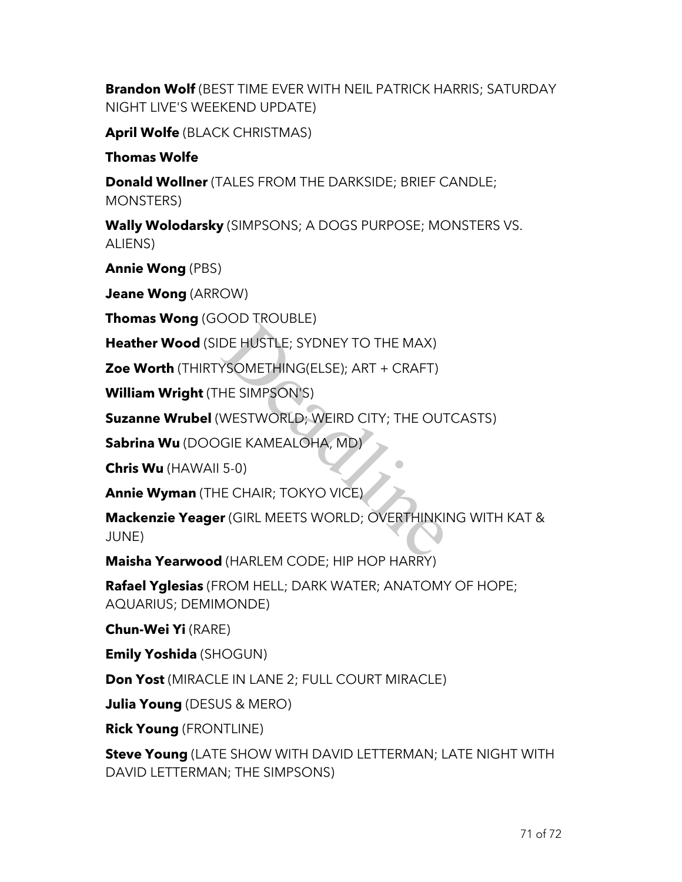**Brandon Wolf** (BEST TIME EVER WITH NEIL PATRICK HARRIS; SATURDAY NIGHT LIVE'S WEEKEND UPDATE)

**April Wolfe** (BLACK CHRISTMAS)

### **Thomas Wolfe**

**Donald Wollner** (TALES FROM THE DARKSIDE; BRIEF CANDLE; MONSTERS)

**Wally Wolodarsky** (SIMPSONS; A DOGS PURPOSE; MONSTERS VS. ALIENS)

**Annie Wong** (PBS)

**Jeane Wong** (ARROW)

**Thomas Wong** (GOOD TROUBLE)

**Heather Wood** (SIDE HUSTLE; SYDNEY TO THE MAX)

**Zoe Worth** (THIRTYSOMETHING(ELSE); ART + CRAFT)

**William Wright** (THE SIMPSON'S)

**Suzanne Wrubel** (WESTWORLD; WEIRD CITY; THE OUTCASTS)

**Sabrina Wu** (DOOGIE KAMEALOHA, MD)

**Chris Wu** (HAWAII 5-0)

**Annie Wyman** (THE CHAIR; TOKYO VICE)

**Mackenzie Yeager** (GIRL MEETS WORLD; OVERTHINKING WITH KAT & JUNE) DE HUSTLE; SYDNEY TO THE MAX)<br>
YSOMETHING(ELSE); ART + CRAFT)<br>
HE SIMPSON'S)<br>
WESTWORLD; WEIRD CITY; THE OUT<br>
GIE KAMEALOHA, MD)<br>
5-0)<br>
E CHAIR; TOKYO VICE)<br>
r (GIRL MEETS WORLD; OVERTHINKII

**Maisha Yearwood** (HARLEM CODE; HIP HOP HARRY)

**Rafael Yglesias** (FROM HELL; DARK WATER; ANATOMY OF HOPE; AQUARIUS; DEMIMONDE)

**Chun-Wei Yi** (RARE)

**Emily Yoshida** (SHOGUN)

**Don Yost** (MIRACLE IN LANE 2; FULL COURT MIRACLE)

**Julia Young** (DESUS & MERO)

**Rick Young** (FRONTLINE)

**Steve Young** (LATE SHOW WITH DAVID LETTERMAN; LATE NIGHT WITH DAVID LETTERMAN; THE SIMPSONS)